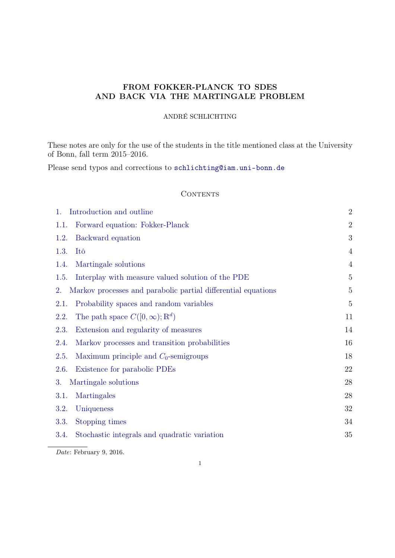# FROM FOKKER-PLANCK TO SDES AND BACK VIA THE MARTINGALE PROBLEM

# ANDRÉ SCHLICHTING

These notes are only for the use of the students in the title mentioned class at the University of Bonn, fall term 2015–2016.

Please send typos and corrections to [schlichting@iam.uni-bonn.de](mailto:schlichting@iam.uni-bonn.de)

# **CONTENTS**

| Introduction and outline<br>1.                                      | $\overline{2}$ |
|---------------------------------------------------------------------|----------------|
| Forward equation: Fokker-Planck<br>1.1.                             | $\overline{2}$ |
| Backward equation<br>1.2.                                           | 3              |
| Itô<br>1.3.                                                         | $\overline{4}$ |
| Martingale solutions<br>1.4.                                        | 4              |
| Interplay with measure valued solution of the PDE<br>1.5.           | 5              |
| Markov processes and parabolic partial differential equations<br>2. | 5              |
| Probability spaces and random variables<br>2.1.                     | 5              |
| The path space $C([0,\infty);\mathbb{R}^d)$<br>2.2.                 | 11             |
| 2.3.<br>Extension and regularity of measures                        | 14             |
| Markov processes and transition probabilities<br>2.4.               | 16             |
| Maximum principle and $C_0$ -semigroups<br>2.5.                     | 18             |
| Existence for parabolic PDEs<br>2.6.                                | 22             |
| 3.<br>Martingale solutions                                          | 28             |
| 3.1.<br>Martingales                                                 | 28             |
| Uniqueness<br>3.2.                                                  | 32             |
| Stopping times<br>3.3.                                              | 34             |
| Stochastic integrals and quadratic variation<br>3.4.                | 35             |
|                                                                     |                |

Date: February 9, 2016.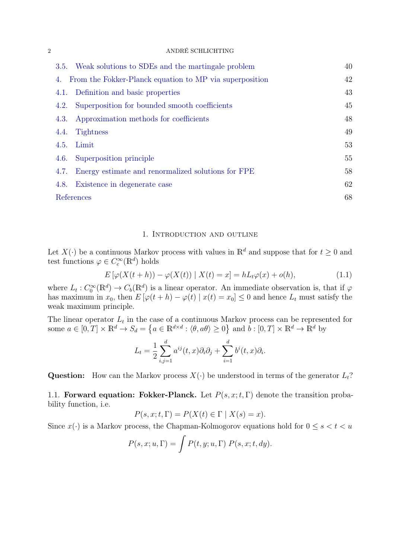|      | 3.5. Weak solutions to SDEs and the martingale problem  | 40 |
|------|---------------------------------------------------------|----|
| 4.   | From the Fokker-Planck equation to MP via superposition | 42 |
|      | 4.1. Definition and basic properties                    | 43 |
| 4.2. | Superposition for bounded smooth coefficients           | 45 |
| 4.3. | Approximation methods for coefficients                  | 48 |
| 4.4. | Tightness                                               | 49 |
| 4.5. | Limit                                                   | 53 |
| 4.6. | Superposition principle                                 | 55 |
| 4.7. | Energy estimate and renormalized solutions for FPE      | 58 |
| 4.8. | Existence in degenerate case                            | 62 |
|      | References                                              | 68 |
|      |                                                         |    |

### <span id="page-1-2"></span>1. Introduction and outline

<span id="page-1-0"></span>Let  $X(\cdot)$  be a continuous Markov process with values in  $\mathbb{R}^d$  and suppose that for  $t \geq 0$  and test functions  $\varphi \in C_c^{\infty}(\mathbb{R}^d)$  holds

$$
E\left[\varphi(X(t+h)) - \varphi(X(t)) \mid X(t) = x\right] = hL_t\varphi(x) + o(h),\tag{1.1}
$$

where  $L_t: C_0^{\infty}(\mathbb{R}^d) \to C_b(\mathbb{R}^d)$  is a linear operator. An immediate observation is, that if  $\varphi$ has maximum in  $x_0$ , then  $E[\varphi(t+h) - \varphi(t) | x(t) = x_0] \leq 0$  and hence  $L_t$  must satisfy the weak maximum principle.

The linear operator  $L_t$  in the case of a continuous Markov process can be represented for some  $a \in [0,T] \times \mathbb{R}^d \to S_d = \{a \in \mathbb{R}^{d \times d} : \langle \theta, a\theta \rangle \geq 0\}$  and  $b : [0,T] \times \mathbb{R}^d \to \mathbb{R}^d$  by

$$
L_t = \frac{1}{2} \sum_{i,j=1}^d a^{ij}(t, x) \partial_i \partial_j + \sum_{i=1}^d b^i(t, x) \partial_i.
$$

**Question:** How can the Markov process  $X(\cdot)$  be understood in terms of the generator  $L_t$ ?

<span id="page-1-1"></span>1.1. Forward equation: Fokker-Planck. Let  $P(s, x; t, \Gamma)$  denote the transition probability function, i.e.

$$
P(s, x; t, \Gamma) = P(X(t) \in \Gamma \mid X(s) = x).
$$

Since  $x(\cdot)$  is a Markov process, the Chapman-Kolmogorov equations hold for  $0 \le s < t < u$ 

$$
P(s, x; u, \Gamma) = \int P(t, y; u, \Gamma) P(s, x; t, dy).
$$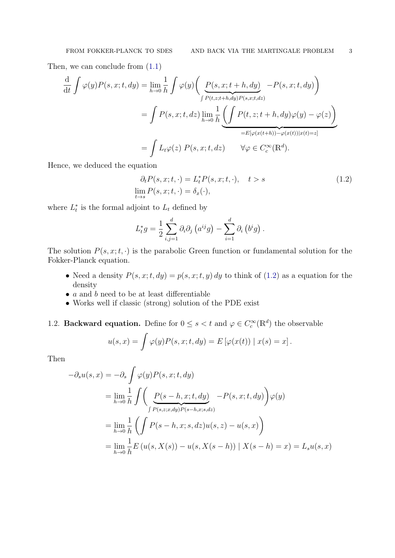Then, we can conclude from [\(1.1\)](#page-1-2)

$$
\frac{d}{dt} \int \varphi(y)P(s,x;t,dy) = \lim_{h \to 0} \frac{1}{h} \int \varphi(y) \bigg( \underbrace{P(s,x;t+h,dy)}_{\int P(t,z;t+h,dy)P(s,x;t,dz)} - P(s,x;t,dy) \bigg)
$$
\n
$$
= \int P(s,x;t,dz) \lim_{h \to 0} \frac{1}{h} \bigg( \int P(t,z;t+h,dy)\varphi(y) - \varphi(z) \bigg)
$$
\n
$$
= E[\varphi(x(t+h)) - \varphi(x(t))|x(t) = z]
$$
\n
$$
= \int L_t \varphi(z) P(s,x;t,dz) \qquad \forall \varphi \in C_c^{\infty}(\mathbb{R}^d).
$$

Hence, we deduced the equation

$$
\partial_t P(s, x; t, \cdot) = L_t^* P(s, x; t, \cdot), \quad t > s
$$
  

$$
\lim_{t \to s} P(s, x; t, \cdot) = \delta_x(\cdot),
$$
 (1.2)

where  $L_t^*$  is the formal adjoint to  $L_t$  defined by

$$
L_t^* g = \frac{1}{2} \sum_{i,j=1}^d \partial_i \partial_j \left( a^{ij} g \right) - \sum_{i=1}^d \partial_i \left( b^i g \right).
$$

The solution  $P(s, x; t, \cdot)$  is the parabolic Green function or fundamental solution for the Fokker-Planck equation.

- Need a density  $P(s, x; t, dy) = p(s, x; t, y) dy$  to think of [\(1.2\)](#page-2-1) as a equation for the density
- $\bullet$  a and b need to be at least differentiable
- Works well if classic (strong) solution of the PDE exist
- <span id="page-2-0"></span>1.2. **Backward equation.** Define for  $0 \le s < t$  and  $\varphi \in C_c^{\infty}(\mathbb{R}^d)$  the observable

$$
u(s,x) = \int \varphi(y)P(s,x;t,dy) = E\left[\varphi(x(t)) \mid x(s) = x\right].
$$

Then

$$
-\partial_s u(s, x) = -\partial_s \int \varphi(y) P(s, x; t, dy)
$$
  
= 
$$
\lim_{h \to 0} \frac{1}{h} \int \left( \underbrace{P(s - h, x; t, dy)}_{\int P(s, z; x, dy) P(s - h, x; s, dz)} - P(s, x; t, dy) \right) \varphi(y)
$$
  
= 
$$
\lim_{h \to 0} \frac{1}{h} \left( \int P(s - h, x; s, dz) u(s, z) - u(s, x) \right)
$$
  
= 
$$
\lim_{h \to 0} \frac{1}{h} E (u(s, X(s)) - u(s, X(s - h)) | X(s - h) = x) = L_s u(s, x)
$$

<span id="page-2-1"></span>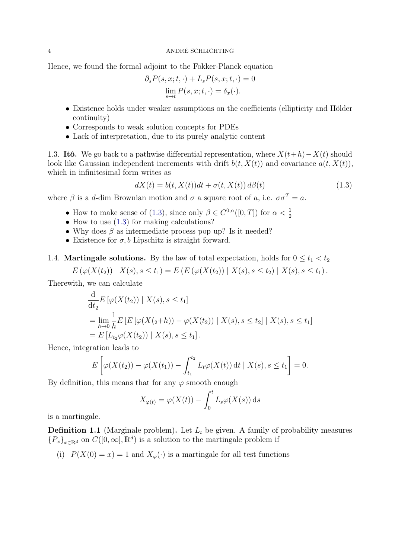Hence, we found the formal adjoint to the Fokker-Planck equation

$$
\partial_s P(s, x; t, \cdot) + L_s P(s, x; t, \cdot) = 0
$$
  

$$
\lim_{s \to t} P(s, x; t, \cdot) = \delta_x(\cdot).
$$

- Existence holds under weaker assumptions on the coefficients (ellipticity and Hölder continuity)
- Corresponds to weak solution concepts for PDEs
- Lack of interpretation, due to its purely analytic content

<span id="page-3-0"></span>1.3. Itô. We go back to a pathwise differential representation, where  $X(t+h)-X(t)$  should look like Gaussian independent increments with drift  $b(t, X(t))$  and covariance  $a(t, X(t))$ , which in infinitesimal form writes as

<span id="page-3-2"></span>
$$
dX(t) = b(t, X(t))dt + \sigma(t, X(t)) d\beta(t)
$$
\n(1.3)

where  $\beta$  is a d-dim Brownian motion and  $\sigma$  a square root of a, i.e.  $\sigma \sigma^T = a$ .

- How to make sense of [\(1.3\)](#page-3-2), since only  $\beta \in C^{0,\alpha}([0,T])$  for  $\alpha < \frac{1}{2}$
- How to use  $(1.3)$  for making calculations?
- Why does  $\beta$  as intermediate process pop up? Is it needed?
- Existence for  $\sigma$ , b Lipschitz is straight forward.

<span id="page-3-1"></span>1.4. **Martingale solutions.** By the law of total expectation, holds for  $0 \le t_1 < t_2$ 

$$
E(\varphi(X(t_2)) | X(s), s \le t_1) = E(E(\varphi(X(t_2)) | X(s), s \le t_2) | X(s), s \le t_1).
$$

Therewith, we can calculate

$$
\frac{d}{dt_2} E\left[\varphi(X(t_2)) \mid X(s), s \le t_1\right]
$$
\n
$$
= \lim_{h \to 0} \frac{1}{h} E\left[E\left[\varphi(X(\tau_2 + h)) - \varphi(X(t_2)) \mid X(s), s \le t_2\right] \mid X(s), s \le t_1\right]
$$
\n
$$
= E\left[L_{t_2} \varphi(X(t_2)) \mid X(s), s \le t_1\right].
$$

Hence, integration leads to

$$
E\left[\varphi(X(t_2))-\varphi(X(t_1))-\int_{t_1}^{t_2}L_t\varphi(X(t))\,\mathrm{d}t\mid X(s),s\leq t_1\right]=0.
$$

By definition, this means that for any  $\varphi$  smooth enough

$$
X_{\varphi(t)} = \varphi(X(t)) - \int_0^t L_s \varphi(X(s)) \, ds
$$

is a martingale.

**Definition 1.1** (Marginale problem). Let  $L_t$  be given. A family of probability measures  ${P_x}_{x \in \mathbb{R}^d}$  on  $C([0,\infty], \mathbb{R}^d)$  is a solution to the martingale problem if

(i)  $P(X(0) = x) = 1$  and  $X_{\varphi}(\cdot)$  is a martingale for all test functions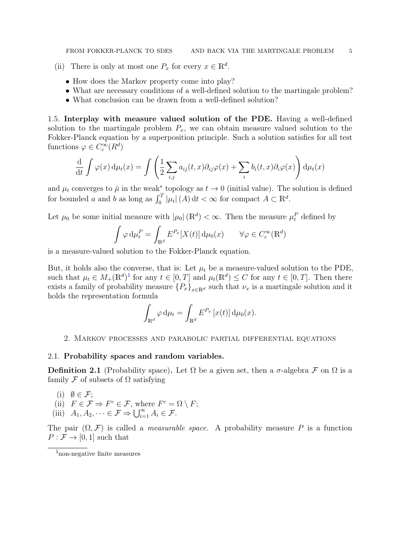(ii) There is only at most one  $P_x$  for every  $x \in \mathbb{R}^d$ .

- How does the Markov property come into play?
- What are necessary conditions of a well-defined solution to the martingale problem?
- What conclusion can be drawn from a well-defined solution?

<span id="page-4-0"></span>1.5. Interplay with measure valued solution of the PDE. Having a well-defined solution to the martingale problem  $P_x$ , we can obtain measure valued solution to the Fokker-Planck equation by a superposition principle. Such a solution satisfies for all test functions  $\varphi \in C_c^{\infty}(R^d)$ 

$$
\frac{\mathrm{d}}{\mathrm{d}t} \int \varphi(x) \, \mathrm{d}\mu_t(x) = \int \left( \frac{1}{2} \sum_{i,j} a_{ij}(t,x) \partial_{ij} \varphi(x) + \sum_i b_i(t,x) \partial_i \varphi(x) \right) \mathrm{d}\mu_t(x)
$$

and  $\mu_t$  converges to  $\bar{\mu}$  in the weak<sup>\*</sup> topology as  $t \to 0$  (initial value). The solution is defined for bounded a and b as long as  $\int_0^T |\mu_t| (A) dt < \infty$  for compact  $A \subset \mathbb{R}^d$ .

Let  $\mu_0$  be some initial measure with  $|\mu_0|(\mathbb{R}^d) < \infty$ . Then the measure  $\mu_t^P$  defined by

$$
\int \varphi \, d\mu_t^P = \int_{\mathbb{R}^d} E^{P_x}[X(t)] \, d\mu_0(x) \qquad \forall \varphi \in C_c^{\infty}(\mathbb{R}^d)
$$

is a measure-valued solution to the Fokker-Planck equation.

But, it holds also the converse, that is: Let  $\mu_t$  be a measure-valued solution to the PDE, such that  $\mu_t \in M_+(\mathbb{R}^d)^1$  $\mu_t \in M_+(\mathbb{R}^d)^1$  for any  $t \in [0,T]$  and  $\mu_t(\mathbb{R}^d) \leq C$  for any  $t \in [0,T]$ . Then there exists a family of probability measure  ${P_x}_{x\in\mathbb{R}^d}$  such that  $\nu_x$  is a martingale solution and it holds the representation formula

$$
\int_{\mathbb{R}^d} \varphi \, \mathrm{d}\mu_t = \int_{\mathbb{R}^d} E^{P_x} \left[ x(t) \right] \mathrm{d}\mu_0(x).
$$

## <span id="page-4-1"></span>2. Markov processes and parabolic partial differential equations

## <span id="page-4-2"></span>2.1. Probability spaces and random variables.

**Definition 2.1** (Probability space). Let  $\Omega$  be a given set, then a  $\sigma$ -algebra F on  $\Omega$  is a family  $\mathcal F$  of subsets of  $\Omega$  satisfying

- (i)  $\emptyset \in \mathcal{F}$ :
- (ii)  $F \in \mathcal{F} \Rightarrow F^c \in \mathcal{F}$ , where  $F^c = \Omega \setminus F$ ;
- (iii)  $A_1, A_2, \dots \in \mathcal{F} \Rightarrow \bigcup_{i=1}^{\infty} A_i \in \mathcal{F}.$

The pair  $(\Omega, \mathcal{F})$  is called a *measurable space*. A probability measure P is a function  $P: \mathcal{F} \to [0, 1]$  such that

<span id="page-4-3"></span><sup>1</sup>non-negative finite measures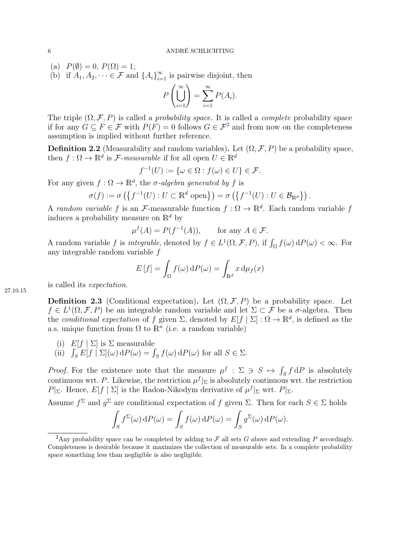(a)  $P(\emptyset) = 0, P(\Omega) = 1;$ 

(b) if  $A_1, A_2, \dots \in \mathcal{F}$  and  $\{A_i\}_{i=1}^{\infty}$  is pairwise disjoint, then

$$
P\left(\bigcup_{i=1}^{\infty}\right) = \sum_{i=1}^{\infty} P(A_i).
$$

The triple  $(\Omega, \mathcal{F}, P)$  is called a *probability space*. It is called a *complete* probability space if for any  $G \subseteq F \in \mathcal{F}$  with  $P(F) = 0$  follows  $G \in \mathcal{F}^2$  $G \in \mathcal{F}^2$  and from now on the completeness assumption is implied without further reference.

**Definition 2.2** (Measurability and random variables). Let  $(\Omega, \mathcal{F}, P)$  be a probability space, then  $f : \Omega \to \mathbb{R}^d$  is *F*-measurable if for all open  $U \in \mathbb{R}^d$ 

$$
f^{-1}(U) := \{ \omega \in \Omega : f(\omega) \in U \} \in \mathcal{F}.
$$

For any given  $f : \Omega \to \mathbb{R}^d$ , the  $\sigma$ -algebra generated by f is

$$
\sigma(f) := \sigma\left(\left\{f^{-1}(U) : U \subset \mathbb{R}^d \text{ open}\right\}\right) = \sigma\left(\left\{f^{-1}(U) : U \in \mathcal{B}_{\mathbb{R}^d}\right\}\right).
$$

A random variable f is an F-measurable function  $f: \Omega \to \mathbb{R}^d$ . Each random variable f induces a probability measure on  $\mathbb{R}^d$  by

$$
\mu^f(A) = P(f^{-1}(A)), \quad \text{for any } A \in \mathcal{F}.
$$

A random variable f is *integrable*, denoted by  $f \in L^1(\Omega, \mathcal{F}, P)$ , if  $\int_{\Omega} f(\omega) dP(\omega) < \infty$ . For any integrable random variable f

$$
E[f] = \int_{\Omega} f(\omega) dP(\omega) = \int_{\mathbb{R}^d} x d\mu_f(x)
$$

is called its expectation.

27.10.15

**Definition 2.3** (Conditional expectation). Let  $(\Omega, \mathcal{F}, P)$  be a probability space. Let  $f \in L^1(\Omega, \mathcal{F}, P)$  be an integrable random variable and let  $\Sigma \subset \mathcal{F}$  be a  $\sigma$ -algebra. Then the conditional expectation of f given  $\Sigma$ , denoted by  $E[f | \Sigma] : \Omega \to \mathbb{R}^d$ , is defined as the a.s. unique function from  $\Omega$  to  $\mathbb{R}^n$  (i.e. a random variable)

- (i)  $E[f | \Sigma]$  is  $\Sigma$  measurable
- (ii)  $\int_S E[f | \Sigma](\omega) dP(\omega) = \int_S f(\omega) dP(\omega)$  for all  $S \in \Sigma$ .

*Proof.* For the existence note that the measure  $\mu^f$  :  $\Sigma \ni S \mapsto \int_S f dP$  is absolutely continuous wrt. P. Likewise, the restriction  $\mu^{f}|_{\Sigma}$  is absolutely continuous wrt. the restriction P|<sub>Σ</sub>. Hence,  $E[f | \Sigma]$  is the Radon-Nikodym derivative of  $\mu^f|_{\Sigma}$  wrt.  $P|_{\Sigma}$ .

Assume  $f^{\Sigma}$  and  $g^{\Sigma}$  are conditional expectation of f given  $\Sigma$ . Then for each  $S \in \Sigma$  holds

$$
\int_{S} f^{\Sigma}(\omega) dP(\omega) = \int_{S} f(\omega) dP(\omega) = \int_{S} g^{\Sigma}(\omega) dP(\omega).
$$

<span id="page-5-0"></span><sup>&</sup>lt;sup>2</sup>Any probability space can be completed by adding to  $\mathcal F$  all sets G above and extending P accordingly. Completeness is desirable because it maximizes the collection of measurable sets. In a complete probability space something less than negligible is also negligible.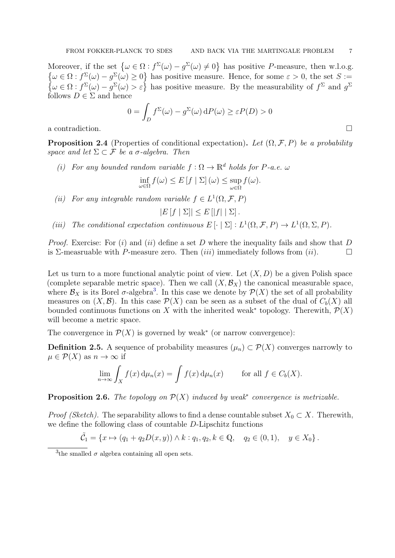Moreover, if the set  $\{\omega \in \Omega : f^{\Sigma}(\omega) - g^{\Sigma}(\omega) \neq 0\}$  has positive P-measure, then w.l.o.g.  $\{\omega \in \Omega : f^{\Sigma}(\omega) - g^{\Sigma}(\omega) \geq 0\}$  has positive measure. Hence, for some  $\varepsilon > 0$ , the set  $S :=$  $\{\omega \in \Omega : f^{\Sigma}(\omega) - g^{\Sigma}(\omega) > \varepsilon\}$  has positive measure. By the measurability of  $f^{\Sigma}$  and  $g^{\Sigma}$ follows  $D \in \Sigma$  and hence

$$
0 = \int_D f^{\Sigma}(\omega) - g^{\Sigma}(\omega) dP(\omega) \ge \varepsilon P(D) > 0
$$

a contradiction.

**Proposition 2.4** (Properties of conditional expectation). Let  $(\Omega, \mathcal{F}, P)$  be a probability space and let  $\Sigma \subset \mathcal{F}$  be a  $\sigma$ -algebra. Then

(i) For any bounded random variable  $f : \Omega \to \mathbb{R}^d$  holds for P-a.e.  $\omega$ 

 $\inf_{\omega \in \Omega} f(\omega) \leq E \left[ f \mid \Sigma \right] (\omega) \leq \sup_{\omega \in \Omega}$ ω∈Ω  $f(\omega)$ .

(ii) For any integrable random variable  $f \in L^1(\Omega, \mathcal{F}, P)$ 

 $|E[f | \Sigma]|\leq E[|f| |\Sigma]$ .

(iii) The conditional expectation continuous  $E[\cdot | \Sigma] : L^1(\Omega, \mathcal{F}, P) \to L^1(\Omega, \Sigma, P)$ .

*Proof.* Exercise: For  $(i)$  and  $(ii)$  define a set D where the inequality fails and show that D is  $\Sigma$ -measruable with P-measure zero. Then (iii) immediately follows from (ii).

Let us turn to a more functional analytic point of view. Let  $(X, D)$  be a given Polish space (complete separable metric space). Then we call  $(X, \mathcal{B}_X)$  the canonical measurable space, where  $\mathcal{B}_X$  is its Borel  $\sigma$ -algebra<sup>[3](#page-6-0)</sup>. In this case we denote by  $\mathcal{P}(X)$  the set of all probability measures on  $(X, \mathcal{B})$ . In this case  $\mathcal{P}(X)$  can be seen as a subset of the dual of  $C_b(X)$  all bounded continuous functions on X with the inherited weak<sup>\*</sup> topology. Therewith,  $\mathcal{P}(X)$ will become a metric space.

The convergence in  $\mathcal{P}(X)$  is governed by weak<sup>\*</sup> (or narrow convergence):

**Definition 2.5.** A sequence of probability measures  $(\mu_n) \subset \mathcal{P}(X)$  converges narrowly to  $\mu \in \mathcal{P}(X)$  as  $n \to \infty$  if

$$
\lim_{n \to \infty} \int_X f(x) d\mu_n(x) = \int f(x) d\mu_n(x) \quad \text{for all } f \in C_b(X).
$$

<span id="page-6-1"></span>**Proposition 2.6.** The topology on  $\mathcal{P}(X)$  induced by weak<sup>\*</sup> convergence is metrizable.

*Proof (Sketch)*. The separability allows to find a dense countable subset  $X_0 \subset X$ . Therewith, we define the following class of countable D-Lipschitz functions

$$
\tilde{C}_1 = \{x \mapsto (q_1 + q_2 D(x, y)) \wedge k : q_1, q_2, k \in \mathbb{Q}, \quad q_2 \in (0, 1), \quad y \in X_0\}.
$$

$$
\Box
$$

<span id="page-6-0"></span><sup>&</sup>lt;sup>3</sup>the smalled  $\sigma$  algebra containing all open sets.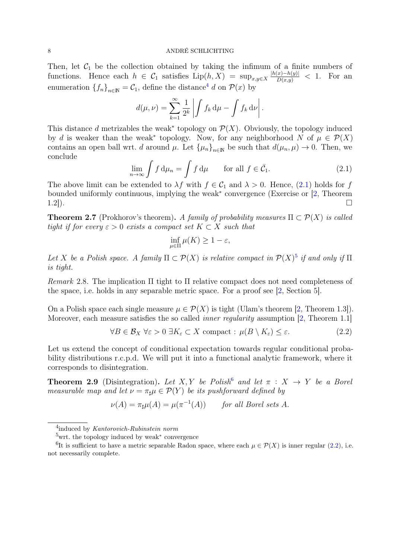Then, let  $C_1$  be the collection obtained by taking the infimum of a finite numbers of functions. Hence each  $h \in C_1$  satisfies  $\text{Lip}(h, X) = \sup_{x,y \in X} \frac{|h(x)-h(y)|}{D(x,y)} < 1$ . For an enumeration  ${f_n}_{n\in\mathbb{N}} = C_1$ , define the distance<sup>[4](#page-7-0)</sup> d on  $\mathcal{P}(x)$  by

$$
d(\mu, \nu) = \sum_{k=1}^{\infty} \frac{1}{2^k} \left| \int f_k \, \mathrm{d}\mu - \int f_k \, \mathrm{d}\nu \right|.
$$

This distance d metrizables the weak<sup>\*</sup> topology on  $\mathcal{P}(X)$ . Obviously, the topology induced by d is weaker than the weak<sup>\*</sup> topology. Now, for any neighborhood N of  $\mu \in \mathcal{P}(X)$ contains an open ball wrt. d around  $\mu$ . Let  $\{\mu_n\}_{n\in\mathbb{N}}$  be such that  $d(\mu_n, \mu) \to 0$ . Then, we conclude

$$
\lim_{n \to \infty} \int f d\mu_n = \int f d\mu \qquad \text{for all } f \in \bar{\mathcal{C}}_1. \tag{2.1}
$$

The above limit can be extended to  $\lambda f$  with  $f \in C_1$  and  $\lambda > 0$ . Hence, [\(2.1\)](#page-7-1) holds for f bounded uniformly continuous, implying the weak<sup>∗</sup> convergence (Exercise or [\[2,](#page-67-1) Theorem 1.2]).

<span id="page-7-5"></span>**Theorem 2.7** (Prokhorov's theorem). A family of probability measures  $\Pi \subset \mathcal{P}(X)$  is called tight if for every  $\varepsilon > 0$  exists a compact set  $K \subset X$  such that

<span id="page-7-4"></span><span id="page-7-1"></span>
$$
\inf_{\mu \in \Pi} \mu(K) \ge 1 - \varepsilon,
$$

Let X be a Polish space. A family  $\Pi \subset \mathcal{P}(X)$  is relative compact in  $\mathcal{P}(X)^5$  $\mathcal{P}(X)^5$  if and only if  $\Pi$ is tight.

Remark 2.8. The implication Π tight to Π relative compact does not need completeness of the space, i.e. holds in any separable metric space. For a proof see [\[2,](#page-67-1) Section 5].

On a Polish space each single measure  $\mu \in \mathcal{P}(X)$  is tight (Ulam's theorem [\[2,](#page-67-1) Theorem 1.3]). Moreover, each measure satisfies the so called *inner regularity* assumption [\[2,](#page-67-1) Theorem 1.1]

$$
\forall B \in \mathcal{B}_X \ \forall \varepsilon > 0 \ \exists K_{\varepsilon} \subset X \ \text{compact} : \ \mu(B \setminus K_{\varepsilon}) \le \varepsilon. \tag{2.2}
$$

Let us extend the concept of conditional expectation towards regular conditional probability distributions r.c.p.d. We will put it into a functional analytic framework, where it corresponds to disintegration.

<span id="page-7-6"></span>**Theorem 2.9** (Disintegration). Let X, Y be Polish<sup>[6](#page-7-3)</sup> and let  $\pi$  : X  $\rightarrow$  Y be a Borel measurable map and let  $\nu = \pi_{\sharp} \mu \in \mathcal{P}(Y)$  be its pushforward defined by

$$
\nu(A) = \pi_{\sharp}\mu(A) = \mu(\pi^{-1}(A)) \quad \text{for all Borel sets } A.
$$

<span id="page-7-0"></span><sup>&</sup>lt;sup>4</sup>induced by Kantorovich-Rubinstein norm

<span id="page-7-3"></span><span id="page-7-2"></span><sup>5</sup>wrt. the topology induced by weak<sup>∗</sup> convergence

<sup>&</sup>lt;sup>6</sup>It is sufficient to have a metric separable Radon space, where each  $\mu \in \mathcal{P}(X)$  is inner regular [\(2.2\)](#page-7-4), i.e. not necessarily complete.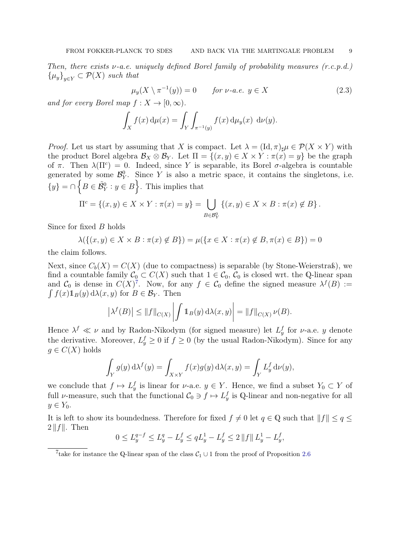Then, there exists  $\nu$ -a.e. uniquely defined Borel family of probability measures  $(r.c.p.d.)$  ${ \mu_y \}_{y \in Y} \subset \mathcal{P}(X)$  such that

<span id="page-8-1"></span>
$$
\mu_y(X \setminus \pi^{-1}(y)) = 0 \qquad \text{for } \nu\text{-a.e. } y \in X \tag{2.3}
$$

and for every Borel map  $f: X \to [0, \infty)$ .

$$
\int_X f(x) d\mu(x) = \int_Y \int_{\pi^{-1}(y)} f(x) d\mu_y(x) d\nu(y).
$$

*Proof.* Let us start by assuming that X is compact. Let  $\lambda = (\text{Id}, \pi)_{\sharp} \mu \in \mathcal{P}(X \times Y)$  with the product Borel algebra  $\mathcal{B}_X \otimes \mathcal{B}_Y$ . Let  $\Pi = \{(x, y) \in X \times Y : \pi(x) = y\}$  be the graph of  $\pi$ . Then  $\lambda(\Pi^c) = 0$ . Indeed, since Y is separable, its Borel  $\sigma$ -algebra is countable generated by some  $\mathcal{B}_Y^0$ . Since Y is also a metric space, it contains the singletons, i.e.  $\{y\} = \cap \left\{B \in \tilde{\mathcal{B}}_Y^0 : y \in B\right\}.$  This implies that

$$
\Pi^{c} = \{(x, y) \in X \times Y : \pi(x) = y\} = \bigcup_{B \in \mathcal{B}_{Y}^{0}} \{(x, y) \in X \times B : \pi(x) \notin B\}.
$$

Since for fixed B holds

$$
\lambda(\{(x,y)\in X\times B:\pi(x)\notin B\})=\mu(\{x\in X:\pi(x)\notin B,\pi(x)\in B\})=0
$$

the claim follows.

Next, since  $C_b(X) = C(X)$  (due to compactness) is separable (by Stone-Weierstraß), we find a countable family  $\mathcal{C}_0 \subset C(X)$  such that  $1 \in \mathcal{C}_0$ ,  $\mathcal{C}_0$  is closed wrt. the Q-linear span and  $\mathcal{C}_0$  is dense in  $C(X)^7$  $C(X)^7$ . Now, for any  $f \in \mathcal{C}_0$  define the signed measure  $\lambda^f(B) :=$  $\int f(x) 1_B(y) d\lambda(x, y)$  for  $B \in \mathcal{B}_Y$ . Then

$$
\left|\lambda^{f}(B)\right| \leq \|f\|_{C(X)} \left| \int \mathbb{1}_{B}(y) \, \mathrm{d}\lambda(x, y) \right| = \|f\|_{C(X)} \, \nu(B).
$$

Hence  $\lambda^f \ll \nu$  and by Radon-Nikodym (for signed measure) let  $L_y^f$  for  $\nu$ -a.e. y denote the derivative. Moreover,  $L_y^f \geq 0$  if  $f \geq 0$  (by the usual Radon-Nikodym). Since for any  $g \in C(X)$  holds

$$
\int_Y g(y) d\lambda^f(y) = \int_{X \times Y} f(x)g(y) d\lambda(x, y) = \int_Y L_y^f d\nu(y),
$$

we conclude that  $f \mapsto L_y^f$  is linear for  $\nu$ -a.e.  $y \in Y$ . Hence, we find a subset  $Y_0 \subset Y$  of full v-measure, such that the functional  $C_0 \ni f \mapsto L_y^f$  is Q-linear and non-negative for all  $y \in Y_0$ .

It is left to show its boundedness. Therefore for fixed  $f \neq 0$  let  $q \in \mathbb{Q}$  such that  $||f|| \leq q \leq \ell$  $2||f||.$  Then

$$
0 \le L_y^{q-f} \le L_y^q - L_y^f \le qL_y^1 - L_y^f \le 2 ||f|| L_y^1 - L_y^f,
$$

<span id="page-8-0"></span><sup>&</sup>lt;sup>7</sup>take for instance the Q-linear span of the class  $C_1 \cup 1$  from the proof of Proposition [2.6](#page-6-1)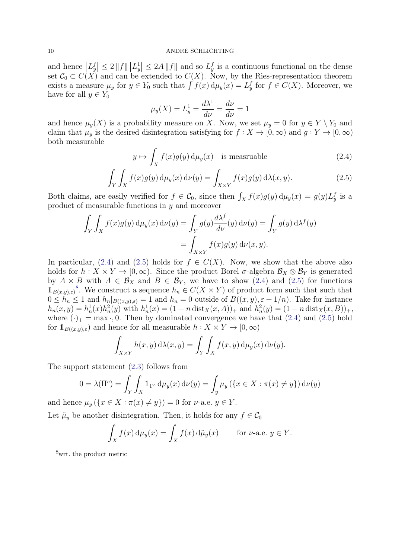and hence  $|L_y^f| \leq 2 ||f|| ||L_y^1|| \leq 2A ||f||$  and so  $L_y^f$  is a continuous functional on the dense set  $C_0 \subset C(X)$  and can be extended to  $C(X)$ . Now, by the Ries-representation theorem exists a measure  $\mu_y$  for  $y \in Y_0$  such that  $\int f(x) d\mu_y(x) = L_y^f$  for  $f \in C(X)$ . Moreover, we have for all  $y \in Y_0$ 

<span id="page-9-1"></span><span id="page-9-0"></span>
$$
\mu_y(X) = L_y^1 = \frac{d\lambda^1}{d\nu} = \frac{d\nu}{d\nu} = 1
$$

and hence  $\mu_y(X)$  is a probability measure on X. Now, we set  $\mu_y = 0$  for  $y \in Y \setminus Y_0$  and claim that  $\mu_y$  is the desired disintegration satisfying for  $f : X \to [0, \infty)$  and  $g : Y \to [0, \infty)$ both measurable

$$
y \mapsto \int_{X} f(x)g(y) d\mu_y(x) \quad \text{is measurable}
$$
 (2.4)

$$
\int_{Y} \int_{X} f(x)g(y) d\mu_{y}(x) d\nu(y) = \int_{X \times Y} f(x)g(y) d\lambda(x, y).
$$
\n(2.5)

Both claims, are easily verified for  $f \in \mathcal{C}_0$ , since then  $\int_X f(x)g(y) d\mu_y(x) = g(y)L_y^f$  is a product of measurable functions in y and moreover

$$
\int_Y \int_X f(x)g(y) d\mu_y(x) d\nu(y) = \int_Y g(y) \frac{d\lambda^f}{d\nu}(y) d\nu(y) = \int_Y g(y) d\lambda^f(y)
$$

$$
= \int_{X \times Y} f(x)g(y) d\nu(x, y).
$$

In particular, [\(2.4\)](#page-9-0) and [\(2.5\)](#page-9-1) holds for  $f \in C(X)$ . Now, we show that the above also holds for  $h: X \times Y \to [0, \infty)$ . Since the product Borel  $\sigma$ -algebra  $\mathcal{B}_X \otimes \mathcal{B}_Y$  is generated by  $A \times B$  with  $A \in \mathcal{B}_X$  and  $B \in \mathcal{B}_Y$ , we have to show [\(2.4\)](#page-9-0) and [\(2.5\)](#page-9-1) for functions  $1_{B(x,y),\varepsilon}$ <sup>[8](#page-9-2)</sup>. We construct a sequence  $h_n \in C(X \times Y)$  of product form such that such that  $0 \leq \tilde{h}_n \leq 1$  and  $h_n|_{B((x,y),\varepsilon)} = 1$  and  $h_n = 0$  outside of  $B((x,y), \varepsilon + 1/n)$ . Take for instance  $h_n(x, y) = h_n^1(x)h_n^2(y)$  with  $h_n^1(x) = (1 - n \text{ dist}_X(x, A))_+$  and  $h_n^2(y) = (1 - n \text{ dist}_X(x, B))_+,$ where  $(\cdot)_+ = \max \cdot 0$ . Then by dominated convergence we have that  $(2.4)$  and  $(2.5)$  hold for  $1_{B((x,y),\varepsilon})$  and hence for all measurable  $h: X \times Y \to [0,\infty)$ 

$$
\int_{X \times Y} h(x, y) \, d\lambda(x, y) = \int_Y \int_X f(x, y) \, d\mu_y(x) \, d\nu(y).
$$

The support statement [\(2.3\)](#page-8-1) follows from

$$
0 = \lambda(\Pi^{c}) = \int_{Y} \int_{X} \mathbb{1}_{\Gamma^{c}} d\mu_{y}(x) d\nu(y) = \int_{y} \mu_{y} (\{x \in X : \pi(x) \neq y\}) d\nu(y)
$$

and hence  $\mu_y$   $({x \in X : \pi(x) \neq y}) = 0$  for  $\nu$ -a.e.  $y \in Y$ .

Let  $\tilde{\mu}_y$  be another disintegration. Then, it holds for any  $f \in \mathcal{C}_0$ 

$$
\int_X f(x) d\mu_y(x) = \int_X f(x) d\tilde{\mu}_y(x) \quad \text{for } \nu\text{-a.e. } y \in Y.
$$

<span id="page-9-2"></span><sup>8</sup>wrt. the product metric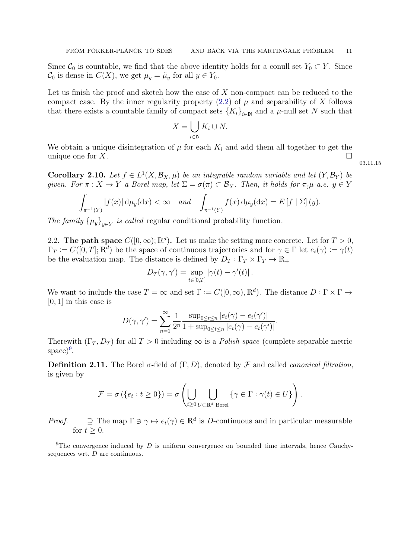Since  $C_0$  is countable, we find that the above identity holds for a conull set  $Y_0 \subset Y$ . Since  $\mathcal{C}_0$  is dense in  $C(X)$ , we get  $\mu_y = \tilde{\mu}_y$  for all  $y \in Y_0$ .

Let us finish the proof and sketch how the case of  $X$  non-compact can be reduced to the compact case. By the inner regularity property  $(2.2)$  of  $\mu$  and separability of X follows that there exists a countable family of compact sets  $\{K_i\}_{i\in\mathbb{N}}$  and a  $\mu$ -null set N such that

$$
X = \bigcup_{i \in \mathbb{N}} K_i \cup N.
$$

We obtain a unique disintegration of  $\mu$  for each  $K_i$  and add them all together to get the unique one for  $X$ .

<span id="page-10-2"></span>**Corollary 2.10.** Let  $f \in L^1(X, \mathcal{B}_X, \mu)$  be an integrable random variable and let  $(Y, \mathcal{B}_Y)$  be given. For  $\pi: X \to Y$  a Borel map, let  $\Sigma = \sigma(\pi) \subset \mathcal{B}_X$ . Then, it holds for  $\pi_{\sharp}\mu$ -a.e.  $y \in Y$ 

$$
\int_{\pi^{-1}(Y)} |f(x)| d\mu_y(\mathrm{d}x) < \infty \quad and \quad \int_{\pi^{-1}(Y)} f(x) d\mu_y(\mathrm{d}x) = E[f | \Sigma](y).
$$

The family  $\{\mu_y\}_{y \in Y}$  is called regular conditional probability function.

<span id="page-10-0"></span>2.2. The path space  $C([0,\infty);\mathbb{R}^d)$ . Let us make the setting more concrete. Let for  $T > 0$ ,  $\Gamma_T := C([0,T]; \mathbb{R}^d)$  be the space of continuous trajectories and for  $\gamma \in \Gamma$  let  $e_t(\gamma) := \gamma(t)$ be the evaluation map. The distance is defined by  $D_T: \Gamma_T \times \Gamma_T \to \mathbb{R}_+$ 

$$
D_T(\gamma, \gamma') = \sup_{t \in [0,T]} |\gamma(t) - \gamma'(t)|.
$$

We want to include the case  $T = \infty$  and set  $\Gamma := C([0,\infty), \mathbb{R}^d)$ . The distance  $D : \Gamma \times \Gamma \to$  $[0, 1]$  in this case is

$$
D(\gamma, \gamma') = \sum_{n=1}^{\infty} \frac{1}{2^n} \frac{\sup_{0 \le t \le n} |e_t(\gamma) - e_t(\gamma')|}{1 + \sup_{0 \le t \le n} |e_t(\gamma) - e_t(\gamma')|}.
$$

Therewith  $(\Gamma_T, D_T)$  for all  $T > 0$  including  $\infty$  is a *Polish space* (complete separable metric  $space)^9$  $space)^9$ .

<span id="page-10-3"></span>**Definition 2.11.** The Borel  $\sigma$ -field of  $(\Gamma, D)$ , denoted by F and called *canonical filtration*, is given by

$$
\mathcal{F} = \sigma\left(\{e_t : t \ge 0\}\right) = \sigma\left(\bigcup_{t \ge 0} \bigcup_{U \subset \mathbb{R}^d \text{ Borel}} \{\gamma \in \Gamma : \gamma(t) \in U\}\right).
$$

*Proof.*  $\supseteq$  The map  $\Gamma \ni \gamma \mapsto e_t(\gamma) \in \mathbb{R}^d$  is *D*-continuous and in particular measurable for  $t \geq 0$ .

03.11.15

<span id="page-10-1"></span><sup>&</sup>lt;sup>9</sup>The convergence induced by D is uniform convergence on bounded time intervals, hence Cauchysequences wrt.  $D$  are continuous.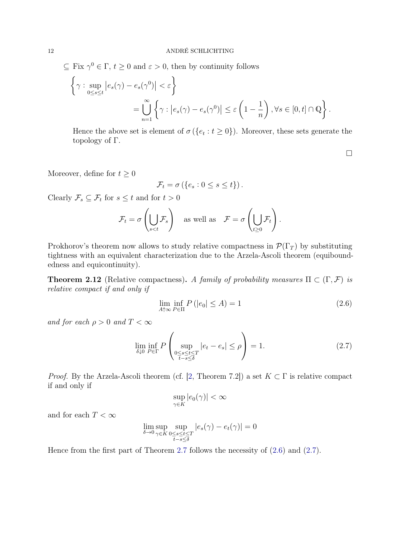$\subseteq$  Fix  $\gamma^0 \in \Gamma$ ,  $t \geq 0$  and  $\varepsilon > 0$ , then by continuity follows

$$
\left\{\gamma: \sup_{0\leq s\leq t} |e_s(\gamma) - e_s(\gamma^0)| < \varepsilon\right\}
$$
  
= 
$$
\bigcup_{n=1}^{\infty} \left\{\gamma: |e_s(\gamma) - e_s(\gamma^0)| \leq \varepsilon \left(1 - \frac{1}{n}\right), \forall s \in [0, t] \cap \mathbb{Q}\right\}.
$$

Hence the above set is element of  $\sigma({e_t : t \ge 0})$ . Moreover, these sets generate the topology of Γ.

<span id="page-11-0"></span> $\Box$ 

Moreover, define for  $t \geq 0$ 

$$
\mathcal{F}_t = \sigma\left(\{e_s : 0 \le s \le t\}\right).
$$

Clearly  $\mathcal{F}_s \subseteq \mathcal{F}_t$  for  $s \leq t$  and for  $t > 0$ 

$$
\mathcal{F}_t = \sigma\left(\bigcup_{s
$$

Prokhorov's theorem now allows to study relative compactness in  $\mathcal{P}(\Gamma_T)$  by substituting tightness with an equivalent characterization due to the Arzela-Ascoli theorem (equiboundedness and equicontinuity).

**Theorem 2.12** (Relative compactness). A family of probability measures  $\Pi \subset (\Gamma, \mathcal{F})$  is relative compact if and only if

$$
\lim_{A \uparrow \infty} \inf_{P \in \Pi} P\left( |e_0| \le A \right) = 1\tag{2.6}
$$

and for each  $\rho > 0$  and  $T < \infty$ 

$$
\lim_{\delta \downarrow 0} \inf_{P \in \Gamma} P\left(\sup_{\substack{0 \le s \le t \le T \\ t - s \le \delta}} |e_t - e_s| \le \rho\right) = 1. \tag{2.7}
$$

*Proof.* By the Arzela-Ascoli theorem (cf. [\[2,](#page-67-1) Theorem 7.2]) a set  $K \subset \Gamma$  is relative compact if and only if

<span id="page-11-1"></span>
$$
\sup_{\gamma \in K} |e_0(\gamma)| < \infty
$$

and for each  $T<\infty$ 

$$
\lim_{\delta \to 0} \sup_{\gamma \in K} \sup_{\substack{0 \le s \le t \le T \\ t - s \le \delta}} |e_s(\gamma) - e_t(\gamma)| = 0
$$

Hence from the first part of Theorem [2.7](#page-7-5) follows the necessity of [\(2.6\)](#page-11-0) and [\(2.7\)](#page-11-1).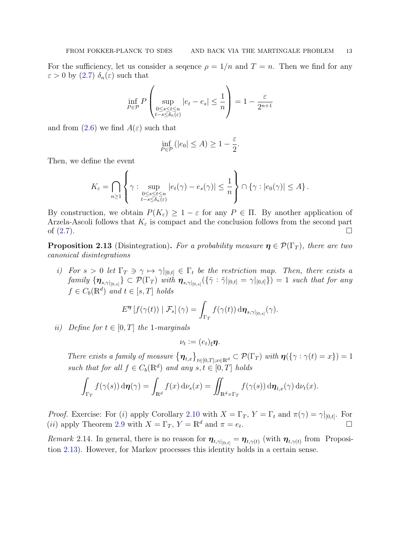For the sufficiency, let us consider a sequence  $\rho = 1/n$  and  $T = n$ . Then we find for any  $\varepsilon > 0$  by  $(2.7)$   $\delta_n(\varepsilon)$  such that

$$
\inf_{P \in \mathcal{P}} P\left(\sup_{\substack{0 \le s \le t \le n \\ t - s \le \delta_n(\varepsilon)}} |e_t - e_s| \le \frac{1}{n}\right) = 1 - \frac{\varepsilon}{2^{n+1}}
$$

and from [\(2.6\)](#page-11-0) we find  $A(\varepsilon)$  such that

$$
\inf_{P \in \mathcal{P}} (|e_0| \le A) \ge 1 - \frac{\varepsilon}{2}.
$$

Then, we define the event

$$
K_{\varepsilon} = \bigcap_{n \geq 1} \left\{ \gamma : \sup_{\substack{0 \leq s \leq t \leq n \\ t - s \leq \delta_n(\varepsilon)}} |e_t(\gamma) - e_s(\gamma)| \leq \frac{1}{n} \right\} \cap \left\{ \gamma : |e_0(\gamma)| \leq A \right\}.
$$

By construction, we obtain  $P(K_{\varepsilon}) \geq 1 - \varepsilon$  for any  $P \in \Pi$ . By another application of Arzela-Ascoli follows that  $K_{\varepsilon}$  is compact and the conclusion follows from the second part of  $(2.7)$ .

<span id="page-12-0"></span>**Proposition 2.13** (Disintegration). For a probability measure  $\eta \in \mathcal{P}(\Gamma_T)$ , there are two canonical disintegrations

i) For  $s > 0$  let  $\Gamma_T \ni \gamma \mapsto \gamma|_{[0,t]} \in \Gamma_t$  be the restriction map. Then, there exists a  $\{ {\it{family}~} \{{\it{n}}_{s,\gamma|_{[0,s]}}\} \subset {\cal P}(\Gamma_T) \enskip with \enskip {\it{n}}_{s,\gamma|_{[0,s[}}(\{\tilde{\gamma} : \tilde{\gamma}|_{[0,t]}=\gamma|_{[0,t]}\})=1 \enskip such \enskip that \enskip for \enskip any \enskip s.t. \enskip s.t. \enskip s.t. \enskip s.t. \enskip s.t. \enskip s.t. \enskip s.t. \enskip s.t. \enskip s.t. \enskip s.t. \enskip s.t. \enskip s.t. \enskip s.t. \enskip s.t. \enskip s.t. \enskip s.t. \enskip s.t. \enskip s.t. \enskip s.t$  $f \in C_b(\mathbb{R}^d)$  and  $t \in [s, T]$  holds

$$
E^{\boldsymbol{\eta}}\left[f(\gamma(t))\mid \mathcal{F}_s\right](\gamma) = \int_{\Gamma_T} f(\gamma(t)) \,\mathrm{d}\boldsymbol{\eta}_{s,\gamma|_{[0,s]}}(\gamma).
$$

ii) Define for  $t \in [0, T]$  the 1-marginals

$$
\nu_t := (e_t)_{\sharp} \eta.
$$

There exists a family of measure  $\{\boldsymbol{\eta}_{t,x}\}_{t\in[0,T];x\in\mathbb{R}^d} \subset \mathcal{P}(\Gamma_T)$  with  $\boldsymbol{\eta}(\{\gamma : \gamma(t) = x\}) = 1$ such that for all  $f \in C_b(\mathbb{R}^d)$  and any  $s, t \in [0, T]$  holds

$$
\int_{\Gamma_T} f(\gamma(s)) d\boldsymbol{\eta}(\gamma) = \int_{\mathbb{R}^d} f(x) d\nu_s(x) = \iint_{\mathbb{R}^d \times \Gamma_T} f(\gamma(s)) d\boldsymbol{\eta}_{t,x}(\gamma) d\nu_t(x).
$$

*Proof.* Exercise: For (i) apply Corollary [2.10](#page-10-2) with  $X = \Gamma_T$ ,  $Y = \Gamma_t$  and  $\pi(\gamma) = \gamma|_{[0,t]}$ . For (*ii*) apply Theorem [2.9](#page-7-6) with  $X = \Gamma_T$ ,  $Y = \mathbb{R}^d$  and  $\pi = e_t$ . .

<span id="page-12-1"></span>Remark 2.14. In general, there is no reason for  $\eta_{t,\gamma|_{[0,t]}} = \eta_{t,\gamma(t)}$  (with  $\eta_{t,\gamma(t)}$  from Proposition [2.13\)](#page-12-0). However, for Markov processes this identity holds in a certain sense.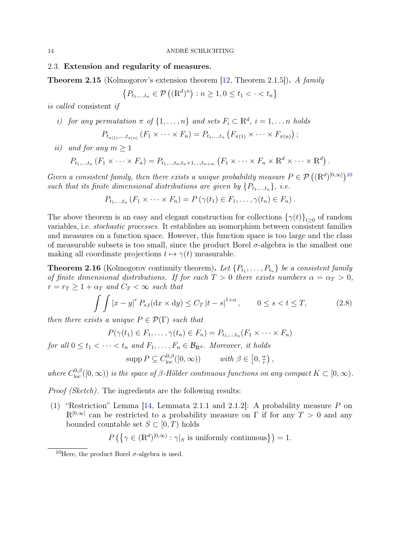## <span id="page-13-0"></span>2.3. Extension and regularity of measures.

<span id="page-13-2"></span>Theorem 2.15 (Kolmogorov's extension theorem [\[12,](#page-67-2) Theorem 2.1.5]). A family

$$
\{P_{t_1,\dots,t_n} \in \mathcal{P}\left( (\mathbb{R}^d)^n \right) : n \ge 1, 0 \le t_1 < \cdot < t_n \}
$$

is called consistent if

*i)* for any permutation 
$$
\pi
$$
 of  $\{1, ..., n\}$  and sets  $F_i \subset \mathbb{R}^d$ ,  $i = 1, ..., n$  holds

$$
P_{t_{\pi(1)},...,t_{\pi(n)}} (F_1 \times \cdots \times F_n) = P_{t_1,...,t_n} (F_{\pi(1)} \times \cdots \times F_{\pi(n)}) ;
$$

ii) and for any  $m \geq 1$ 

$$
P_{t_1,\dots,t_n}(F_1\times\cdots\times F_n)=P_{t_1,\dots,t_n,t_n+1,\dots,t_{n+m}}(F_1\times\cdots\times F_n\times\mathbb{R}^d\times\cdots\times\mathbb{R}^d).
$$

Given a consistent family, then there exists a unique probability measure  $P \in \mathcal{P}((\mathbb{R}^d)^{[0,\infty]})^{10}$  $P \in \mathcal{P}((\mathbb{R}^d)^{[0,\infty]})^{10}$  $P \in \mathcal{P}((\mathbb{R}^d)^{[0,\infty]})^{10}$ such that its finite dimensional distributions are given by  $\{P_{t_1,\ldots,t_n}\}, i.e.$ 

$$
P_{t_1,\ldots,t_n}(F_1\times\cdots\times F_n)=P\left(\gamma(t_1)\in F_1,\ldots,\gamma(t_n)\in F_n\right).
$$

The above theorem is an easy and elegant construction for collections  $\{\gamma(t)\}_{t\geq0}$  of random variables, i.e. stochastic processes. It establishes an isomorphism between consistent families and measures on a function space. However, this function space is too large and the class of measurable subsets is too small, since the product Borel  $\sigma$ -algebra is the smallest one making all coordinate projections  $t \mapsto \gamma(t)$  measurable.

<span id="page-13-4"></span>**Theorem 2.16** (Kolmogorov continuity theorem). Let  $\{P_{t_1}, \ldots, P_{t_n}\}$  be a consistent family of finite dimensional distributions. If for each  $T > 0$  there exists numbers  $\alpha = \alpha_T > 0$ ,  $r = r_T \geq 1 + \alpha_T$  and  $C_T < \infty$  such that

$$
\int \int |x - y|^r P_{s,t}(\mathrm{d}x \times \mathrm{d}y) \le C_T |t - s|^{1+\alpha}, \qquad 0 \le s < t \le T,\tag{2.8}
$$

then there exists a unique  $P \in \mathcal{P}(\Gamma)$  such that

$$
P(\gamma(t_1) \in F_1, \ldots, \gamma(t_n) \in F_n) = P_{t_1, \ldots, t_n}(F_1 \times \cdots \times F_n)
$$

for all  $0 \le t_1 < \cdots < t_n$  and  $F_1, \ldots, F_n \in \mathcal{B}_{\mathbb{R}^d}$ . Moreover, it holds

<span id="page-13-3"></span>
$$
\operatorname{supp} P \subseteq C^{0,\beta}_{\text{loc}}([0,\infty)) \qquad \text{ with } \beta \in [0,\tfrac{\alpha}{r}) ,
$$

where  $C_{\text{loc}}^{0,\beta}([0,\infty))$  is the space of  $\beta$ -Hölder continuous functions on any compact  $K \subset [0,\infty)$ .

*Proof (Sketch)*. The ingredients are the following results:

(1) "Restriction" Lemma [\[14,](#page-67-3) Lemmata 2.1.1 and 2.1.2]: A probability measure P on  $\mathbb{R}^{[0,\infty]}$  can be restricted to a probability measure on  $\Gamma$  if for any  $T > 0$  and any bounded countable set  $S \subset [0, T)$  holds

$$
P\left(\left\{\gamma \in (\mathbb{R}^d)^{[0,\infty)} : \gamma|_S \text{ is uniformly continuous}\right\}\right) = 1.
$$

<span id="page-13-1"></span><sup>&</sup>lt;sup>10</sup>Here, the product Borel  $\sigma$ -algebra is used.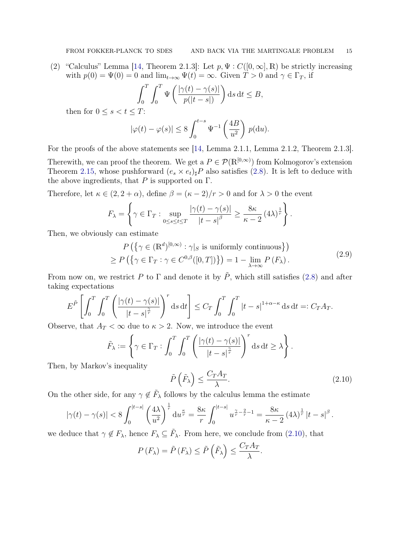(2) "Calculus" Lemma [\[14,](#page-67-3) Theorem 2.1.3]: Let  $p, \Psi : C([0, \infty], \mathbb{R})$  be strictly increasing with  $p(0) = \Psi(0) = 0$  and  $\lim_{t\to\infty} \Psi(t) = \infty$ . Given  $T > 0$  and  $\gamma \in \Gamma_T$ , if

$$
\int_0^T \int_0^T \Psi\left(\frac{|\gamma(t) - \gamma(s)|}{p(|t - s|)}\right) ds dt \le B,
$$

then for  $0 \leq s < t \leq T$ :

$$
|\varphi(t) - \varphi(s)| \le 8 \int_0^{t-s} \Psi^{-1}\left(\frac{4B}{u^2}\right) p(\mathrm{d}u).
$$

For the proofs of the above statements see [\[14,](#page-67-3) Lemma 2.1.1, Lemma 2.1.2, Theorem 2.1.3]. Therewith, we can proof the theorem. We get a  $P \in \mathcal{P}(\mathbb{R}^{[0,\infty)})$  from Kolmogorov's extension Theorem [2.15,](#page-13-2) whose pushforward  $(e_s \times e_t)_\sharp P$  also satisfies [\(2.8\)](#page-13-3). It is left to deduce with the above ingredients, that  $P$  is supported on  $\Gamma$ .

Therefore, let  $\kappa \in (2, 2 + \alpha)$ , define  $\beta = (\kappa - 2)/r > 0$  and for  $\lambda > 0$  the event

$$
F_{\lambda} = \left\{ \gamma \in \Gamma_T : \sup_{0 \le s \le t \le T} \frac{|\gamma(t) - \gamma(s)|}{|t - s|^{\beta}} \ge \frac{8\kappa}{\kappa - 2} (4\lambda)^{\frac{1}{r}} \right\}.
$$

Then, we obviously can estimate

$$
P\left(\left\{\gamma \in (\mathbb{R}^d)^{[0,\infty)} : \gamma|_{S} \text{ is uniformly continuous}\right\}\right)
$$
  
\n
$$
\geq P\left(\left\{\gamma \in \Gamma_T : \gamma \in C^{0,\beta}([0,T])\right\}\right) = 1 - \lim_{\lambda \to \infty} P\left(F_{\lambda}\right).
$$
\n(2.9)

From now on, we restrict P to  $\Gamma$  and denote it by  $\tilde{P}$ , which still satisfies [\(2.8\)](#page-13-3) and after taking expectations

$$
E^{\tilde{P}}\left[\int_0^T \int_0^T \left(\frac{|\gamma(t) - \gamma(s)|}{|t - s|^{\frac{\gamma}{r}}}\right)^r ds dt\right] \le C_T \int_0^T \int_0^T |t - s|^{1 + \alpha - \kappa} ds dt =: C_T A_T.
$$

Observe, that  $A_T < \infty$  due to  $\kappa > 2$ . Now, we introduce the event

$$
\tilde{F}_{\lambda} := \left\{ \gamma \in \Gamma_T : \int_0^T \int_0^T \left( \frac{|\gamma(t) - \gamma(s)|}{|t - s|^{\frac{\gamma}{r}}} \right)^r ds dt \ge \lambda \right\}.
$$

Then, by Markov's inequality

<span id="page-14-1"></span><span id="page-14-0"></span>
$$
\tilde{P}\left(\tilde{F}_{\lambda}\right) \le \frac{C_T A_T}{\lambda}.\tag{2.10}
$$

On the other side, for any  $\gamma \notin \tilde{F}_{\lambda}$  follows by the calculus lemma the estimate

$$
|\gamma(t)-\gamma(s)|<8\int_0^{|t-s|}\left(\frac{4\lambda}{u^2}\right)^{\frac{1}{r}}\mathrm{d}u^{\frac{\kappa}{r}}=\frac{8\kappa}{r}\int_0^{|t-s|}u^{\frac{\gamma}{r}-\frac{2}{r}-1}=\frac{8\kappa}{\kappa-2}\left(4\lambda\right)^{\frac{1}{r}}|t-s|^\beta\,.
$$

we deduce that  $\gamma \notin F_{\lambda}$ , hence  $F_{\lambda} \subseteq \tilde{F}_{\lambda}$ . From here, we conclude from [\(2.10\)](#page-14-0), that

$$
P(F_{\lambda}) = \tilde{P}(F_{\lambda}) \le \tilde{P}\left(\tilde{F}_{\lambda}\right) \le \frac{C_T A_T}{\lambda}.
$$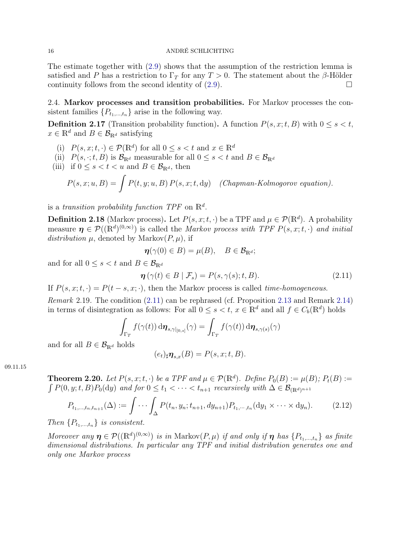The estimate together with [\(2.9\)](#page-14-1) shows that the assumption of the restriction lemma is satisfied and P has a restriction to  $\Gamma_T$  for any  $T > 0$ . The statement about the β-Hölder continuity follows from the second identity of  $(2.9)$ .

<span id="page-15-0"></span>2.4. Markov processes and transition probabilities. For Markov processes the consistent families  $\{P_{t_1,\ldots,t_n}\}\$ arise in the following way.

**Definition 2.17** (Transition probability function). A function  $P(s, x; t, B)$  with  $0 \le s < t$ ,  $x \in \mathbb{R}^d$  and  $B \in \mathcal{B}_{\mathbb{R}^d}$  satisfying

- (i)  $P(s, x; t, \cdot) \in \mathcal{P}(\mathbb{R}^d)$  for all  $0 \le s < t$  and  $x \in \mathbb{R}^d$
- (ii)  $P(s, \cdot; t, B)$  is  $\mathcal{B}_{\mathbb{R}^d}$  measurable for all  $0 \le s < t$  and  $B \in \mathcal{B}_{\mathbb{R}^d}$
- (iii) if  $0 \leq s < t < u$  and  $B \in \mathcal{B}_{\mathbb{R}^d}$ , then

$$
P(s, x; u, B) = \int P(t, y; u, B) P(s, x; t, dy) \quad (Chapman-Kolmogorov equation).
$$

is a transition probability function TPF on  $\mathbb{R}^d$ .

**Definition 2.18** (Markov process). Let  $P(s, x; t, \cdot)$  be a TPF and  $\mu \in \mathcal{P}(\mathbb{R}^d)$ . A probability measure  $\eta \in \mathcal{P}((\mathbb{R}^d)^{(0,\infty)})$  is called the *Markov process with TPF P(s, x, t, ·)* and *initial* distribution  $\mu$ , denoted by Markov $(P, \mu)$ , if

<span id="page-15-1"></span>
$$
\boldsymbol{\eta}(\gamma(0) \in B) = \mu(B), \quad B \in \mathcal{B}_{\mathbb{R}^d};
$$

and for all  $0 \leq s < t$  and  $B \in \mathcal{B}_{\mathbb{R}^d}$ 

$$
\boldsymbol{\eta}\left(\gamma(t)\in B\mid\mathcal{F}_s\right) = P(s,\gamma(s);t,B). \tag{2.11}
$$

If  $P(s, x; t, \cdot) = P(t - s, x; \cdot)$ , then the Markov process is called *time-homogeneous*.

Remark 2.19. The condition [\(2.11\)](#page-15-1) can be rephrased (cf. Proposition [2.13](#page-12-0) and Remark [2.14\)](#page-12-1) in terms of disintegration as follows: For all  $0 \le s < t$ ,  $x \in \mathbb{R}^d$  and all  $f \in C_b(\mathbb{R}^d)$  holds

$$
\int_{\Gamma_T} f(\gamma(t)) \, d\boldsymbol{\eta}_{s,\gamma|_{[0,s]}}(\gamma) = \int_{\Gamma_T} f(\gamma(t)) \, d\boldsymbol{\eta}_{s,\gamma(s)}(\gamma)
$$

and for all  $B \in \mathcal{B}_{\mathbb{R}^d}$  holds

<span id="page-15-2"></span>
$$
(e_t)_{\sharp}\boldsymbol{\eta}_{s,x}(B) = P(s,x;t,B).
$$

09.11.15

<span id="page-15-3"></span>**Theorem 2.20.** Let  $P(s, x; t, \cdot)$  be a TPF and  $\mu \in \mathcal{P}(\mathbb{R}^d)$ . Define  $P_0(B) := \mu(B); P_t(B) :=$  $\int P(0, y; t, B) P_0(\mathrm{d}y)$  and for  $0 \le t_1 < \cdots < t_{n+1}$  recursively with  $\Delta \in \mathcal{B}_{(\mathbb{R}^d)^{n+1}}$ 

$$
P_{t_1,\dots,t_n,t_{n+1}}(\Delta) := \int \cdots \int_{\Delta} P(t_n, y_n; t_{n+1}, dy_{n+1}) P_{t_1,\dots,t_n}(\mathrm{d}y_1 \times \cdots \times \mathrm{d}y_n).
$$
 (2.12)

Then  $\{P_{t_1,\ldots,t_n}\}\$ is consistent.

Moreover any  $\boldsymbol{\eta} \in \mathcal{P}((\mathbb{R}^d)^{(0,\infty)})$  is in Markov $(P,\mu)$  if and only if  $\boldsymbol{\eta}$  has  $\{P_{t_1,...,t_n}\}$  as finite dimensional distributions. In particular any TPF and initial distribution generates one and only one Markov process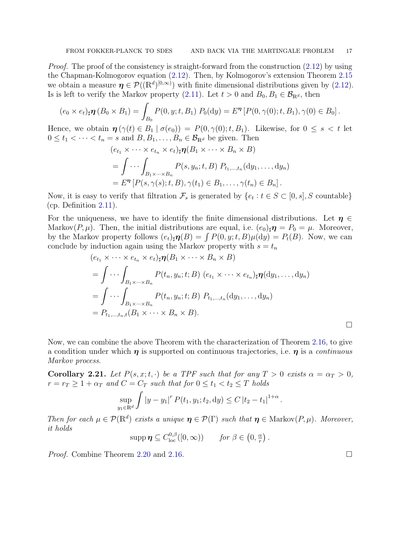Proof. The proof of the consistency is straight-forward from the construction  $(2.12)$  by using the Chapman-Kolmogorov equation [\(2.12\)](#page-15-2). Then, by Kolmogorov's extension Theorem [2.15](#page-13-2) we obtain a measure  $\eta \in \mathcal{P}((\mathbb{R}^d)^{[0,\infty)})$  with finite dimensional distributions given by [\(2.12\)](#page-15-2). Is is left to verify the Markov property [\(2.11\)](#page-15-1). Let  $t > 0$  and  $B_0, B_1 \in \mathcal{B}_{\mathbb{R}^d}$ , then

$$
(e_0 \times e_t)_\sharp \boldsymbol{\eta} (B_0 \times B_1) = \int_{B_0} P(0, y; t, B_1) P_0(\mathrm{d}y) = E^{\boldsymbol{\eta}} [P(0, \gamma(0); t, B_1), \gamma(0) \in B_0].
$$

Hence, we obtain  $\eta(\gamma(t) \in B_1 | \sigma(e_0)) = P(0, \gamma(0); t, B_1)$ . Likewise, for  $0 \leq s < t$  let  $0 \leq t_1 < \cdots < t_n = s$  and  $B, B_1, \ldots, B_n \in \mathcal{B}_{\mathbb{R}^d}$  be given. Then

$$
(e_{t_1} \times \cdots \times e_{t_n} \times e_t)_\sharp \boldsymbol{\eta}(B_1 \times \cdots \times B_n \times B)
$$
  
= 
$$
\int \cdots \int_{B_1 \times \cdots \times B_n} P(s, y_n; t, B) P_{t_1, \ldots, t_n}(dy_1, \ldots, dy_n)
$$
  
= 
$$
E^{\boldsymbol{\eta}} [P(s, \gamma(s); t, B), \gamma(t_1) \in B_1, \ldots, \gamma(t_n) \in B_n].
$$

Now, it is easy to verify that filtration  $\mathcal{F}_s$  is generated by  $\{e_t : t \in S \subset [0, s], S \text{ countable}\}\$ (cp. Definition [2.11\)](#page-10-3).

For the uniqueness, we have to identify the finite dimensional distributions. Let  $\eta \in$ Markov $(P, \mu)$ . Then, the initial distributions are equal, i.e.  $(e_0)_\sharp \eta = P_0 = \mu$ . Moreover, by the Markov property follows  $(e_t)_\sharp \eta(B) = \int P(0, y; t, B) \mu(dy) = P_t(B)$ . Now, we can conclude by induction again using the Markov property with  $s = t_n$ 

$$
(e_{t_1} \times \cdots \times e_{t_n} \times e_t)_\sharp \boldsymbol{\eta}(B_1 \times \cdots \times B_n \times B)
$$
  
= 
$$
\int \cdots \int_{B_1 \times \cdots \times B_n} P(t_n, y_n; t; B) (e_{t_1} \times \cdots \times e_{t_n})_\sharp \boldsymbol{\eta}(dy_1, \ldots, dy_n)
$$
  
= 
$$
\int \cdots \int_{B_1 \times \cdots \times B_n} P(t_n, y_n; t; B) P_{t_1, \ldots, t_n}(dy_1, \ldots, dy_n)
$$
  
= 
$$
P_{t_1, \ldots, t_n, t} (B_1 \times \cdots \times B_n \times B).
$$

Now, we can combine the above Theorem with the characterization of Theorem [2.16,](#page-13-4) to give a condition under which  $\eta$  is supported on continuous trajectories, i.e.  $\eta$  is a *continuous* Markov process.

<span id="page-16-0"></span>Corollary 2.21. Let  $P(s, x; t, \cdot)$  be a TPF such that for any  $T > 0$  exists  $\alpha = \alpha_T > 0$ ,  $r = r_T \geq 1 + \alpha_T$  and  $C = C_T$  such that for  $0 \leq t_1 < t_2 \leq T$  holds

$$
\sup_{y_1 \in \mathbb{R}^d} \int |y - y_1|^r P(t_1, y_1; t_2, dy) \le C |t_2 - t_1|^{1 + \alpha}.
$$

Then for each  $\mu \in \mathcal{P}(\mathbb{R}^d)$  exists a unique  $\eta \in \mathcal{P}(\Gamma)$  such that  $\eta \in \text{Markov}(P, \mu)$ . Moreover, it holds

$$
\operatorname{supp} \boldsymbol{\eta} \subseteq C^{0,\beta}_{\operatorname{loc}}([0,\infty)) \qquad \text{for } \beta \in (0,\tfrac{\alpha}{r}) .
$$

*Proof.* Combine Theorem [2.20](#page-15-3) and [2.16.](#page-13-4) □

 $\Box$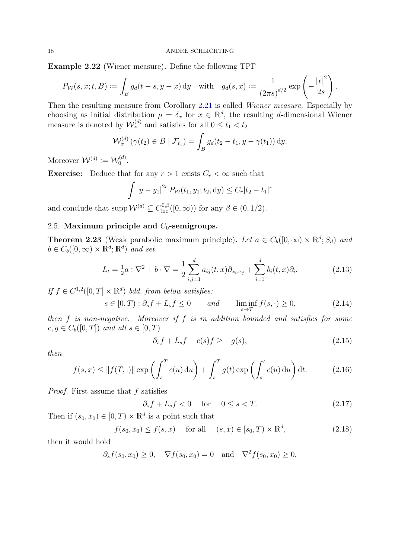<span id="page-17-8"></span>Example 2.22 (Wiener measure). Define the following TPF

$$
P_{\mathcal{W}}(s,x;t,B) := \int_B g_d(t-s,y-x) \, \mathrm{d}y \quad \text{with} \quad g_d(s,x) := \frac{1}{(2\pi s)^{d/2}} \exp\left(-\frac{|x|^2}{2s}\right).
$$

Then the resulting measure from Corollary [2.21](#page-16-0) is called Wiener measure. Especially by choosing as initial distribution  $\mu = \delta_x$  for  $x \in \mathbb{R}^d$ , the resulting d-dimensional Wiener measure is denoted by  $\mathcal{W}_x^{(d)}$  and satisfies for all  $0 \le t_1 < t_2$ 

$$
\mathcal{W}_x^{(d)}\left(\gamma(t_2)\in B\mid \mathcal{F}_{t_1}\right)=\int_B g_d(t_2-t_1,y-\gamma(t_1))\,\mathrm{d}y.
$$

Moreover  $\mathcal{W}^{(d)} := \mathcal{W}_0^{(d)}$  $\big\{ \begin{matrix} (a) \ 0 \end{matrix}.$ 

**Exercise:** Deduce that for any  $r > 1$  exists  $C_r < \infty$  such that

$$
\int |y - y_1|^{2r} P_{\mathcal{W}}(t_1, y_1; t_2, dy) \le C_r |t_2 - t_1|^r
$$

and conclude that supp  $W^{(d)} \subseteq C_{\text{loc}}^{0,\beta}([0,\infty))$  for any  $\beta \in (0,1/2)$ .

# <span id="page-17-0"></span>2.5. Maximum principle and  $C_0$ -semigroups.

<span id="page-17-7"></span>**Theorem 2.23** (Weak parabolic maximum principle). Let  $a \in C_b([0,\infty) \times \mathbb{R}^d; S_d)$  and  $b \in C_b([0,\infty) \times \mathbb{R}^d; \mathbb{R}^d)$  and set

$$
L_t = \frac{1}{2}a : \nabla^2 + b \cdot \nabla = \frac{1}{2} \sum_{i,j=1}^d a_{ij}(t,x) \partial_{x_i, x_j} + \sum_{i=1}^d b_i(t,x) \partial_i.
$$
 (2.13)

If  $f \in C^{1,2}([0,T] \times \mathbb{R}^d)$  bdd. from below satisfies:

$$
s \in [0, T) : \partial_s f + L_s f \le 0 \qquad and \qquad \liminf_{s \to T} f(s, \cdot) \ge 0,
$$
\n
$$
(2.14)
$$

then  $f$  is non-negative. Moreover if  $f$  is in addition bounded and satisfies for some  $c, g \in C_b([0,T])$  and all  $s \in [0,T)$ 

<span id="page-17-6"></span><span id="page-17-5"></span><span id="page-17-4"></span><span id="page-17-3"></span>
$$
\partial_s f + L_s f + c(s) f \ge -g(s),\tag{2.15}
$$

then

$$
f(s,x) \le ||f(T,\cdot)|| \exp\left(\int_s^T c(u) \, \mathrm{d}u\right) + \int_s^T g(t) \exp\left(\int_s^t c(u) \, \mathrm{d}u\right) \mathrm{d}t. \tag{2.16}
$$

Proof. First assume that f satisfies

<span id="page-17-2"></span><span id="page-17-1"></span>
$$
\partial_s f + L_s f < 0 \quad \text{for} \quad 0 \le s < T. \tag{2.17}
$$

Then if  $(s_0, x_0) \in [0, T) \times \mathbb{R}^d$  is a point such that

$$
f(s_0, x_0) \le f(s, x)
$$
 for all  $(s, x) \in [s_0, T) \times \mathbb{R}^d$ , (2.18)

then it would hold

$$
\partial_s f(s_0, x_0) \ge 0
$$
,  $\nabla f(s_0, x_0) = 0$  and  $\nabla^2 f(s_0, x_0) \ge 0$ .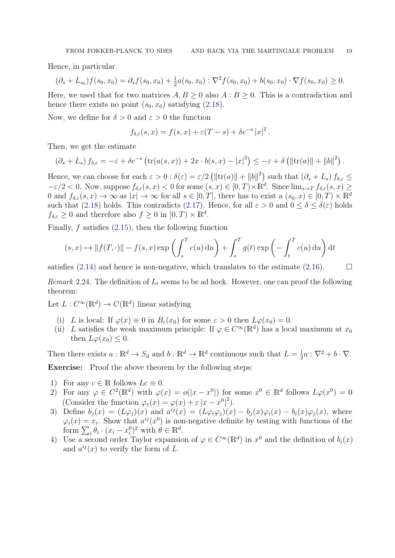Hence, in particular

$$
(\partial_s + L_{s_0})f(s_0, x_0) = \partial_s f(s_0, x_0) + \frac{1}{2}a(s_0, x_0) : \nabla^2 f(s_0, x_0) + b(s_0, x_0) \cdot \nabla f(s_0, x_0) \ge 0.
$$

Here, we used that for two matrices  $A, B \ge 0$  also  $A : B \ge 0$ . This is a contradiction and hence there exists no point  $(s_0, x_0)$  satisfying  $(2.18)$ .

Now, we define for  $\delta > 0$  and  $\varepsilon > 0$  the function

$$
f_{\delta,\varepsilon}(s,x) = f(s,x) + \varepsilon (T-s) + \delta e^{-s} |x|^2.
$$

Then, we get the estimate

$$
(\partial_s + L_s) f_{\delta,\varepsilon} = -\varepsilon + \delta e^{-s} \left( \text{tr}(a(s,x)) + 2x \cdot b(s,x) - |x|^2 \right) \leq -\varepsilon + \delta \left( ||\text{tr}(a)|| + ||b||^2 \right).
$$

Hence, we can choose for each  $\varepsilon > 0$ :  $\delta(\varepsilon) = \varepsilon/2 \left( ||\text{tr}(a)|| + ||b||^2 \right)$  such that  $(\partial_s + L_s) f_{\delta,\varepsilon} \leq$  $-\varepsilon/2 < 0$ . Now, suppose  $f_{\delta,\varepsilon}(s,x) < 0$  for some  $(s,x) \in [0,T) \times \mathbb{R}^d$ . Since  $\lim_{s \to T} f_{\delta,\varepsilon}(s,x) \ge$ 0 and  $f_{\delta,\varepsilon}(s,x) \to \infty$  as  $|x| \to \infty$  for all  $s \in [0,T]$ , there has to exist a  $(s_0,x) \in [0,T] \times \mathbb{R}^d$ such that [\(2.18\)](#page-17-1) holds. This contradicts [\(2.17\)](#page-17-2). Hence, for all  $\varepsilon > 0$  and  $0 \le \delta \le \delta(\varepsilon)$  holds  $f_{\delta,\varepsilon} \geq 0$  and therefore also  $f \geq 0$  in  $[0,T) \times \mathbb{R}^d$ .

Finally,  $f$  satisfies  $(2.15)$ , then the following function

$$
(s,x) \mapsto ||f(T,\cdot)|| - f(s,x) \exp\left(\int_s^T c(u) \, \mathrm{d}u\right) + \int_s^T g(t) \exp\left(-\int_t^T c(u) \, \mathrm{d}u\right) \mathrm{d}t
$$

satisfies [\(2.14\)](#page-17-4) and hence is non-negative, which translates to the estimate [\(2.16\)](#page-17-5).  $\Box$ 

*Remark* 2.24. The definition of  $L_t$  seems to be ad hock. However, one can proof the following theorem:

Let  $L: C^{\infty}(\mathbb{R}^d) \to C(\mathbb{R}^d)$  linear satisfying

- (i) L is local: If  $\varphi(x) \equiv 0$  in  $B_{\varepsilon}(x_0)$  for some  $\varepsilon > 0$  then  $L\varphi(x_0) = 0$ .
- (ii) L satisfies the weak maximum principle: If  $\varphi \in C^{\infty}(\mathbb{R}^d)$  has a local maximum at  $x_0$ then  $L\varphi(x_0) \leq 0$ .

Then there exists  $a: \mathbb{R}^d \to S_d$  and  $b: \mathbb{R}^d \to \mathbb{R}^d$  continuous such that  $L = \frac{1}{2}$  $\frac{1}{2}a:\nabla^2+b\cdot\nabla.$ Exercise: Proof the above theorem by the following steps:

- 1) For any  $c \in \mathbb{R}$  follows  $Lc \equiv 0$ .
- 2) For any  $\varphi \in C^2(\mathbb{R}^d)$  with  $\varphi(x) = o(|x x^0|)$  for some  $x^0 \in \mathbb{R}^d$  follows  $L\varphi(x^0) = 0$ (Consider the function  $\varphi_{\varepsilon}(x) = \varphi(x) + \varepsilon |x - x^0|^2$ ).
- 3) Define  $b_j(x) = (L\varphi_j)(x)$  and  $a^{ij}(x) = (L\varphi_i\varphi_j)(x) b_j(x)\varphi_i(x) b_i(x)\varphi_j(x)$ , where  $\varphi_i(x) = x_i$ . Show that  $a^{ij}(x^0)$  is non-negative definite by testing with functions of the form  $\sum_i \theta_i \cdot (x_i - x_i^0)^2$  with  $\theta \in \mathbb{R}^d$ .
- 4) Use a second order Taylor expansion of  $\varphi \in C^{\infty}(\mathbb{R}^d)$  in  $x^0$  and the definition of  $b_i(x)$ and  $a^{ij}(x)$  to verify the form of L.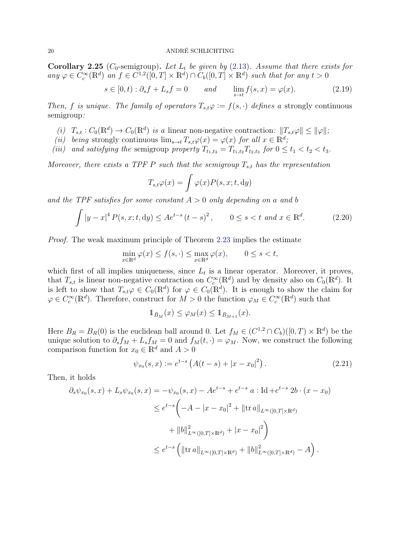<span id="page-19-3"></span>**Corollary 2.25** ( $C_0$ -semigroup). Let  $L_t$  be given by [\(2.13\)](#page-17-6). Assume that there exists for any  $\varphi \in C_c^{\infty}(\mathbb{R}^d)$  an  $f \in C^{1,2}([0,T] \times \mathbb{R}^d) \cap C_b([0,T] \times \mathbb{R}^d)$  such that for any  $t > 0$ 

$$
s \in [0, t) : \partial_s f + L_s f = 0 \qquad and \qquad \lim_{s \to t} f(s, x) = \varphi(x). \tag{2.19}
$$

Then, f is unique. The family of operators  $T_{s,t}\varphi := f(s, \cdot)$  defines a strongly continuous semigroup:

- (i)  $T_{s,t} : C_0(\mathbb{R}^d) \to C_0(\mathbb{R}^d)$  is a linear non-negative contraction:  $||T_{s,t}\varphi|| \leq ||\varphi||$ ,
- (ii) being strongly continuous  $\lim_{s\to t} T_{s,t}\varphi(x) = \varphi(x)$  for all  $x \in \mathbb{R}^d$ ;
- (iii) and satisfying the semigroup property  $T_{t_1,t_3} = T_{t_1,t_2} T_{t_2,t_3}$  for  $0 \le t_1 < t_2 < t_3$ .

Moreover, there exists a TPF P such that the semigroup  $T_{s,t}$  has the representation

<span id="page-19-2"></span><span id="page-19-0"></span>
$$
T_{s,t}\varphi(x) = \int \varphi(x)P(s,x;t,\mathrm{d}y)
$$

and the TPF satisfies for some constant  $A > 0$  only depending on a and b

$$
\int |y - x|^4 P(s, x; t, dy) \le A e^{t - s} (t - s)^2, \qquad 0 \le s < t \text{ and } x \in \mathbb{R}^d.
$$
 (2.20)

Proof. The weak maximum principle of Theorem [2.23](#page-17-7) implies the estimate

$$
\min_{x \in \mathbb{R}^d} \varphi(x) \le f(s, \cdot) \le \max_{x \in \mathbb{R}^d} \varphi(x), \qquad 0 \le s < t,
$$

which first of all implies uniqueness, since  $L_t$  is a linear operator. Moreover, it proves, that  $T_{s,t}$  is linear non-negative contraction on  $C_c^{\infty}(\mathbb{R}^d)$  and by density also on  $C_0(\mathbb{R}^d)$ . It is left to show that  $T_{s,t}\varphi \in C_0(\mathbb{R}^d)$  for  $\varphi \in C_0(\mathbb{R}^d)$ . It is enough to show the claim for  $\varphi \in C_c^{\infty}(\mathbb{R}^d)$ . Therefore, construct for  $M > 0$  the function  $\varphi_M \in C_c^{\infty}(\mathbb{R}^d)$  such that

<span id="page-19-1"></span>
$$
\mathbb{1}_{\bar{B}_M}(x) \le \varphi_M(x) \le \mathbb{1}_{\bar{B}_{M+1}}(x).
$$

Here  $B_R = B_R(0)$  is the euclidean ball around 0. Let  $f_M \in (C^{1,2} \cap C_b)([0,T) \times \mathbb{R}^d)$  be the unique solution to  $\partial_s f_M + L_s f_M = 0$  and  $f_M(t, \cdot) = \varphi_M$ . Now, we construct the following comparison function for  $x_0 \in \mathbb{R}^d$  and  $A > 0$ 

$$
\psi_{x_0}(s, x) := e^{t-s} \left( A(t - s) + |x - x_0|^2 \right). \tag{2.21}
$$

Then, it holds

$$
\partial_s \psi_{x_0}(s, x) + L_s \psi_{x_0}(s, x) = -\psi_{x_0}(s, x) - Ae^{t-s} + e^{t-s} \ a : \text{Id} + e^{t-s} \ 2b \cdot (x - x_0)
$$
  
\n
$$
\leq e^{t-s} \left( -A - |x - x_0|^2 + ||\text{tr } a||_{L^{\infty}([0, T] \times \mathbb{R}^d)} + ||b||_{L^{\infty}([0, T] \times \mathbb{R}^d)}^2 + ||b||_{L^{\infty}([0, T] \times \mathbb{R}^d)}^2 + |x - x_0|^2 \right)
$$
  
\n
$$
\leq e^{t-s} \left( ||\text{tr } a||_{L^{\infty}([0, T] \times \mathbb{R}^d)} + ||b||_{L^{\infty}([0, T] \times \mathbb{R}^d)}^2 - A \right).
$$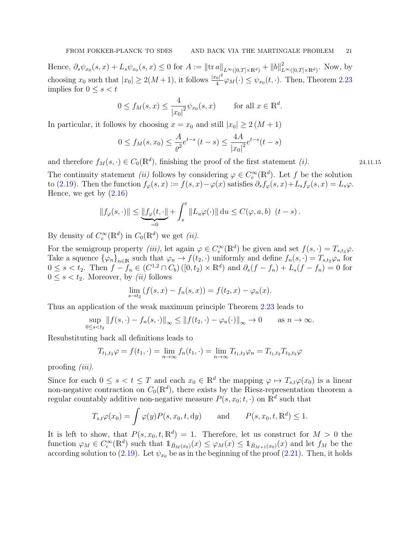Hence,  $\partial_s \psi_{x_0}(s, x) + L_s \psi_{x_0}(s, x) \le 0$  for  $A := ||\text{tr } a||_{L^{\infty}([0, T] \times \mathbb{R}^d)} + ||b||_{L^{\infty}([0, T] \times \mathbb{R}^d)}^2$ . Now, by choosing  $x_0$  such that  $|x_0| \geq 2(M+1)$ , it follows  $\frac{|x_0|^2}{4}$  $\frac{1}{4} \varphi_M(\cdot) \leq \psi_{x_0}(t, \cdot)$ . Then, Theorem [2.23](#page-17-7) implies for  $0 \leq s < t$ 

$$
0 \le f_M(s, x) \le \frac{4}{|x_0|^2} \psi_{x_0}(s, x)
$$
 for all  $x \in \mathbb{R}^d$ .

In particular, it follows by choosing  $x = x_0$  and still  $|x_0| \geq 2(M+1)$ 

$$
0 \le f_M(s, x_0) \le \frac{A}{\varrho^2} e^{t-s} (t-s) \le \frac{4A}{|x_0|^2} e^{t-s} (t-s)
$$

and therefore  $f_M(s, \cdot) \in C_0(\mathbb{R}^d)$ , finishing the proof of the first statement (*i*). 24.11.15

The continuity statement *(ii)* follows by considering  $\varphi \in C_c^{\infty}(\mathbb{R}^d)$ . Let f be the solution to [\(2.19\)](#page-19-0). Then the function  $f_{\varphi}(s, x) := f(s, x) - \varphi(x)$  satisfies  $\partial_s f_{\varphi}(s, x) + L_s f_{\varphi}(s, x) = L_s \varphi$ . Hence, we get by [\(2.16\)](#page-17-5)

$$
||f_{\varphi}(s,\cdot)|| \le \underbrace{||f_{\varphi}(t,\cdot||}_{=0} + \int_{s}^{t} ||L_u \varphi(\cdot)|| du \le C(\varphi, a, b) \ (t-s).
$$

By density of  $C_c^{\infty}(\mathbb{R}^d)$  in  $C_0(\mathbb{R}^d)$  we get *(ii)*.

For the semigroup property *(iii)*, let again  $\varphi \in C_c^{\infty}(\mathbb{R}^d)$  be given and set  $f(s, \cdot) = T_{s,t_3}\varphi$ . Take a squence  $\{\varphi_n\}_{n\in\mathbb{N}}$  such that  $\varphi_n \to f(t_2, \cdot)$  uniformly and define  $f_n(s, \cdot) = T_{s,t_2}\varphi_n$  for  $0 \le s < t_2$ . Then  $f - f_n \in (C^{1,2} \cap C_b) ([0, t_2) \times \mathbb{R}^d)$  and  $\partial_s(f - f_n) + L_s(f - f_n) = 0$  for  $0 \leq s < t_2$ . Moreover, by *(ii)* follows

$$
\lim_{s \to t_2} (f(s, x) - f_n(s, x)) = f(t_2, x) - \varphi_n(x).
$$

Thus an application of the weak maximum principle Theorem [2.23](#page-17-7) leads to

$$
\sup_{0\leq s
$$

Resubstituting back all definitions leads to

$$
T_{t_1,t_3}\varphi = f(t_1,\cdot) = \lim_{n \to \infty} f_n(t_1,\cdot) = \lim_{n \to \infty} T_{t_1,t_2}\varphi_n = T_{t_1,t_2}T_{t_2,t_3}\varphi
$$

proofing  $(iii)$ .

Since for each  $0 \le s < t \le T$  and each  $x_0 \in \mathbb{R}^d$  the mapping  $\varphi \mapsto T_{s,t}\varphi(x_0)$  is a linear non-negative contraction on  $C_0(\mathbb{R}^d)$ , there exists by the Riesz-representation theorem a regular countably additive non-negative measure  $P(s, x_0; t, \cdot)$  on  $\mathbb{R}^d$  such that

$$
T_{s,t}\varphi(x_0) = \int \varphi(y)P(s,x_0,t,\mathrm{d}y) \quad \text{and} \quad P(s,x_0,t,\mathbb{R}^d) \le 1.
$$

It is left to show, that  $P(s, x_0, t, \mathbb{R}^d) = 1$ . Therefore, let us construct for  $M > 0$  the function  $\varphi_M \in C_c^{\infty}(\mathbb{R}^d)$  such that  $1_{\bar{B}_M(x_0)}(x) \leq \varphi_M(x) \leq 1_{\bar{B}_{M+1}(x_0)}(x)$  and let  $f_M$  be the according solution to [\(2.19\)](#page-19-0). Let  $\psi_{x_0}$  be as in the beginning of the proof [\(2.21\)](#page-19-1). Then, it holds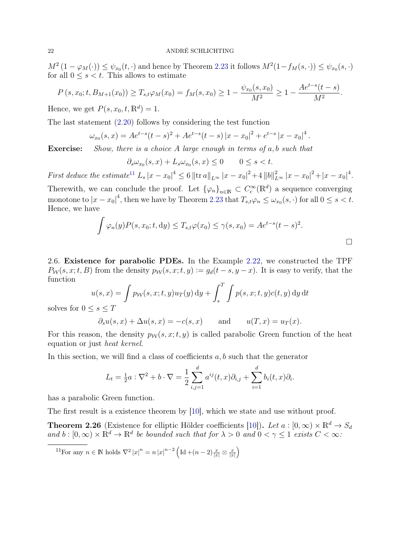$M^2(1-\varphi_M(\cdot)) \leq \psi_{x_0}(t,\cdot)$  and hence by Theorem [2.23](#page-17-7) it follows  $M^2(1-f_M(s,\cdot)) \leq \psi_{x_0}(s,\cdot)$ for all  $0 \leq s < t$ . This allows to estimate

$$
P(s, x_0; t, B_{M+1}(x_0)) \ge T_{s,t} \varphi_M(x_0) = f_M(s, x_0) \ge 1 - \frac{\psi_{x_0}(s, x_0)}{M^2} \ge 1 - \frac{Ae^{t-s}(t-s)}{M^2}.
$$

Hence, we get  $P(s, x_0, t, \mathbb{R}^d) = 1$ .

The last statement [\(2.20\)](#page-19-2) follows by considering the test function

$$
\omega_{x_0}(s,x) = Ae^{t-s}(t-s)^2 + Ae^{t-s}(t-s)|x-x_0|^2 + e^{t-s}|x-x_0|^4.
$$

**Exercise:** Show, there is a choice A large enough in terms of a, b such that

$$
\partial_s \omega_{x_0}(s, x) + L_s \omega_{x_0}(s, x) \le 0 \qquad 0 \le s < t.
$$

First deduce the estimate<sup>[11](#page-21-1)</sup>  $L_s |x - x_0|^4 \leq 6 \|\text{tr }a\|_{L^\infty} |x - x_0|^2 + 4 \, \|b\|_{L^\infty}^2 |x - x_0|^2 + |x - x_0|^4$ . Therewith, we can conclude the proof. Let  ${\varphi_n}_{n\in\mathbb{N}}\subset C_c^{\infty}(\mathbb{R}^d)$  a sequence converging monotone to  $|x-x_0|^4$ , then we have by Theorem [2.23](#page-17-7) that  $T_{s,t}\varphi_n \leq \omega_{x_0}(s,\cdot)$  for all  $0 \leq s < t$ . Hence, we have

$$
\int \varphi_n(y) P(s, x_0; t, dy) \leq T_{s,t} \varphi(x_0) \leq \gamma(s, x_0) = A e^{t-s} (t-s)^2.
$$

<span id="page-21-0"></span>2.6. Existence for parabolic PDEs. In the Example [2.22,](#page-17-8) we constructed the TPF  $P_W(s, x; t, B)$  from the density  $p_W(s, x; t, y) := g_d(t - s, y - x)$ . It is easy to verify, that the function

$$
u(s,x) = \int p_{\mathcal{W}}(s,x;t,y)u_T(y) dy + \int_s^T \int p(s,x;t,y)c(t,y) dy dt
$$

solves for  $0 \leq s \leq T$ 

$$
\partial_s u(s, x) + \Delta u(s, x) = -c(s, x)
$$
 and  $u(T, x) = u_T(x)$ .

For this reason, the density  $p_{\mathcal{W}}(s, x; t, y)$  is called parabolic Green function of the heat equation or just heat kernel.

In this section, we will find a class of coefficients  $a, b$  such that the generator

$$
L_{t} = \frac{1}{2}a : \nabla^{2} + b \cdot \nabla = \frac{1}{2} \sum_{i,j=1}^{d} a^{ij}(t, x) \partial_{i,j} + \sum_{i=1}^{d} b_{i}(t, x) \partial_{i}.
$$

has a parabolic Green function.

The first result is a existence theorem by [\[10\]](#page-67-4), which we state and use without proof.

<span id="page-21-2"></span>**Theorem 2.26** (Existence for elliptic Hölder coefficients [\[10\]](#page-67-4)). Let  $a : [0, \infty) \times \mathbb{R}^d \to S_d$ and  $b:[0,\infty)\times\mathbb{R}^d\to\mathbb{R}^d$  be bounded such that for  $\lambda>0$  and  $0<\gamma\leq 1$  exists  $C<\infty$ .

<span id="page-21-1"></span><sup>11</sup>For any  $n \in \mathbb{N}$  holds  $\nabla^2 |x|^n = n |x|^{n-2} \left( \text{Id} + (n-2) \frac{x}{|x|} \otimes \frac{x}{|x|} \right)$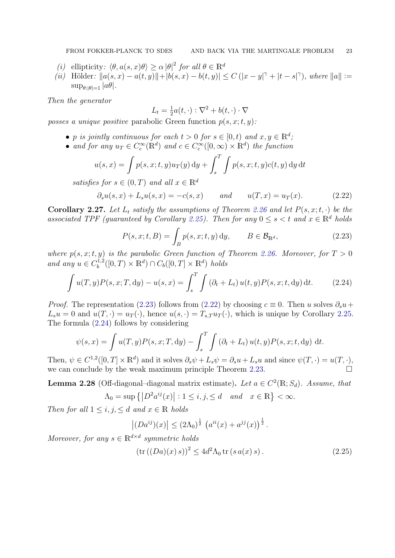- (i) ellipticity:  $\langle \theta, a(s, x)\theta \rangle \ge \alpha |\theta|^2$  for all  $\theta \in \mathbb{R}^d$
- (*ii*) Hölder:  $||a(s, x) a(t, y)|| + |b(s, x) b(t, y)| \leq C (|x y|^{\gamma} + |t s|^{\gamma})$ , where  $||a|| :=$  $\sup_{\theta:|\theta|=1} |a\theta|.$

Then the generator

<span id="page-22-1"></span>
$$
L_t = \frac{1}{2}a(t, \cdot) : \nabla^2 + b(t, \cdot) \cdot \nabla
$$

posses a unique positive parabolic Green function  $p(s, x; t, y)$ :

- p is jointly continuous for each  $t > 0$  for  $s \in [0, t)$  and  $x, y \in \mathbb{R}^d$ ;
- and for any  $u_T \in C_c^{\infty}(\mathbb{R}^d)$  and  $c \in C_c^{\infty}([0,\infty) \times \mathbb{R}^d)$  the function

$$
u(s,x) = \int p(s,x;t,y)u_T(y) dy + \int_s^T \int p(s,x;t,y)c(t,y) dy dt
$$

satisfies for  $s \in (0,T)$  and all  $x \in \mathbb{R}^d$ 

$$
\partial_s u(s, x) + L_s u(s, x) = -c(s, x)
$$
 and  $u(T, x) = u_T(x)$ . (2.22)

<span id="page-22-5"></span>Corollary 2.27. Let  $L_t$  satisfy the assumptions of Theorem [2.26](#page-21-2) and let  $P(s, x; t, \cdot)$  be the associated TPF (guaranteed by Corollary [2.25\)](#page-19-3). Then for any  $0 \le s < t$  and  $x \in \mathbb{R}^d$  holds

<span id="page-22-2"></span><span id="page-22-0"></span>
$$
P(s, x; t, B) = \int_{B} p(s, x; t, y) dy, \qquad B \in \mathcal{B}_{\mathbb{R}^{d}},
$$
\n(2.23)

where  $p(s, x; t, y)$  is the parabolic Green function of Theorem [2.26.](#page-21-2) Moreover, for  $T > 0$ and any  $u \in C_h^{1,2}$  $b^{1,2}([0,T)\times\mathbb{R}^d)\cap C_b([0,T]\times\mathbb{R}^d)$  holds

$$
\int u(T, y) P(s, x; T, dy) - u(s, x) = \int_{s}^{T} \int (\partial_{t} + L_{t}) u(t, y) P(s, x; t, dy) dt.
$$
 (2.24)

*Proof.* The representation [\(2.23\)](#page-22-0) follows from [\(2.22\)](#page-22-1) by choosing  $c \equiv 0$ . Then u solves  $\partial_s u$  +  $L_s u = 0$  and  $u(T, \cdot) = u_T(\cdot)$ , hence  $u(s, \cdot) = T_{s,T} u_T(\cdot)$ , which is unique by Corollary [2.25.](#page-19-3) The formula [\(2.24\)](#page-22-2) follows by considering

$$
\psi(s,x) = \int u(T,y)P(s,x;T,\mathrm{d}y) - \int_s^T \int (\partial_t + L_t) u(t,y)P(s,x;t,\mathrm{d}y) \mathrm{d}t.
$$

Then,  $\psi \in C^{1,2}([0,T] \times \mathbb{R}^d)$  and it solves  $\partial_s \psi + L_s \psi = \partial_s u + L_s u$  and since  $\psi(T, \cdot) = u(T, \cdot),$ we can conclude by the weak maximum principle Theorem [2.23.](#page-17-7)  $\Box$ 

<span id="page-22-4"></span>**Lemma 2.28** (Off-diagonal–diagonal matrix estimate). Let  $a \in C^2(\mathbb{R}; S_d)$ . Assume, that  $\Lambda_0 = \sup \{|D^2 a^{ij}(x)| : 1 \le i, j, \le d \quad and \quad x \in \mathbb{R}\} < \infty.$ 

Then for all  $1 \leq i, j, \leq d$  and  $x \in \mathbb{R}$  holds

$$
|(Da^{ij})(x)| \le (2\Lambda_0)^{\frac{1}{2}} (a^{ii}(x) + a^{jj}(x))^{\frac{1}{2}}.
$$

Moreover, for any  $s \in \mathbb{R}^{d \times d}$  symmetric holds

<span id="page-22-3"></span>
$$
(\text{tr}\left((Da)(x)\,s\right))^2 \le 4d^2\Lambda_0 \,\text{tr}\left(s\,a(x)\,s\right). \tag{2.25}
$$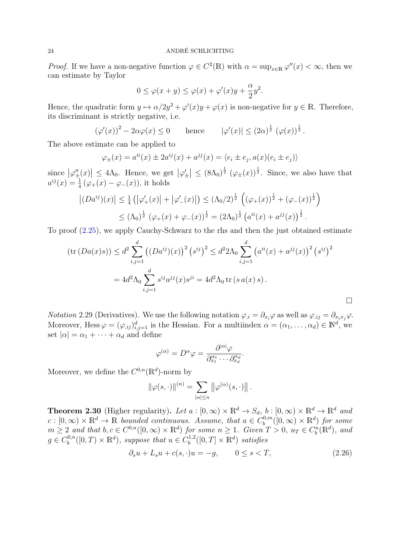*Proof.* If we have a non-negative function  $\varphi \in C^2(\mathbb{R})$  with  $\alpha = \sup_{x \in \mathbb{R}} \varphi''(x) < \infty$ , then we can estimate by Taylor

$$
0 \le \varphi(x+y) \le \varphi(x) + \varphi'(x)y + \frac{\alpha}{2}y^2.
$$

Hence, the quadratic form  $y \mapsto \alpha/2y^2 + \varphi'(x)y + \varphi(x)$  is non-negative for  $y \in \mathbb{R}$ . Therefore, its discriminant is strictly negative, i.e.

$$
(\varphi'(x))^2 - 2\alpha\varphi(x) \le 0 \quad \text{hence} \quad |\varphi'(x)| \le (2\alpha)^{\frac{1}{2}} (\varphi(x))^{\frac{1}{2}}.
$$

The above estimate can be applied to

$$
\varphi_{\pm}(x) = a^{ii}(x) \pm 2a^{ij}(x) + a^{jj}(x) = \langle e_i \pm e_j, a(x)(e_i \pm e_j) \rangle
$$

since  $|\varphi''_{\pm}(x)| \leq 4\Lambda_0$ . Hence, we get  $|\varphi'_{\pm}| \leq (8\Lambda_0)^{\frac{1}{2}} (\varphi_{\pm}(x))^{\frac{1}{2}}$ . Since, we also have that  $a^{ij}(x) = \frac{1}{4} (\varphi_{+}(x) - \varphi_{-}(x))$ , it holds

$$
\left| (Da^{ij})(x) \right| \leq \frac{1}{4} \left( \left| \varphi_+'(x) \right| + \left| \varphi_-'(x) \right| \right) \leq (\Lambda_0/2)^{\frac{1}{2}} \left( (\varphi_+(x))^{\frac{1}{2}} + (\varphi_-(x))^{\frac{1}{2}} \right)
$$
  

$$
\leq (\Lambda_0)^{\frac{1}{2}} (\varphi_+(x) + \varphi_-(x))^{\frac{1}{2}} = (2\Lambda_0)^{\frac{1}{2}} \left( a^{ii}(x) + a^{jj}(x) \right)^{\frac{1}{2}}.
$$

To proof [\(2.25\)](#page-22-3), we apply Cauchy-Schwarz to the rhs and then the just obtained estimate

$$
(\text{tr}(Da(x)s)) \le d^2 \sum_{i,j=1}^d ((Da^{ij})(x))^2 (s^{ij})^2 \le d^2 2\Lambda_0 \sum_{i,j=1}^d (a^{ii}(x) + a^{jj}(x))^2 (s^{ij})^2
$$
  
=  $4d^2 \Lambda_0 \sum_{i,j=1}^d s^{ij} a^{jj}(x) s^{ji} = 4d^2 \Lambda_0 \text{ tr}(s a(x) s).$ 

*Notation* 2.29 (Derivatives). We use the following notation  $\varphi_{,i} = \partial_{x_i}\varphi$  as well as  $\varphi_{,ij} = \partial_{x_ix_j}\varphi$ . Moreover, Hess  $\varphi = (\varphi_{,ij})_{i,j=1}^d$  is the Hessian. For a multiindex  $\alpha = (\alpha_1, \ldots, \alpha_d) \in \mathbb{N}^d$ , we set  $|\alpha| = \alpha_1 + \cdots + \alpha_d$  and define

$$
\varphi^{(\alpha)} = D^{\alpha}\varphi = \frac{\partial^{|\alpha|}\varphi}{\partial_{x_1}^{\alpha_1} \cdots \partial_{x_d}^{\alpha_d}}.
$$

Moreover, we define the  $C^{0,n}(\mathbb{R}^d)$ -norm by

<span id="page-23-0"></span>
$$
\|\varphi(s,\cdot)\|^{(n)} = \sum_{|\alpha| \le n} \left\|\varphi^{(\alpha)}(s,\cdot)\right\|.
$$

<span id="page-23-1"></span>**Theorem 2.30** (Higher regularity). Let  $a : [0, \infty) \times \mathbb{R}^d \to S_d$ ,  $b : [0, \infty) \times \mathbb{R}^d \to \mathbb{R}^d$  and  $c : [0, \infty) \times \mathbb{R}^d \to \mathbb{R}$  bounded continuous. Assume, that  $a \in C_b^{0,m}$  $b^{0,m}([0,\infty)\times\mathbb{R}^d)$  for some  $m \geq 2$  and that  $b, c \in C^{0,n}([0,\infty) \times \mathbb{R}^d)$  for some  $n \geq 1$ . Given  $T > 0$ ,  $u_T \in C_b^n(\mathbb{R}^d)$ , and  $g \in C_b^{0,n}$  $b^{0,n}([0,T)\times\mathbb{R}^d)$ , suppose that  $u \in C_b^{1,2}$  $b^{1,2}([0,T] \times \mathbb{R}^d)$  satisfies

$$
\partial_s u + L_s u + c(s, \cdot) u = -g, \qquad 0 \le s < T,\tag{2.26}
$$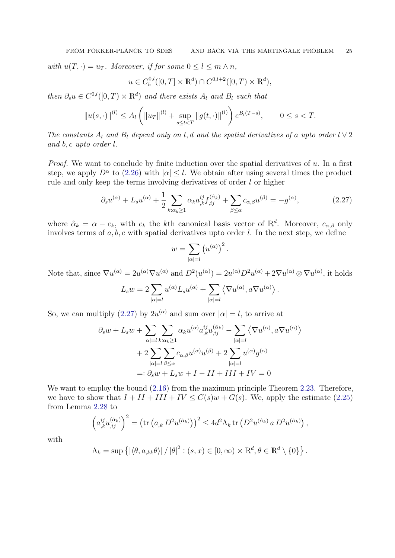with  $u(T, \cdot) = u_T$ . Moreover, if for some  $0 \le l \le m \wedge n$ ,

$$
u \in C_b^{0,l}([0,T] \times \mathbb{R}^d) \cap C^{0,l+2}([0,T) \times \mathbb{R}^d),
$$

then  $\partial_s u \in C^{0,l}([0,T) \times \mathbb{R}^d)$  and there exists  $A_l$  and  $B_l$  such that

$$
||u(s, \cdot)||^{(l)} \le A_l \left(||u_T||^{(l)} + \sup_{s \le t < T} ||g(t, \cdot)||^{(l)}\right) e^{B_l(T-s)}, \qquad 0 \le s < T.
$$

The constants  $A_l$  and  $B_l$  depend only on l, d and the spatial derivatives of a upto order  $l \vee 2$ and b, c upto order l.

*Proof.* We want to conclude by finite induction over the spatial derivatives of  $u$ . In a first step, we apply  $D^{\alpha}$  to [\(2.26\)](#page-23-0) with  $|\alpha| \leq l$ . We obtain after using several times the product rule and only keep the terms involving derivatives of order l or higher

$$
\partial_s u^{(\alpha)} + L_s u^{(\alpha)} + \frac{1}{2} \sum_{k:\alpha_k \ge 1} \alpha_k a_{,k}^{ij} f_{,ij}^{(\hat{\alpha}_k)} + \sum_{\beta \le \alpha} c_{\alpha,\beta} u^{(\beta)} = -g^{(\alpha)},\tag{2.27}
$$

where  $\hat{\alpha}_k = \alpha - e_k$ , with  $e_k$  the kth canonical basis vector of  $\mathbb{R}^d$ . Moreover,  $c_{\alpha,\beta}$  only involves terms of  $a, b, c$  with spatial derivatives upto order l. In the next step, we define

<span id="page-24-0"></span>
$$
w = \sum_{|\alpha|=l} (u^{(\alpha)})^2.
$$

Note that, since  $\nabla u^{(\alpha)} = 2u^{(\alpha)}\nabla u^{(\alpha)}$  and  $D^2(u^{(\alpha)}) = 2u^{(\alpha)}D^2u^{(\alpha)} + 2\nabla u^{(\alpha)} \otimes \nabla u^{(\alpha)}$ , it holds

$$
L_sw=2\sum_{|\alpha|=l}u^{(\alpha)}L_su^{(\alpha)}+\sum_{|\alpha|=l}\left\langle\nabla u^{(\alpha)},a\nabla u^{(\alpha)}\right\rangle.
$$

So, we can multiply [\(2.27\)](#page-24-0) by  $2u^{(\alpha)}$  and sum over  $|\alpha|=l$ , to arrive at

$$
\partial_s w + L_s w + \sum_{|\alpha|=l} \sum_{k:\alpha_k \ge 1} \alpha_k u^{(\alpha)} a_{,k}^{ij} u_{,ij}^{(\hat{\alpha}_k)} - \sum_{|\alpha|=l} \langle \nabla u^{(\alpha)}, a \nabla u^{(\alpha)} \rangle
$$

$$
+ 2 \sum_{|\alpha|=l} \sum_{\beta \le \alpha} c_{\alpha,\beta} u^{(\alpha)} u^{(\beta)} + 2 \sum_{|\alpha|=l} u^{(\alpha)} g^{(\alpha)}
$$

$$
=: \partial_s w + L_s w + I - II + III + IV = 0
$$

We want to employ the bound  $(2.16)$  from the maximum principle Theorem [2.23.](#page-17-7) Therefore, we have to show that  $I + II + III + IV \leq C(s)w + G(s)$ . We, apply the estimate [\(2.25\)](#page-22-3) from Lemma [2.28](#page-22-4) to

$$
\left(a_{,k}^{ij}u_{,ij}^{(\hat{\alpha}_k)}\right)^2 = \left(\text{tr}\left(a_{,k} D^2 u^{(\hat{\alpha}_k)}\right)\right)^2 \leq 4d^2\Lambda_k \,\text{tr}\left(D^2 u^{(\hat{\alpha}_k)} a D^2 u^{(\hat{\alpha}_k)}\right),
$$

with

$$
\Lambda_k = \sup \left\{ \left| \langle \theta, a_{,kk} \theta \rangle \right| / |\theta|^2 : (s, x) \in [0, \infty) \times \mathbb{R}^d, \theta \in \mathbb{R}^d \setminus \{0\} \right\}.
$$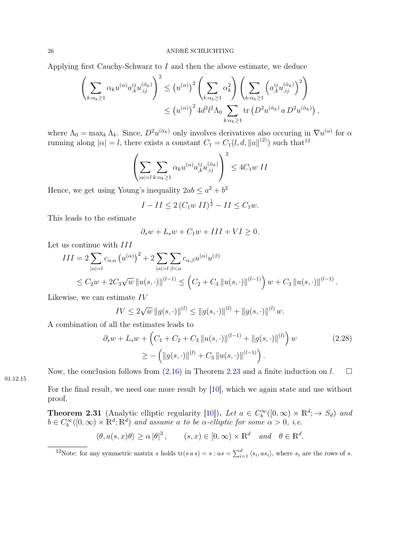Applying first Cauchy-Schwarz to  $I$  and then the above estimate, we deduce

$$
\left(\sum_{k:\alpha_k\geq 1} \alpha_k u^{(\alpha)} a_{,k}^{ij} u_{,ij}^{(\hat{\alpha}_k)}\right)^2 \leq \left(u^{(\alpha)}\right)^2 \left(\sum_{k:\alpha_k\geq 1} \alpha_k^2\right) \left(\sum_{k:\alpha_k\geq 1} \left(a_{,k}^{ij} u_{,ij}^{(\hat{\alpha}_k)}\right)^2\right)
$$

$$
\leq \left(u^{(\alpha)}\right)^2 4d^2 l^2 \Lambda_0 \sum_{k:\alpha_k\geq 1} \text{tr}\left(D^2 u^{(\hat{\alpha}_k)} a D^2 u^{(\hat{\alpha}_k)}\right),
$$

where  $\Lambda_0 = \max_k \Lambda_k$ . Since,  $D^2 u^{(\hat{\alpha}_k)}$  only involves derivatives also occuring in  $\nabla u^{(\alpha)}$  for  $\alpha$ running along  $|\alpha| = l$ , there exists a constant  $C_1 = C_1(l, d, ||a||^{(2)})$  such that<sup>[12](#page-25-0)</sup>

$$
\left(\sum_{|\alpha|=l}\sum_{k:\alpha_k\geq 1}\alpha_k u^{(\alpha)}a_{,k}^{ij}u_{,ij}^{(\hat{\alpha}_k)}\right)^2 \leq 4C_1w\ II
$$

Hence, we get using Young's inequality  $2ab \le a^2 + b^2$ 

$$
I - II \leq 2 \left( C_1 w \, II \right)^{\frac{1}{2}} - II \leq C_1 w.
$$

This leads to the estimate

$$
\partial_s w + L_s w + C_1 w + III + VI \ge 0.
$$

Let us continue with  $III$ 

$$
III = 2 \sum_{|\alpha|=l} c_{\alpha,\alpha} (u^{(\alpha)})^2 + 2 \sum_{|\alpha|=l} \sum_{\beta < \alpha} c_{\alpha,\beta} u^{(\alpha)} u^{(\beta)}
$$
  

$$
\leq C_2 w + 2C_3 \sqrt{w} ||u(s, \cdot)||^{(l-1)} \leq (C_2 + C_3 ||u(s, \cdot)||^{(l-1)}) w + C_3 ||u(s, \cdot)||^{(l-1)}
$$

Likewise, we can estimate IV

$$
IV \le 2\sqrt{w} ||g(s, \cdot)||^{(l)} \le ||g(s, \cdot)||^{(l)} + ||g(s, \cdot)||^{(l)} w.
$$

A combination of all the estimates leads to

$$
\partial_s w + L_s w + \left( C_1 + C_2 + C_3 \left\| u(s, \cdot) \right\|^{(l-1)} + \left\| g(s, \cdot) \right\|^{(l)} \right) w
$$
\n
$$
\geq - \left( \left\| g(s, \cdot) \right\|^{(l)} + C_3 \left\| u(s, \cdot) \right\|^{(l-1)} \right).
$$
\n(2.28)

<span id="page-25-2"></span>.

01.12.15

Now, the conclusion follows from [\(2.16\)](#page-17-5) in Theorem [2.23](#page-17-7) and a finite induction on  $l$ .  $\Box$ 

For the final result, we need one more result by [\[10\]](#page-67-4), which we again state and use without proof.

<span id="page-25-1"></span>**Theorem 2.31** (Analytic elliptic regularity [\[10\]](#page-67-4)). Let  $a \in C_b^{\infty}([0,\infty) \times \mathbb{R}^d; \to S_d)$  and  $b \in C_b^{\infty}([0,\infty) \times \mathbb{R}^d; \mathbb{R}^d)$  and assume a to be  $\alpha$ -elliptic for some  $\alpha > 0$ , i.e.

$$
\langle \theta, a(s, x)\theta \rangle \ge \alpha |\theta|^2
$$
,  $(s, x) \in [0, \infty) \times \mathbb{R}^d$  and  $\theta \in \mathbb{R}^d$ .

<span id="page-25-0"></span><sup>&</sup>lt;sup>12</sup>Note: for any symmetric matrix s holds tr(s a s) = s : as =  $\sum_{i=1}^{d} \langle s_i, as_i \rangle$ , where  $s_i$  are the rows of s.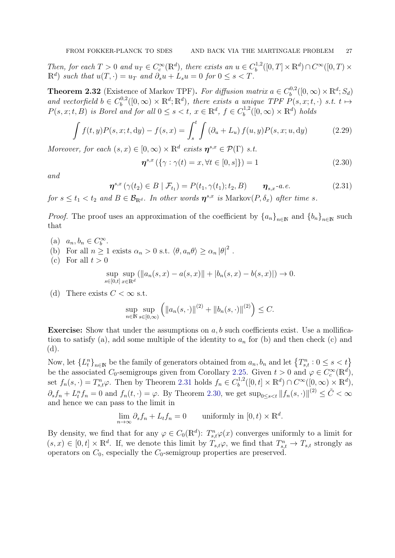Then, for each  $T > 0$  and  $u_T \in C_c^{\infty}(\mathbb{R}^d)$ , there exists an  $u \in C_b^{1,2}$  $b^{1,2}([0,T]\times\mathbb{R}^d)\cap C^\infty([0,T)\times$  $\mathbb{R}^d$  such that  $u(T, \cdot) = u_T$  and  $\partial_s u + L_s u = 0$  for  $0 \leq s < T$ .

<span id="page-26-3"></span>**Theorem 2.32** (Existence of Markov TPF). For diffusion matrix  $a \in C_b^{0,2}$  $b^{0,2}([0,\infty)\times\mathbb{R}^d;S_d)$ and vectorfield  $b \in C_b^{0,2}$  $b_b^{0,2}([0,\infty) \times \mathbb{R}^d; \mathbb{R}^d)$ , there exists a unique TPF  $P(s,x;t,\cdot)$  s.t.  $t \mapsto$  $P(s, x; t, B)$  is Borel and for all  $0 \le s < t, x \in \mathbb{R}^d, f \in C_b^{1,2}$  $b^{1,2}([0,\infty)\times\mathbb{R}^d)$  holds

$$
\int f(t,y)P(s,x;t,dy) - f(s,x) = \int_s^t \int \left(\partial_u + L_u\right) f(u,y)P(s,x;u,dy) \tag{2.29}
$$

Moreover, for each  $(s, x) \in [0, \infty) \times \mathbb{R}^d$  exists  $\eta^{s,x} \in \mathcal{P}(\Gamma)$  s.t.

<span id="page-26-2"></span><span id="page-26-1"></span><span id="page-26-0"></span>
$$
\eta^{s,x}(\{\gamma : \gamma(t) = x, \forall t \in [0, s]\}) = 1
$$
\n(2.30)

and

$$
\boldsymbol{\eta}^{s,x}\left(\gamma(t_2)\in B \mid \mathcal{F}_{t_1}\right) = P(t_1,\gamma(t_1);t_2,B) \qquad \boldsymbol{\eta}_{s,x} \text{-}a.e. \tag{2.31}
$$

for  $s \le t_1 < t_2$  and  $B \in \mathcal{B}_{\mathbb{R}^d}$ . In other words  $\boldsymbol{\eta}^{s,x}$  is Markov $(P, \delta_x)$  after time s.

*Proof.* The proof uses an approximation of the coefficient by  $\{a_n\}_{n\in\mathbb{N}}$  and  $\{b_n\}_{n\in\mathbb{N}}$  such that

- (a)  $a_n, b_n \in C_b^{\infty}$ .
- (b) For all  $n \ge 1$  exists  $\alpha_n > 0$  s.t.  $\langle \theta, a_n \theta \rangle \ge \alpha_n |\theta|^2$ .
- (c) For all  $t > 0$

$$
\sup_{s \in [0,t]} \sup_{x \in \mathbb{R}^d} (||a_n(s,x) - a(s,x)|| + |b_n(s,x) - b(s,x)||) \to 0.
$$

(d) There exists  $C < \infty$  s.t.

$$
\sup_{n \in \mathbb{N}} \sup_{s \in [0,\infty)} \left( \|a_n(s,\cdot)\|^{(2)} + \|b_n(s,\cdot)\|^{(2)} \right) \le C.
$$

**Exercise:** Show that under the assumptions on  $a, b$  such coefficients exist. Use a mollification to satisfy (a), add some multiple of the identity to  $a_n$  for (b) and then check (c) and (d).

Now, let  ${L_t^n}_{n \in \mathbb{N}}$  be the family of generators obtained from  $a_n, b_n$  and let  ${T_{s,t}^n : 0 \le s < t}$ be the associated  $C_0$ -semigroups given from Corollary [2.25.](#page-19-3) Given  $t > 0$  and  $\varphi \in C_c^{\infty}(\mathbb{R}^d)$ , set  $f_n(s, \cdot) = T_{s,t}^n \varphi$ . Then by Theorem [2.31](#page-25-1) holds  $f_n \in C_b^{1,2}$  $b^{1,2}([0,t] \times \mathbb{R}^d) \cap C^{\infty}([0,\infty) \times \mathbb{R}^d),$  $\partial_s f_n + L_t^n f_n = 0$  and  $f_n(t, \cdot) = \varphi$ . By Theorem [2.30,](#page-23-1) we get  $\sup_{0 \le s \le t} ||f_n(s, \cdot)||^{(2)} \le \tilde{C} < \infty$ and hence we can pass to the limit in

$$
\lim_{n \to \infty} \partial_s f_n + L_t f_n = 0 \quad \text{uniformly in } [0, t) \times \mathbb{R}^d.
$$

By density, we find that for any  $\varphi \in C_0(\mathbb{R}^d)$ :  $T_{s,t}^n\varphi(x)$  converges uniformly to a limit for  $(s, x) \in [0, t] \times \mathbb{R}^d$ . If, we denote this limit by  $T_{s,t} \varphi$ , we find that  $T_{s,t}^n \to T_{s,t}$  strongly as operators on  $C_0$ , especially the  $C_0$ -semigroup properties are preserved.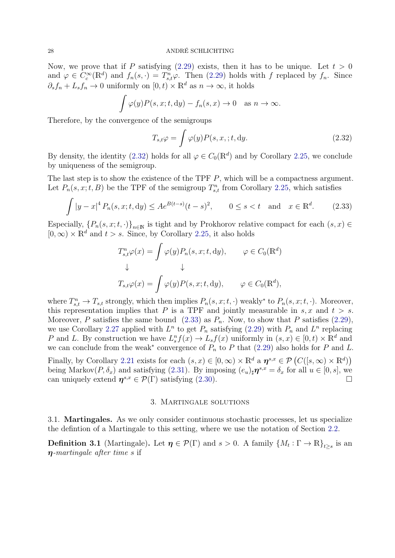Now, we prove that if P satisfying [\(2.29\)](#page-26-0) exists, then it has to be unique. Let  $t > 0$ and  $\varphi \in C_c^{\infty}(\mathbb{R}^d)$  and  $f_n(s, \cdot) = T_{s,t}^n \varphi$ . Then [\(2.29\)](#page-26-0) holds with f replaced by  $f_n$ . Since  $\partial_s f_n + L_s f_n \to 0$  uniformly on  $[0, t] \times \mathbb{R}^d$  as  $n \to \infty$ , it holds

$$
\int \varphi(y)P(s,x;t,\mathrm{d}y) - f_n(s,x) \to 0 \quad \text{as } n \to \infty.
$$

Therefore, by the convergence of the semigroups

<span id="page-27-3"></span><span id="page-27-2"></span>
$$
T_{s,t}\varphi = \int \varphi(y)P(s,x,;t,\mathrm{d}y. \tag{2.32}
$$

By density, the identity [\(2.32\)](#page-27-2) holds for all  $\varphi \in C_0(\mathbb{R}^d)$  and by Corollary [2.25,](#page-19-3) we conclude by uniqueness of the semigroup.

The last step is to show the existence of the TPF P, which will be a compactness argument. Let  $P_n(s, x; t, B)$  be the TPF of the semigroup  $T_{s,t}^n$  from Corollary [2.25,](#page-19-3) which satisfies

$$
\int |y - x|^4 P_n(s, x; t, dy) \le A e^{B(t - s)} (t - s)^2, \qquad 0 \le s < t \quad \text{and} \quad x \in \mathbb{R}^d. \tag{2.33}
$$

Especially,  $\{P_n(s, x; t, \cdot)\}_{n \in \mathbb{N}}$  is tight and by Prokhorov relative compact for each  $(s, x) \in$  $[0, \infty) \times \mathbb{R}^d$  and  $t > s$ . Since, by Corollary [2.25,](#page-19-3) it also holds

$$
T_{s,t}^n \varphi(x) = \int \varphi(y) P_n(s, x; t, dy), \qquad \varphi \in C_0(\mathbb{R}^d)
$$
  

$$
\downarrow \qquad \qquad \downarrow
$$
  

$$
T_{s,t}\varphi(x) = \int \varphi(y) P(s, x; t, dy), \qquad \varphi \in C_0(\mathbb{R}^d),
$$

where  $T_{s,t}^n \to T_{s,t}$  strongly, which then implies  $P_n(s,x;t,\cdot)$  weakly\* to  $P_n(s,x;t,\cdot)$ . Moreover, this representation implies that P is a TPF and jointly measurable in  $s, x$  and  $t > s$ . Moreover, P satisfies the same bound  $(2.33)$  as  $P_n$ . Now, to show that P satisfies  $(2.29)$ , we use Corollary [2.27](#page-22-5) applied with  $L^n$  to get  $P_n$  satisfying [\(2.29\)](#page-26-0) with  $P_n$  and  $L^n$  replacing P and L. By construction we have  $L_s^n f(x) \to L_s f(x)$  uniformly in  $(s, x) \in [0, t) \times \mathbb{R}^d$  and we can conclude from the weak<sup>\*</sup> convergence of  $P_n$  to P that [\(2.29\)](#page-26-0) also holds for P and L.

Finally, by Corollary [2.21](#page-16-0) exists for each  $(s, x) \in [0, \infty) \times \mathbb{R}^d$  a  $\eta^{s,x} \in \mathcal{P}(C([s, \infty) \times \mathbb{R}^d))$ being Markov $(P, \delta_x)$  and satisfying [\(2.31\)](#page-26-1). By imposing  $(e_u)_\sharp \mathbf{\eta}^{s,x} = \delta_x$  for all  $u \in [0, s]$ , we can uniquely extend  $\boldsymbol{\eta}^{s,x} \in \mathcal{P}(\Gamma)$  satisfying [\(2.30\)](#page-26-2).

# 3. Martingale solutions

<span id="page-27-1"></span><span id="page-27-0"></span>3.1. Martingales. As we only consider continuous stochastic processes, let us specialize the defintion of a Martingale to this setting, where we use the notation of Section [2.2.](#page-10-0)

**Definition 3.1** (Martingale). Let  $\eta \in \mathcal{P}(\Gamma)$  and  $s > 0$ . A family  $\{M_t : \Gamma \to \mathbb{R}\}_{t \geq s}$  is an  $\eta$ -martingale after time s if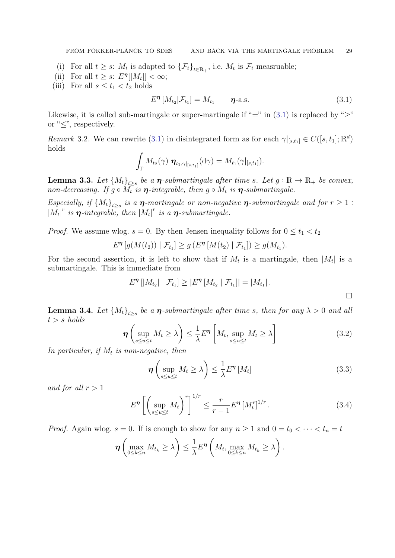FROM FOKKER-PLANCK TO SDES AND BACK VIA THE MARTINGALE PROBLEM 29

- (i) For all  $t \geq s$ :  $M_t$  is adapted to  $\{\mathcal{F}_t\}_{t \in \mathbb{R}_+}$ , i.e.  $M_t$  is  $\mathcal{F}_t$  measruable;
- (ii) For all  $t \geq s$ :  $E^{\eta}[|M_t|] < \infty$ ;
- (iii) For all  $s \leq t_1 < t_2$  holds

<span id="page-28-0"></span>
$$
E^{\eta}\left[M_{t_2}|\mathcal{F}_{t_1}\right] = M_{t_1} \qquad \eta\text{-a.s.} \tag{3.1}
$$

Likewise, it is called sub-martingale or super-martingale if "=" in [\(3.1\)](#page-28-0) is replaced by " $\geq$ " or " $\leq$ ", respectively.

Remark 3.2. We can rewrite [\(3.1\)](#page-28-0) in disintegrated form as for each  $\gamma|_{[s,t_1]} \in C([s,t_1];\mathbb{R}^d)$ holds

$$
\int_{\Gamma} M_{t_2}(\gamma) \, \, \pmb{\eta}_{t_1, \gamma|_{[s,t_1]}}(\mathrm{d}\gamma) = M_{t_1}(\gamma|_{[s,t_1]}).
$$

**Lemma 3.3.** Let  ${M_t}_{t\geq s}$  be a  $\boldsymbol{\eta}$ -submartingale after time s. Let  $g : \mathbb{R} \to \mathbb{R}_+$  be convex, non-decreasing. If  $g \circ M_t$  is  $\eta$ -integrable, then  $g \circ M_t$  is  $\eta$ -submartingale.

Especially, if  ${M_t}_{t\geq s}$  is a  $\boldsymbol{\eta}$ -martingale or non-negative  $\boldsymbol{\eta}$ -submartingale and for  $r \geq 1$ :  $|M_t|^r$  is  $\eta$ -integrable, then  $|M_t|^r$  is a  $\eta$ -submartingale.

*Proof.* We assume wlog.  $s = 0$ . By then Jensen inequality follows for  $0 \le t_1 < t_2$ 

$$
E^{\eta}[g(M(t_2)) | \mathcal{F}_{t_1}] \ge g(E^{\eta}[M(t_2) | \mathcal{F}_{t_1}]) \ge g(M_{t_1}).
$$

For the second assertion, it is left to show that if  $M_t$  is a martingale, then  $|M_t|$  is a submartingale. This is immediate from

$$
E^{\eta}[|M_{t_2}| | \mathcal{F}_{t_1}] \geq |E^{\eta}[M_{t_2} | \mathcal{F}_{t_1}]| = |M_{t_1}|.
$$

**Lemma 3.4.** Let  ${M_t}_{t\geq s}$  be a  $\eta$ -submartingale after time s, then for any  $\lambda > 0$  and all  $t > s$  holds

$$
\eta\left(\sup_{s\leq u\leq t}M_t\geq\lambda\right)\leq\frac{1}{\lambda}E^{\eta}\left[M_t,\sup_{s\leq u\leq t}M_t\geq\lambda\right]
$$
\n(3.2)

In particular, if  $M_t$  is non-negative, then

<span id="page-28-3"></span><span id="page-28-2"></span><span id="page-28-1"></span>
$$
\eta\left(\sup_{s\leq u\leq t}M_t\geq\lambda\right)\leq\frac{1}{\lambda}E^{\eta}\left[M_t\right]
$$
\n(3.3)

and for all  $r > 1$ 

$$
E^{\eta} \left[ \left( \sup_{s \le u \le t} M_t \right)^r \right]^{1/r} \le \frac{r}{r - 1} E^{\eta} \left[ M_t^r \right]^{1/r} . \tag{3.4}
$$

*Proof.* Again wlog.  $s = 0$ . If is enough to show for any  $n \ge 1$  and  $0 = t_0 < \cdots < t_n = t$ 

$$
\boldsymbol{\eta}\left(\max_{0\leq k\leq n}M_{t_k}\geq\lambda\right)\leq\frac{1}{\lambda}E^{\boldsymbol{\eta}}\left(M_t,\max_{0\leq k\leq n}M_{t_k}\geq\lambda\right).
$$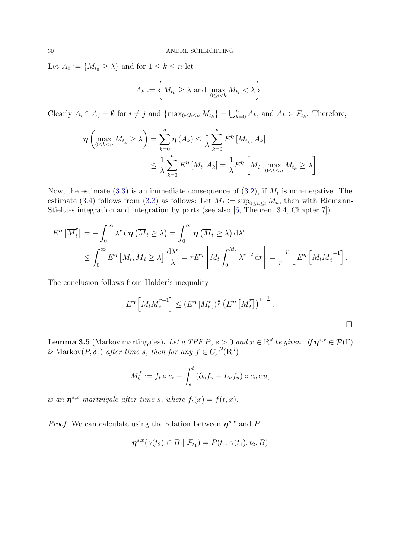Let  $A_0 := \{M_{t_0} \geq \lambda\}$  and for  $1 \leq k \leq n$  let

$$
A_k := \left\{ M_{t_k} \geq \lambda \text{ and } \max_{0 \leq i < k} M_{t_i} < \lambda \right\}.
$$

Clearly  $A_i \cap A_j = \emptyset$  for  $i \neq j$  and  $\{\max_{0 \leq k \leq n} M_{t_k}\} = \bigcup_{k=0}^n A_k$ , and  $A_k \in \mathcal{F}_{t_k}$ . Therefore,

$$
\boldsymbol{\eta} \left( \max_{0 \leq k \leq n} M_{t_k} \geq \lambda \right) = \sum_{k=0}^n \boldsymbol{\eta} \left( A_k \right) \leq \frac{1}{\lambda} \sum_{k=0}^n E^{\boldsymbol{\eta}} \left[ M_{t_k}, A_k \right]
$$
  

$$
\leq \frac{1}{\lambda} \sum_{k=0}^n E^{\boldsymbol{\eta}} \left[ M_t, A_k \right] = \frac{1}{\lambda} E^{\boldsymbol{\eta}} \left[ M_T, \max_{0 \leq k \leq n} M_{t_k} \geq \lambda \right]
$$

Now, the estimate [\(3.3\)](#page-28-1) is an immediate consequence of [\(3.2\)](#page-28-2), if  $M_t$  is non-negative. The estimate [\(3.4\)](#page-28-3) follows from [\(3.3\)](#page-28-1) as follows: Let  $\overline{M}_t := \sup_{0 \le u \le t} M_u$ , then with Riemann-Stieltjes integration and integration by parts (see also [\[6,](#page-67-5) Theorem 3.4, Chapter 7])

$$
E^{\eta}\left[\overline{M}_{t}^{r}\right] = -\int_{0}^{\infty} \lambda^{r} d\eta \left(\overline{M}_{t} \geq \lambda\right) = \int_{0}^{\infty} \eta \left(\overline{M}_{t} \geq \lambda\right) d\lambda^{r}
$$
  
\$\leq \int\_{0}^{\infty} E^{\eta}\left[M\_{t}, \overline{M}\_{t} \geq \lambda\right] \frac{d\lambda^{r}}{\lambda} = r E^{\eta}\left[M\_{t} \int\_{0}^{\overline{M}\_{t}} \lambda^{r-2} dr\right] = \frac{r}{r-1} E^{\eta}\left[M\_{t} \overline{M}\_{t}^{r-1}\right].

The conclusion follows from Hölder's inequality

$$
E^{\eta}\left[M_t \overline{M}_t^{r-1}\right] \leq \left(E^{\eta}\left[M_t^{r}\right]\right)^{\frac{1}{r}} \left(E^{\eta}\left[\overline{M}_t^{r}\right]\right)^{1-\frac{1}{r}}.
$$

<span id="page-29-0"></span>**Lemma 3.5** (Markov martingales). Let a TPF P,  $s > 0$  and  $x \in \mathbb{R}^d$  be given. If  $\boldsymbol{\eta}^{s,x} \in \mathcal{P}(\Gamma)$ is Markov $(P, \delta_x)$  after time s, then for any  $f \in C_b^{1,2}$  $b^{1,2}(\mathbb{R}^d)$ 

$$
M_t^f := f_t \circ e_t - \int_s^t \left(\partial_u f_u + L_u f_u\right) \circ e_u \, \mathrm{d}u,
$$

is an  $\eta^{s,x}$ -martingale after time s, where  $f_t(x) = f(t,x)$ .

*Proof.* We can calculate using the relation between  $\eta^{s,x}$  and P

$$
\boldsymbol{\eta}^{s,x}(\gamma(t_2)\in B\mid \mathcal{F}_{t_1})=P(t_1,\gamma(t_1);t_2,B)
$$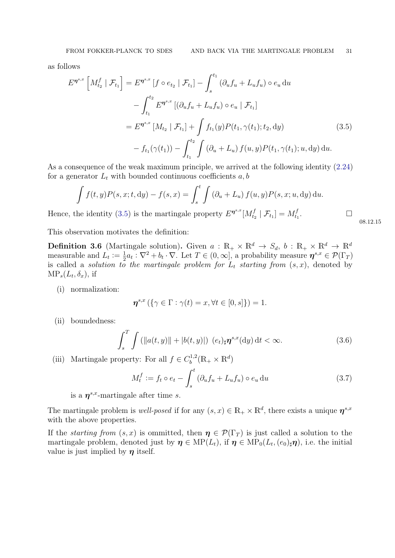as follows

$$
E^{\eta^{s,x}} \left[ M_{t_2}^f \mid \mathcal{F}_{t_1} \right] = E^{\eta^{s,x}} \left[ f \circ e_{t_2} \mid \mathcal{F}_{t_1} \right] - \int_s^{t_1} (\partial_u f_u + L_u f_u) \circ e_u \, \mathrm{d}u
$$
  
- 
$$
\int_{t_1}^{t_2} E^{\eta^{s,x}} \left[ (\partial_u f_u + L_u f_u) \circ e_u \mid \mathcal{F}_{t_1} \right]
$$
  
= 
$$
E^{\eta^{s,x}} \left[ M_{t_2} \mid \mathcal{F}_{t_1} \right] + \int f_{t_1}(y) P(t_1, \gamma(t_1); t_2, \mathrm{d}y)
$$
  
- 
$$
f_{t_1}(\gamma(t_1)) - \int_{t_1}^{t_2} \int (\partial_u + L_u) f(u, y) P(t_1, \gamma(t_1); u, \mathrm{d}y) \, \mathrm{d}u.
$$
 (3.5)

As a consequence of the weak maximum principle, we arrived at the following identity [\(2.24\)](#page-22-2) for a generator  $L_t$  with bounded continuous coefficients  $a, b$ 

$$
\int f(t,y)P(s,x;t,dy) - f(s,x) = \int_s^t \int (\partial_u + L_u) f(u,y)P(s,x;u,dy) du.
$$

Hence, the identity [\(3.5\)](#page-30-0) is the martingale property  $E^{\eta^{s,x}}[M_t^f]$  $[\mathcal{F}_{t_2} \mid \mathcal{F}_{t_1}] = M_{t_1}^f$  $t_1$ .

This observation motivates the definition:

**Definition 3.6** (Martingale solution). Given  $a : \mathbb{R}_+ \times \mathbb{R}^d \to S_d$ ,  $b : \mathbb{R}_+ \times \mathbb{R}^d \to \mathbb{R}^d$ measurable and  $L_t := \frac{1}{2}$  $\frac{1}{2}a_t:\nabla^2 + b_t \cdot \nabla$ . Let  $T \in (0,\infty]$ , a probability measure  $\boldsymbol{\eta}^{s,x} \in \mathcal{P}(\Gamma_T)$ is called a *solution to the martingale problem for*  $L_t$  *starting from*  $(s, x)$ , denoted by  $MP_s(L_t, \delta_x)$ , if

(i) normalization:

$$
\boldsymbol{\eta}^{s,x}\left(\{\gamma\in\Gamma:\gamma(t)=x,\forall t\in[0,s]\}\right)=1.
$$

(ii) boundedness:

$$
\int_{s}^{T} \int \left( \|a(t,y)\| + |b(t,y)| \right) \left( e_{t} \right)_{\sharp} \eta^{s,x}(\mathrm{d}y) \, \mathrm{d}t < \infty. \tag{3.6}
$$

(iii) Martingale property: For all  $f \in C_h^{1,2}$  $\mathbb{R}^{1,2}_b(\mathbb{R}_+\times\mathbb{R}^d)$ 

$$
M_t^f := f_t \circ e_t - \int_s^t \left( \partial_u f_u + L_u f_u \right) \circ e_u \, \mathrm{d}u \tag{3.7}
$$

is a  $\eta^{s,x}$ -martingale after time s.

The martingale problem is well-posed if for any  $(s, x) \in \mathbb{R}_+ \times \mathbb{R}^d$ , there exists a unique  $\eta^{s,x}$ with the above properties.

If the *starting from*  $(s, x)$  is ommitted, then  $\eta \in \mathcal{P}(\Gamma_T)$  is just called a solution to the martingale problem, denoted just by  $\eta \in \text{MP}(L_t)$ , if  $\eta \in \text{MP}_0(L_t, (e_0)_\sharp \eta)$ , i.e. the initial value is just implied by  $\eta$  itself.

<span id="page-30-2"></span><span id="page-30-1"></span><span id="page-30-0"></span>08.12.15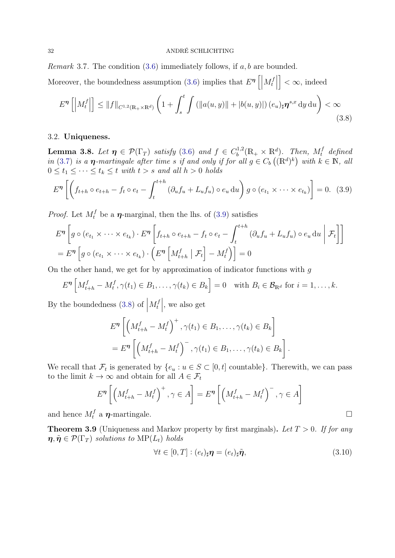*Remark* 3.7. The condition  $(3.6)$  immediately follows, if  $a, b$  are bounded.

Moreover, the boundedness assumption [\(3.6\)](#page-30-1) implies that  $E^{\eta}$   $\left[\right]$  $M_t^f$  $\begin{bmatrix} f \\ t \end{bmatrix}$  $\vert < \infty$ , indeed

<span id="page-31-2"></span>
$$
E^{\eta}\left[\left|M_{t}^{f}\right|\right] \leq\|f\|_{C^{1,2}(\mathbb{R}_{+}\times\mathbb{R}^{d})}\left(1+\int_{s}^{t}\int\left(\left\Vert a(u,y)\right\Vert+\left\vert b(u,y)\right\vert\right)\left(e_{u}\right)_{\sharp}\eta^{s,x}\,\mathrm{d}y\,\mathrm{d}u\right)<\infty
$$
\n(3.8)

## <span id="page-31-0"></span>3.2. Uniqueness.

<span id="page-31-4"></span>**Lemma 3.8.** Let  $\eta \in \mathcal{P}(\Gamma_T)$  satisfy [\(3.6\)](#page-30-1) and  $f \in C_b^{1,2}$  $\mathbb{R}^{1,2}_b(\mathbb{R}_+\times\mathbb{R}^d)$ . Then,  $M_t^f$  defined in [\(3.7\)](#page-30-2) is a  $\eta$ -martingale after time s if and only if for all  $g \in C_b((\mathbb{R}^d)^k)$  with  $k \in \mathbb{N}$ , all  $0 \leq t_1 \leq \cdots \leq t_k \leq t$  with  $t > s$  and all  $h > 0$  holds

$$
E^{\eta}\left[\left(f_{t+h}\circ e_{t+h}-f_t\circ e_t-\int_t^{t+h}\left(\partial_uf_u+L_uf_u\right)\circ e_u\,\mathrm{d}u\right)g\circ\left(e_{t_1}\times\cdots\times e_{t_k}\right)\right]=0.\tag{3.9}
$$

*Proof.* Let  $M_t^f$  be a  $\eta$ -marginal, then the lhs. of [\(3.9\)](#page-31-1) satisfies

$$
E^{\eta} \left[ g \circ (e_{t_1} \times \cdots \times e_{t_k}) \cdot E^{\eta} \left[ f_{t+h} \circ e_{t+h} - f_t \circ e_t - \int_t^{t+h} (\partial_u f_u + L_u f_u) \circ e_u \, du \middle| \mathcal{F}_t \right] \right]
$$
  
= 
$$
E^{\eta} \left[ g \circ (e_{t_1} \times \cdots \times e_{t_k}) \cdot \left( E^{\eta} \left[ M_{t+h}^f \middle| \mathcal{F}_t \right] - M_t^f \right) \right] = 0
$$

On the other hand, we get for by approximation of indicator functions with  $q$ 

$$
E^{\eta}\left[M_{t+h}^{f}-M_{t}^{f},\gamma(t_{1})\in B_{1},\ldots,\gamma(t_{k})\in B_{k}\right]=0 \text{ with } B_{i}\in\mathcal{B}_{\mathbb{R}^{d}} \text{ for } i=1,\ldots,k.
$$

By the boundedness  $(3.8)$  of  $\Big|$  $M_t^f$  $t \nvert t$ , we also get

<span id="page-31-1"></span>
$$
E^{\eta} \left[ \left( M_{t+h}^f - M_t^f \right)^+, \gamma(t_1) \in B_1, \dots, \gamma(t_k) \in B_k \right]
$$
  
= 
$$
E^{\eta} \left[ \left( M_{t+h}^f - M_t^f \right)^-, \gamma(t_1) \in B_1, \dots, \gamma(t_k) \in B_k \right].
$$

We recall that  $\mathcal{F}_t$  is generated by  $\{e_u : u \in S \subset [0, t] \text{ countable}\}\.$  Therewith, we can pass to the limit  $k \to \infty$  and obtain for all  $A \in \mathcal{F}_t$ 

$$
E^{\eta} \left[ \left( M_{t+h}^{f} - M_{t}^{f} \right)^{+}, \gamma \in A \right] = E^{\eta} \left[ \left( M_{t+h}^{f} - M_{t}^{f} \right)^{-}, \gamma \in A \right]
$$

and hence  $M_t^f$  a  $\eta$ -martingale.

**Theorem 3.9** (Uniqueness and Markov property by first marginals). Let  $T > 0$ . If for any  $\eta, \tilde{\eta} \in \mathcal{P}(\Gamma_T)$  solutions to  $\text{MP}(L_t)$  holds

<span id="page-31-3"></span>
$$
\forall t \in [0, T] : (e_t)_{\sharp} \eta = (e_t)_{\sharp} \tilde{\eta}, \qquad (3.10)
$$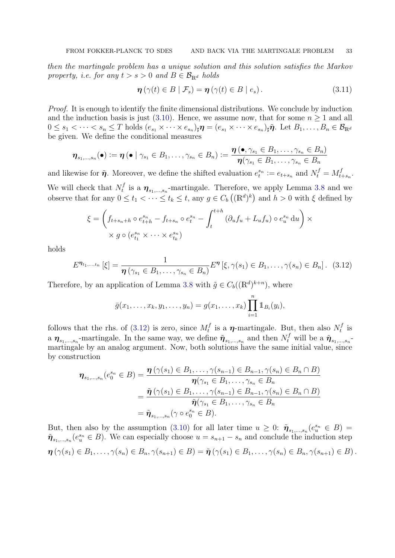then the martingale problem has a unique solution and this solution satisfies the Markov property, i.e. for any  $t > s > 0$  and  $B \in \mathcal{B}_{\mathbb{R}^d}$  holds

<span id="page-32-1"></span>
$$
\boldsymbol{\eta}\left(\gamma(t)\in B\mid\mathcal{F}_s\right)=\boldsymbol{\eta}\left(\gamma(t)\in B\mid e_s\right). \tag{3.11}
$$

Proof. It is enough to identify the finite dimensional distributions. We conclude by induction and the induction basis is just [\(3.10\)](#page-31-3). Hence, we assume now, that for some  $n \geq 1$  and all  $0 \leq s_1 < \cdots < s_n \leq T$  holds  $(e_{s_1} \times \cdots \times e_{s_n})_\sharp \boldsymbol{\eta} = (e_{s_1} \times \cdots \times e_{s_n})_\sharp \boldsymbol{\tilde{\eta}}$ . Let  $B_1, \ldots, B_n \in \mathcal{B}_{\mathbb{R}^d}$ be given. We define the conditional measures

$$
\boldsymbol{\eta}_{s_1,\dots,s_n}(\bullet) \vcentcolon= \boldsymbol{\eta}\,(\bullet \mid \gamma_{s_1} \in B_1,\dots,\gamma_{s_n} \in B_n) \vcentcolon= \frac{\boldsymbol{\eta}\,(\bullet,\gamma_{s_1} \in B_1,\dots,\gamma_{s_n} \in B_n)}{\boldsymbol{\eta}(\gamma_{s_1} \in B_1,\dots,\gamma_{s_n} \in B_n)}
$$

and likewise for  $\tilde{\eta}$ . Moreover, we define the shifted evaluation  $e_t^{s_n} := e_{t+s_n}$  and  $N_t^f = M_t^f$ .  $t+s_n$  . We will check that  $N_t^f$  $\eta_t^f$  is a  $\eta_{s_1,\dots,s_n}$ -martingale. Therefore, we apply Lemma [3.8](#page-31-4) and we observe that for any  $0 \le t_1 < \cdots \le t_k \le t$ , any  $g \in C_b((\mathbb{R}^d)^k)$  and  $h > 0$  with  $\xi$  defined by

$$
\xi = \left( f_{t+s_n+h} \circ e_{t+h}^{s_n} - f_{t+s_n} \circ e_t^{s_n} - \int_t^{t+h} (\partial_u f_u + L_u f_u) \circ e_u^{s_n} du \right) \times
$$
  
 
$$
\times g \circ (e_{t_1}^{s_n} \times \dots \times e_{t_k}^{s_n})
$$

holds

$$
E^{\eta_{t_1,\dots,t_n}}\left[\xi\right] = \frac{1}{\eta\left(\gamma_{s_1} \in B_1, \dots, \gamma_{s_n} \in B_n\right)} E^{\eta}\left[\xi, \gamma(s_1) \in B_1, \dots, \gamma(s_n) \in B_n\right]. \tag{3.12}
$$

Therefore, by an application of Lemma [3.8](#page-31-4) with  $\tilde{g} \in C_b((\mathbb{R}^d)^{k+n})$ , where

<span id="page-32-0"></span>
$$
\bar{g}(x_1,...,x_k,y_1,...,y_n) = g(x_1,...,x_k) \prod_{i=1}^n \mathbb{1}_{B_i}(y_i),
$$

follows that the rhs. of  $(3.12)$  is zero, since  $M_t^f$  $t_t^f$  is a  $\eta$ -martingale. But, then also  $N_t^f$  $t^{t}$  is a  $\eta_{s_1,\dots,s_n}$ -martingale. In the same way, we define  $\tilde{\eta}_{s_1,\dots,s_n}$  and then  $N_t^f$  will be a  $\tilde{\eta}_{s_1,\dots,s_n}$ martingale by an analog argument. Now, both solutions have the same initial value, since by construction

$$
\boldsymbol{\eta}_{s_1,\ldots,s_n}(e_0^{s_n} \in B) = \frac{\boldsymbol{\eta}\left(\gamma(s_1) \in B_1,\ldots,\gamma(s_{n-1}) \in B_{n-1},\gamma(s_n) \in B_n \cap B\right)}{\boldsymbol{\eta}(\gamma_{s_1} \in B_1,\ldots,\gamma_{s_n} \in B_n}
$$

$$
= \frac{\tilde{\boldsymbol{\eta}}\left(\gamma(s_1) \in B_1,\ldots,\gamma(s_{n-1}) \in B_{n-1},\gamma(s_n) \in B_n \cap B\right)}{\tilde{\boldsymbol{\eta}}(\gamma_{s_1} \in B_1,\ldots,\gamma_{s_n} \in B_n}
$$

$$
= \tilde{\boldsymbol{\eta}}_{s_1,\ldots,s_n}(\gamma \circ e_0^{s_n} \in B).
$$

But, then also by the assumption [\(3.10\)](#page-31-3) for all later time  $u \geq 0$ :  $\tilde{\eta}_{s_1,\dots,s_n}(e_u^{s_n} \in B)$  $\tilde{\pmb{\eta}}_{s_1,\dots,s_n}(e^{s_n}_u \in B)$ . We can especially choose  $u = s_{n+1} - s_n$  and conclude the induction step  $\boldsymbol{\eta}(\gamma(s_1) \in B_1, \ldots, \gamma(s_n) \in B_n, \gamma(s_{n+1}) \in B) = \tilde{\boldsymbol{\eta}}(\gamma(s_1) \in B_1, \ldots, \gamma(s_n) \in B_n, \gamma(s_{n+1}) \in B).$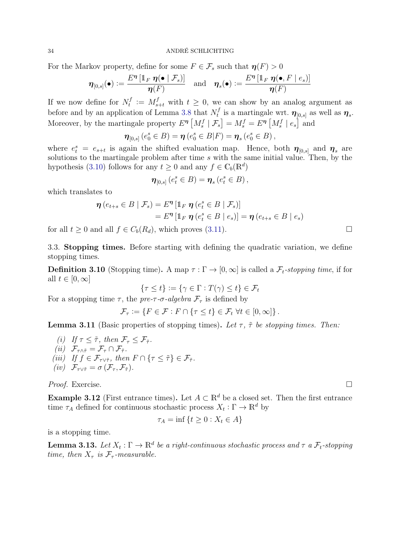For the Markov property, define for some  $F \in \mathcal{F}_s$  such that  $\eta(F) > 0$ 

$$
\boldsymbol{\eta}_{[0,s]}(\bullet) \mathrel{\mathop:}= \frac{E^{\boldsymbol{\eta}}\left[\mathbb{1}_F\ \boldsymbol{\eta}(\bullet\mid\mathcal{F}_s)\right]}{\boldsymbol{\eta}(F)} \quad \text{and} \quad \boldsymbol{\eta}_s(\bullet) \mathrel{\mathop:}= \frac{E^{\boldsymbol{\eta}}\left[\mathbb{1}_F\ \boldsymbol{\eta}(\bullet,F\mid e_s)\right]}{\boldsymbol{\eta}(F)}
$$

If we now define for  $N_t^f$  $t_t^f := M_{s+t}^f$  with  $t \geq 0$ , we can show by an analog argument as before and by an application of Lemma [3.8](#page-31-4) that  $N_t^f$  $\boldsymbol{\eta}_t^f$  is a martingale wrt.  $\boldsymbol{\eta}_{[0,s]}$  as well as  $\boldsymbol{\eta}_s$ . Moreover, by the martingale property  $E^{\eta} \left[ M_s^f \mid \mathcal{F}_s \right] = M_s^f = E^{\eta} \left[ M_s^f \mid e_s \right]$  and

$$
\boldsymbol{\eta}_{[0,s]}\left(e_0^s \in B\right) = \boldsymbol{\eta}\left(e_0^s \in B|F\right) = \boldsymbol{\eta}_s\left(e_0^s \in B\right),\,
$$

where  $e_t^s = e_{s+t}$  is again the shifted evaluation map. Hence, both  $\eta_{[0,s]}$  and  $\eta_s$  are solutions to the martingale problem after time s with the same initial value. Then, by the hypothesis [\(3.10\)](#page-31-3) follows for any  $t \geq 0$  and any  $f \in \mathbb{C}_b(\mathbb{R}^d)$ 

$$
\boldsymbol{\eta}_{[0,s]}\left(e_t^s \in B\right) = \boldsymbol{\eta}_s\left(e_t^s \in B\right),\,
$$

which translates to

$$
\boldsymbol{\eta} (e_{t+s} \in B \mid \mathcal{F}_s) = E^{\boldsymbol{\eta}} [\mathbb{1}_F \ \boldsymbol{\eta} (e_t^s \in B \mid \mathcal{F}_s)]
$$
  
= 
$$
E^{\boldsymbol{\eta}} [\mathbb{1}_F \ \boldsymbol{\eta} (e_t^s \in B \mid e_s)] = \boldsymbol{\eta} (e_{t+s} \in B \mid e_s)
$$

for all  $t > 0$  and all  $f \in C_b(R_d)$ , which proves [\(3.11\)](#page-32-1).

<span id="page-33-0"></span>3.3. Stopping times. Before starting with defining the quadratic variation, we define stopping times.

**Definition 3.10** (Stopping time). A map  $\tau : \Gamma \to [0,\infty]$  is called a  $\mathcal{F}_t$ -stopping time, if for all  $t \in [0, \infty]$ 

$$
\{\tau \le t\} := \{\gamma \in \Gamma : T(\gamma) \le t\} \in \mathcal{F}_t
$$

For a stopping time  $\tau$ , the pre- $\tau$ - $\sigma$ -algebra  $\mathcal{F}_{\tau}$  is defined by

$$
\mathcal{F}_{\tau} := \{ F \in \mathcal{F} : F \cap \{ \tau \leq t \} \in \mathcal{F}_t \ \forall t \in [0, \infty] \}.
$$

**Lemma 3.11** (Basic properties of stopping times). Let  $\tau$ ,  $\tilde{\tau}$  be stopping times. Then:

(i) If 
$$
\tau \leq \tilde{\tau}
$$
, then  $\mathcal{F}_{\tau} \leq \mathcal{F}_{\tilde{\tau}}$ .  
\n(ii)  $\mathcal{F}_{\tau \wedge \tilde{\tau}} = \mathcal{F}_{\tau} \cap \mathcal{F}_{\tilde{\tau}}$ .  
\n(iii) If  $f \in \mathcal{F}_{\tau \vee \tilde{\tau}}$ , then  $F \cap \{\tau \leq \tilde{\tau}\} \in \mathcal{F}_{\tilde{\tau}}$ .  
\n(iv)  $\mathcal{F}_{\tau \vee \tilde{\tau}} = \sigma(\mathcal{F}_{\tau}, \mathcal{F}_{\tilde{\tau}})$ .

Proof. Exercise.

Example 3.12 (First entrance times). Let  $A \subset \mathbb{R}^d$  be a closed set. Then the first entrance time  $\tau_A$  defined for continuous stochastic process  $X_t : \Gamma \to \mathbb{R}^d$  by

$$
\tau_A = \inf \left\{ t \ge 0 : X_t \in A \right\}
$$

is a stopping time.

**Lemma 3.13.** Let  $X_t : \Gamma \to \mathbb{R}^d$  be a right-continuous stochastic process and  $\tau$  a  $\mathcal{F}_t$ -stopping time, then  $X_{\tau}$  is  $\mathcal{F}_{\tau}$ -measurable.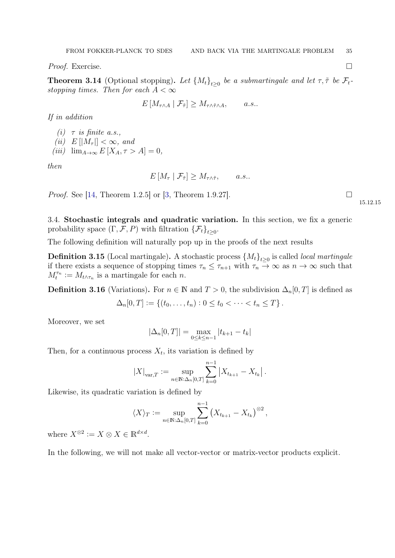*Proof.* Exercise.  $\Box$ 

<span id="page-34-1"></span>**Theorem 3.14** (Optional stopping). Let  $\{M_t\}_{t\geq 0}$  be a submartingale and let  $\tau$ ,  $\tilde{\tau}$  be  $\mathcal{F}_t$ stopping times. Then for each  $A < \infty$ 

$$
E\left[M_{\tau\wedge A} \mid \mathcal{F}_{\tilde{\tau}}\right] \ge M_{\tau\wedge \tilde{\tau}\wedge A}, \qquad a.s..
$$

If in addition

(i)  $\tau$  is finite a.s., (ii)  $E[|M_{\tau}|] < \infty$ , and (iii)  $\lim_{A\to\infty} E[X_A, \tau > A] = 0,$ 

then

$$
E\left[M_{\tau} \mid \mathcal{F}_{\tilde{\tau}}\right] \geq M_{\tau \wedge \tilde{\tau}}, \qquad a.s..
$$

*Proof.* See [\[14,](#page-67-3) Theorem 1.2.5] or [\[3,](#page-67-6) Theorem 1.9.27].

15.12.15

<span id="page-34-0"></span>3.4. Stochastic integrals and quadratic variation. In this section, we fix a generic probability space  $(\Gamma, \mathcal{F}, P)$  with filtration  $\{\mathcal{F}_t\}_{t\geq 0}$ .

The following definition will naturally pop up in the proofs of the next results

**Definition 3.15** (Local martingale). A stochastic process  ${M_t}_{t\geq0}$  is called *local martingale* if there exists a sequence of stopping times  $\tau_n \leq \tau_{n+1}$  with  $\tau_n \to \infty$  as  $n \to \infty$  such that  $M_t^{\tau_n} := M_{t \wedge \tau_n}$  is a martingale for each n.

**Definition 3.16** (Variations). For  $n \in \mathbb{N}$  and  $T > 0$ , the subdivision  $\Delta_n[0, T]$  is defined as

$$
\Delta_n[0,T] := \{ (t_0,\ldots,t_n) : 0 \le t_0 < \cdots < t_n \le T \}.
$$

Moreover, we set

$$
|\Delta_n[0,T]| = \max_{0 \le k \le n-1} |t_{k+1} - t_k|
$$

Then, for a continuous process  $X_t$ , its variation is defined by

$$
|X|_{\text{var},T} := \sup_{n \in \mathbb{N} : \Delta_n[0,T]} \sum_{k=0}^{n-1} |X_{t_{k+1}} - X_{t_k}|.
$$

Likewise, its quadratic variation is defined by

$$
\langle X \rangle_T := \sup_{n \in \mathbb{N} : \Delta_n[0,T]} \sum_{k=0}^{n-1} (X_{t_{k+1}} - X_{t_k})^{\otimes 2},
$$

where  $X^{\otimes 2} := X \otimes X \in \mathbb{R}^{d \times d}$ .

In the following, we will not make all vector-vector or matrix-vector products explicit.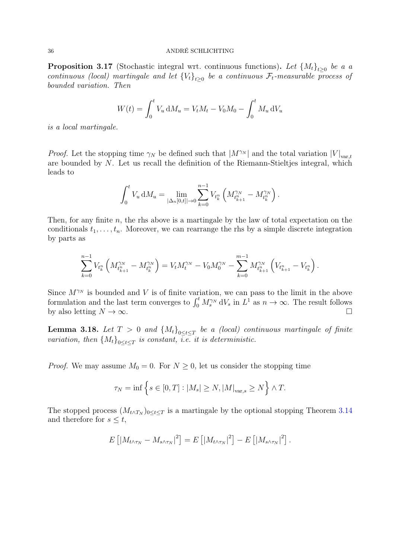<span id="page-35-1"></span>**Proposition 3.17** (Stochastic integral wrt. continuous functions). Let  $\{M_t\}_{t\geq0}$  be a a continuous (local) martingale and let  ${V_t}_{t\geq0}$  be a continuous  $\mathcal{F}_t$ -measurable process of bounded variation. Then

$$
W(t) = \int_0^t V_u \, \mathrm{d}M_u = V_t M_t - V_0 M_0 - \int_0^t M_u \, \mathrm{d}V_u
$$

is a local martingale.

*Proof.* Let the stopping time  $\gamma_N$  be defined such that  $|M^{\gamma_N}|$  and the total variation  $|V|_{var,t}$ are bounded by N. Let us recall the definition of the Riemann-Stieltjes integral, which leads to

$$
\int_0^t V_u \, \mathrm{d}M_u = \lim_{|\Delta_n[0,t]| \to 0} \sum_{k=0}^{n-1} V_{t_k^n} \left( M_{t_{k+1}^n}^{\gamma_N} - M_{t_k^n}^{\gamma_N} \right).
$$

Then, for any finite  $n$ , the rhs above is a martingale by the law of total expectation on the conditionals  $t_1, \ldots, t_n$ . Moreover, we can rearrange the rhs by a simple discrete integration by parts as

$$
\sum_{k=0}^{n-1} V_{t_k^n} \left( M_{t_{k+1}^n}^{\gamma_N} - M_{t_k^n}^{\gamma_N} \right) = V_t M_t^{\gamma_N} - V_0 M_0^{\gamma_N} - \sum_{k=0}^{m-1} M_{t_{k+1}^n}^{\gamma_N} \left( V_{t_{k+1}^n} - V_{t_k^n} \right).
$$

Since  $M^{\gamma_N}$  is bounded and V is of finite variation, we can pass to the limit in the above formulation and the last term converges to  $\int_0^t M_s^{\gamma_N} dV_s$  in  $L^1$  as  $n \to \infty$ . The result follows by also letting  $N \to \infty$ .

<span id="page-35-0"></span>**Lemma 3.18.** Let  $T > 0$  and  ${M_t}_{0 \le t \le T}$  be a (local) continuous martingale of finite variation, then  ${M_t}_{0 \leq t \leq T}$  is constant, i.e. it is deterministic.

*Proof.* We may assume  $M_0 = 0$ . For  $N \geq 0$ , let us consider the stopping time

$$
\tau_N = \inf \left\{ s \in [0, T] : |M_s| \ge N, |M|_{\text{var},s} \ge N \right\} \wedge T.
$$

The stopped process  $(M_{t \wedge T_N})_{0 \le t \le T}$  is a martingale by the optional stopping Theorem [3.14](#page-34-1) and therefore for  $s \leq t$ ,

$$
E\left[\left|M_{t\wedge\tau_N}-M_{s\wedge\tau_N}\right|^2\right]=E\left[\left|M_{t\wedge\tau_N}\right|^2\right]-E\left[\left|M_{s\wedge\tau_N}\right|^2\right].
$$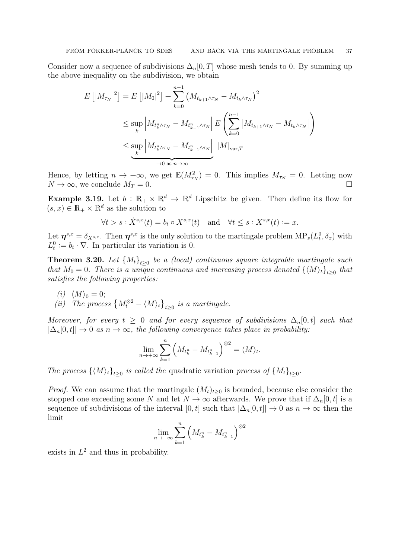Consider now a sequence of subdivisions  $\Delta_n[0,T]$  whose mesh tends to 0. By summing up the above inequality on the subdivision, we obtain

$$
E\left[|M_{\tau_N}|^2\right] = E\left[|M_0|^2\right] + \sum_{k=0}^{n-1} \left(M_{t_{k+1}\wedge\tau_N} - M_{t_k\wedge\tau_N}\right)^2
$$
  

$$
\leq \sup_k \left|M_{t_k^n\wedge\tau_N} - M_{t_{k-1}^n\wedge\tau_N}\right| E\left(\sum_{k=0}^{n-1} |M_{t_{k+1}\wedge\tau_N} - M_{t_k\wedge\tau_N}|\right)
$$
  

$$
\leq \sup_k \left|M_{t_k^n\wedge\tau_N} - M_{t_{k-1}^n\wedge\tau_N}\right| |M|_{\text{var},T}
$$

Hence, by letting  $n \to +\infty$ , we get  $\mathbb{E}(M_{\tau_N}^2) = 0$ . This implies  $M_{\tau_N} = 0$ . Letting now  $N \to \infty$ , we conclude  $M_T = 0$ .

**Example 3.19.** Let  $b : \mathbb{R}_+ \times \mathbb{R}^d \to \mathbb{R}^d$  Lipschitz be given. Then define its flow for  $(s, x) \in \mathbb{R}_+ \times \mathbb{R}^d$  as the solution to

$$
\forall t > s : \dot{X}^{s,x}(t) = b_t \circ X^{s,x}(t) \quad \text{and} \quad \forall t \le s : X^{s,x}(t) := x.
$$

Let  $\eta^{s,x} = \delta_{X^{s,x}}$ . Then  $\eta^{s,x}$  is the only solution to the martingale problem  $MP_s(L_t^0, \delta_x)$  with  $L_t^0 := b_t \cdot \nabla$ . In particular its variation is 0.

<span id="page-36-0"></span>**Theorem 3.20.** Let  ${M_t}_{t\geq0}$  be a (local) continuous square integrable martingale such that  $M_0 = 0$ . There is a unique continuous and increasing process denoted  $\{\langle M \rangle_t\}_{t\geq 0}$  that satisfies the following properties:

(i) 
$$
\langle M \rangle_0 = 0;
$$
  
(ii) The process  $\{M_t^{\otimes 2} - \langle M \rangle_t\}_{t \geq 0}$  is a martingale.

Moreover, for every  $t \geq 0$  and for every sequence of subdivisions  $\Delta_n[0, t]$  such that  $|\Delta_n[0,t]| \to 0$  as  $n \to \infty$ , the following convergence takes place in probability:

$$
\lim_{n \to +\infty} \sum_{k=1}^{n} \left( M_{t_k^n} - M_{t_{k-1}^n} \right)^{\otimes 2} = \langle M \rangle_t.
$$

The process  $\{ \langle M \rangle_t \}_{t\geq 0}$  is called the quadratic variation process of  $\{M_t\}_{t\geq 0}$ .

*Proof.* We can assume that the martingale  $(M_t)_{t\geq 0}$  is bounded, because else consider the stopped one exceeding some N and let  $N \to \infty$  afterwards. We prove that if  $\Delta_n[0, t]$  is a sequence of subdivisions of the interval  $[0, t]$  such that  $|\Delta_n[0, t]| \to 0$  as  $n \to \infty$  then the limit

$$
\lim_{n \to +\infty} \sum_{k=1}^{n} \left( M_{t_k^n} - M_{t_{k-1}^n} \right)^{\otimes 2}
$$

exists in  $L^2$  and thus in probability.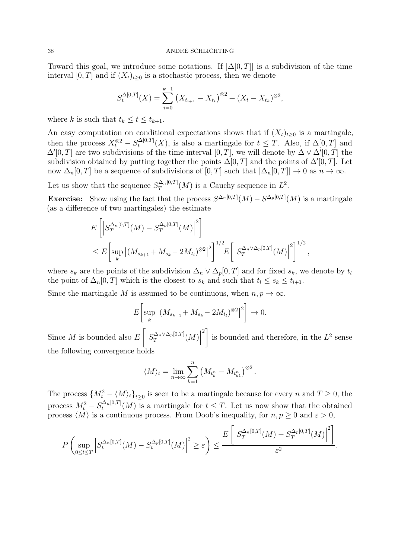Toward this goal, we introduce some notations. If  $|\Delta[0,T]|$  is a subdivision of the time interval [0, T] and if  $(X_t)_{t>0}$  is a stochastic process, then we denote

$$
S_t^{\Delta[0,T]}(X) = \sum_{i=0}^{k-1} (X_{t_{i+1}} - X_{t_i})^{\otimes 2} + (X_t - X_{t_k})^{\otimes 2},
$$

where k is such that  $t_k \leq t \leq t_{k+1}$ .

An easy computation on conditional expectations shows that if  $(X_t)_{t\geq 0}$  is a martingale, then the process  $X_t^{\otimes 2} - S_t^{\Delta[0,T]}$  $t_t^{\Delta[0,T]}(X)$ , is also a martingale for  $t \leq T$ . Also, if  $\Delta[0,T]$  and  $\Delta'[0,T]$  are two subdivisions of the time interval  $[0,T]$ , we will denote by  $\Delta \vee \Delta'[0,T]$  the subdivision obtained by putting together the points  $\Delta[0,T]$  and the points of  $\Delta'[0,T]$ . Let now  $\Delta_n[0,T]$  be a sequence of subdivisions of  $[0,T]$  such that  $|\Delta_n[0,T]| \to 0$  as  $n \to \infty$ .

Let us show that the sequence  $S_T^{\Delta_n[0,T]}$  $T^{(\Delta_n[0,T]}(M)$  is a Cauchy sequence in  $L^2$ .

**Exercise:** Show using the fact that the process  $S^{\Delta_n[0,T]}(M) - S^{\Delta_p[0,T]}(M)$  is a martingale (as a difference of two martingales) the estimate

$$
E\left[\left|S_T^{\Delta_n[0,T]}(M) - S_T^{\Delta_p[0,T]}(M)\right|^2\right]
$$
  
\n
$$
\leq E\left[\sup_k \left| (M_{s_{k+1}} + M_{s_k} - 2M_{t_l})^{\otimes 2} \right|^2\right]^{1/2} E\left[\left|S_T^{\Delta_n \vee \Delta_p[0,T]}(M)\right|^2\right]^{1/2},
$$

where  $s_k$  are the points of the subdivision  $\Delta_n \vee \Delta_p[0,T]$  and for fixed  $s_k$ , we denote by  $t_l$ the point of  $\Delta_n[0,T]$  which is the closest to  $s_k$  and such that  $t_l \leq s_k \leq t_{l+1}$ .

Since the martingale M is assumed to be continuous, when  $n, p \to \infty$ ,

$$
E\left[\sup_{k} |(M_{s_{k+1}} + M_{s_k} - 2M_{t_l})^{\otimes 2}|^2\right] \to 0.
$$

Since  $M$  is bounded also  $E\left[\right|$  $S_{T}^{\Delta_{n}\vee\Delta_{p}[0,T]}$  $\left|\frac{\Delta_n\vee\Delta_p[0,T]}{T}(M)\right|$  $^{2}$ ] is bounded and therefore, in the  $L^2$  sense the following convergence holds

$$
\langle M \rangle_t = \lim_{n \to \infty} \sum_{k=1}^n \left( M_{t_k^n} - M_{t_{k1}^n} \right)^{\otimes 2}.
$$

The process  ${M_t^2 - \langle M \rangle_t}_{t\geq 0}$  is seen to be a martingale because for every n and  $T \geq 0$ , the process  $M_t^2 - S_t^{\Delta_n[0,T]}$  $t_t^{\Delta_n[0,1]}(M)$  is a martingale for  $t \leq T$ . Let us now show that the obtained process  $\langle M \rangle$  is a continuous process. From Doob's inequality, for  $n, p \geq 0$  and  $\varepsilon > 0$ ,

$$
P\left(\sup_{0\leq t\leq T}\left|S_t^{\Delta_n[0,T]}(M)-S_t^{\Delta_p[0,T]}(M)\right|^2\geq \varepsilon\right)\leq \frac{E\left[\left|S_T^{\Delta_n[0,T]}(M)-S_T^{\Delta_p[0,T]}(M)\right|^2\right]}{\varepsilon^2}.
$$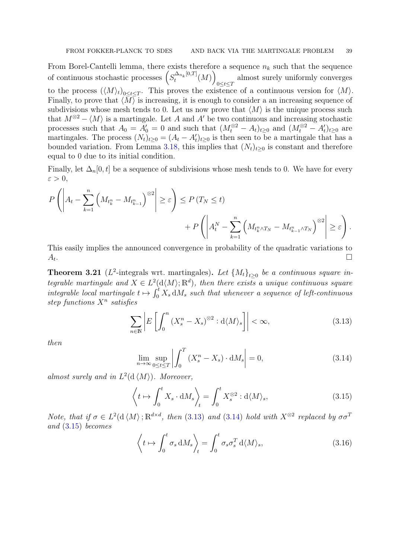From Borel-Cantelli lemma, there exists therefore a sequence  $n_k$  such that the sequence of continuous stochastic processes  $\left(S_t^{\Delta_{n_k}[0,T]}\right)$  $\mu_t^{\Delta_{n_k}[0,T]}(M)\Big)$ almost surely uniformly converges  $\frac{0 \leq t \leq T}{}$ to the process  $(\langle M \rangle_t)_{0 \le t \le T}$ . This proves the existence of a continuous version for  $\langle M \rangle$ . Finally, to prove that  $\langle M \rangle$  is increasing, it is enough to consider a an increasing sequence of subdivisions whose mesh tends to 0. Let us now prove that  $\langle M \rangle$  is the unique process such that  $M^{\otimes 2} - \langle M \rangle$  is a martingale. Let A and A' be two continuous and increasing stochastic processes such that  $A_0 = A'_0 = 0$  and such that  $(M_t^{\otimes 2} - A_t)_{t \geq 0}$  and  $(M_t^{\otimes 2} - A'_t)_{t \geq 0}$  are martingales. The process  $(N_t)_{t\geq 0} = (A_t - A'_t)_{t\geq 0}$  is then seen to be a martingale that has a bounded variation. From Lemma [3.18,](#page-35-0) this implies that  $(N_t)_{t>0}$  is constant and therefore equal to 0 due to its initial condition.

Finally, let  $\Delta_n[0, t]$  be a sequence of subdivisions whose mesh tends to 0. We have for every  $\varepsilon > 0$ ,

$$
P\left(\left|A_t - \sum_{k=1}^n \left(M_{t_k^n} - M_{t_{k-1}^n}\right)^{\otimes 2}\right| \geq \varepsilon\right) \leq P(T_N \leq t) + P\left(\left|A_t^N - \sum_{k=1}^n \left(M_{t_k^n \wedge T_N} - M_{t_{k-1}^n \wedge T_N}\right)^{\otimes 2}\right| \geq \varepsilon\right).
$$

This easily implies the announced convergence in probability of the quadratic variations to  $A_t$ . . In the second control of the second control of the second control of the second control of the second control of

**Theorem 3.21** ( $L^2$ -integrals wrt. martingales). Let  $\{M_t\}_{t\geq 0}$  be a continuous square integrable martingale and  $X \in L^2(\mathcal{d}(M); \mathbb{R}^d)$ , then there exists a unique continuous square integrable local martingale  $t \mapsto \int_0^t X_s dM_s$  such that whenever a sequence of left-continuous step functions  $X^n$  satisfies

$$
\sum_{n\in\mathbb{N}}\left|E\left[\int_0^n \left(X_s^n - X_s\right)^{\otimes 2} : \mathrm{d}\langle M\rangle_s\right]\right| < \infty,\tag{3.13}
$$

then

<span id="page-38-1"></span><span id="page-38-0"></span>
$$
\lim_{n \to \infty} \sup_{0 \le t \le T} \left| \int_0^T \left( X_s^n - X_s \right) \cdot \mathrm{d}M_s \right| = 0,\tag{3.14}
$$

almost surely and in  $L^2(\mathrm{d}\langle M \rangle)$ . Moreover,

<span id="page-38-2"></span>
$$
\left\langle t \mapsto \int_0^t X_s \cdot \mathrm{d}M_s \right\rangle_t = \int_0^t X_s^{\otimes 2} : \mathrm{d}\langle M \rangle_s,\tag{3.15}
$$

Note, that if  $\sigma \in L^2(\mathcal{d}\langle M \rangle; \mathbb{R}^{d \times d}$ , then [\(3.13\)](#page-38-0) and [\(3.14\)](#page-38-1) hold with  $X^{\otimes 2}$  replaced by  $\sigma \sigma^T$ and [\(3.15\)](#page-38-2) becomes

<span id="page-38-3"></span>
$$
\left\langle t \mapsto \int_0^t \sigma_s \, \mathrm{d}M_s \right\rangle_t = \int_0^t \sigma_s \sigma_s^T \, \mathrm{d}\langle M \rangle_s,\tag{3.16}
$$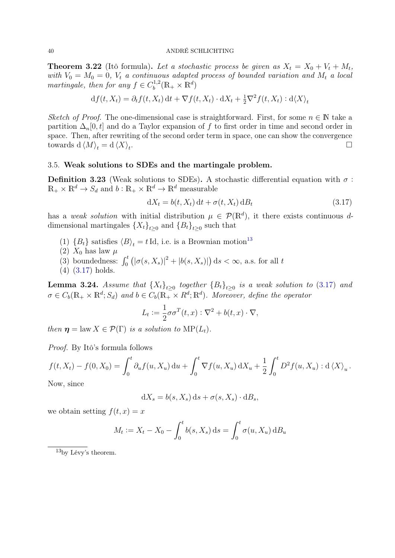**Theorem 3.22** (Itô formula). Let a stochastic process be given as  $X_t = X_0 + V_t + M_t$ , with  $V_0 = M_0 = 0$ ,  $V_t$  a continuous adapted process of bounded variation and  $M_t$  a local martingale, then for any  $f \in C_b^{1,2}$  $\mathcal{L}_b^{1,2}(\mathbb{R}_+\times\mathbb{R}^d)$ 

$$
df(t, X_t) = \partial_t f(t, X_t) dt + \nabla f(t, X_t) \cdot dX_t + \frac{1}{2} \nabla^2 f(t, X_t) : d\langle X \rangle_t
$$

Sketch of Proof. The one-dimensional case is straightforward. First, for some  $n \in \mathbb{N}$  take a partition  $\Delta_n[0, t]$  and do a Taylor expansion of f to first order in time and second order in space. Then, after rewriting of the second order term in space, one can show the convergence towards d $\langle M \rangle_t = d \langle X \rangle_t$ .

## <span id="page-39-0"></span>3.5. Weak solutions to SDEs and the martingale problem.

<span id="page-39-3"></span>Definition 3.23 (Weak solutions to SDEs). A stochastic differential equation with  $\sigma$ :  $\mathbb{R}_+ \times \mathbb{R}^d \to S_d$  and  $b : \mathbb{R}_+ \times \mathbb{R}^d \to \mathbb{R}^d$  measurable

<span id="page-39-2"></span>
$$
dX_t = b(t, X_t) dt + \sigma(t, X_t) dB_t
$$
\n(3.17)

has a weak solution with initial distribution  $\mu \in \mathcal{P}(\mathbb{R}^d)$ , it there exists continuous ddimensional martingales  ${X_t}_{t\geq 0}$  and  ${B_t}_{t\geq 0}$  such that

- (1)  ${B_t}$  satisfies  ${B_t} = t \text{Id}$ , i.e. is a Brownian motion<sup>[13](#page-39-1)</sup>
- (2)  $X_0$  has law  $\mu$
- (3) boundedness:  $\int_0^t \left( |\sigma(s, X_s)|^2 + |b(s, X_s)| \right) ds < \infty$ , a.s. for all t
- (4) [\(3.17\)](#page-39-2) holds.

**Lemma 3.24.** Assume that  ${X_t}_{t\geq0}$  together  ${B_t}_{t\geq0}$  is a weak solution to [\(3.17\)](#page-39-2) and  $\sigma \in C_b(\mathbb{R}_+ \times \mathbb{R}^d; S_d)$  and  $b \in C_b(\mathbb{R}_+ \times R^d; \mathbb{R}^d)$ . Moreover, define the operator

$$
L_t := \frac{1}{2}\sigma\sigma^T(t,x) : \nabla^2 + b(t,x) \cdot \nabla,
$$

then  $\eta = \text{law } X \in \mathcal{P}(\Gamma)$  is a solution to  $\text{MP}(L_t)$ .

Proof. By Itô's formula follows

$$
f(t, X_t) - f(0, X_0) = \int_0^t \partial_u f(u, X_u) du + \int_0^t \nabla f(u, X_u) dX_u + \frac{1}{2} \int_0^t D^2 f(u, X_u) : d \langle X \rangle_u.
$$
  
Now, since

Now, since

$$
dX_s = b(s, X_s) ds + \sigma(s, X_s) \cdot dB_s,
$$

we obtain setting  $f(t, x) = x$ 

$$
M_t := X_t - X_0 - \int_0^t b(s, X_s) \, ds = \int_0^t \sigma(u, X_u) \, dB_u
$$

<span id="page-39-1"></span> $\overline{^{13}$ by Lévy's theorem.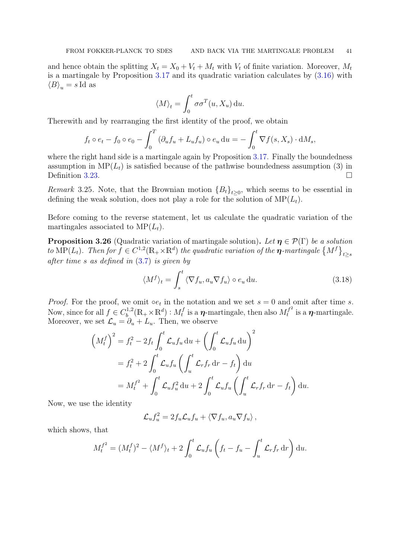and hence obtain the splitting  $X_t = X_0 + V_t + M_t$  with  $V_t$  of finite variation. Moreover,  $M_t$ is a martingale by Proposition [3.17](#page-35-1) and its quadratic variation calculates by [\(3.16\)](#page-38-3) with  $\langle B \rangle_u = s \, \text{Id}$  as

$$
\langle M \rangle_t = \int_0^t \sigma \sigma^T(u, X_u) \, \mathrm{d}u.
$$

Therewith and by rearranging the first identity of the proof, we obtain

$$
f_t \circ e_t - f_0 \circ e_0 - \int_0^T \left( \partial_u f_u + L_u f_u \right) \circ e_u \, \mathrm{d}u = - \int_0^t \nabla f(s, X_s) \cdot \mathrm{d}M_s,
$$

where the right hand side is a martingale again by Proposition [3.17.](#page-35-1) Finally the boundedness assumption in  $\text{MP}(L_t)$  is satisfied because of the pathwise boundedness assumption (3) in Definition [3.23.](#page-39-3)

*Remark* 3.25. Note, that the Brownian motion  ${B<sub>t</sub>}<sub>t≥0</sub>$ , which seems to be essential in defining the weak solution, does not play a role for the solution of  $\text{MP}(L_t)$ .

Before coming to the reverse statement, let us calculate the quadratic variation of the martingales associated to  $\text{MP}(L_t)$ .

<span id="page-40-1"></span>**Proposition 3.26** (Quadratic variation of martingale solution). Let  $\eta \in \mathcal{P}(\Gamma)$  be a solution to  $MP(L_t)$ . Then for  $f \in C^{1,2}(\mathbb{R}_+ \times \mathbb{R}^d)$  the quadratic variation of the  $\eta$ -martingale  $\{M^f\}_{t \geq s}$ after time s as defined in [\(3.7\)](#page-30-2) is given by

<span id="page-40-0"></span>
$$
\langle M^f \rangle_t = \int_s^t \langle \nabla f_u, a_u \nabla f_u \rangle \circ e_u \, \mathrm{d}u. \tag{3.18}
$$

*Proof.* For the proof, we omit  $\circ e_t$  in the notation and we set  $s = 0$  and omit after time s. Now, since for all  $f \in C_h^{1,2}$  $b^{1,2}(\mathbb{R}_+ \times \mathbb{R}^d) : M_t^f$  $t_t^f$  is a  $\eta$ -martingale, then also  $M_t^{f^2}$  $t_t^{f^-}$  is a  $\eta$ -martingale. Moreover, we set  $\mathcal{L}_u = \partial_u + L_u$ . Then, we observe

$$
\left(M_t^f\right)^2 = f_t^2 - 2f_t \int_0^t \mathcal{L}_u f_u \, \mathrm{d}u + \left(\int_0^t \mathcal{L}_u f_u \, \mathrm{d}u\right)^2
$$
  
=  $f_t^2 + 2 \int_0^t \mathcal{L}_u f_u \left(\int_u^t \mathcal{L}_r f_r \, \mathrm{d}r - f_t\right) \, \mathrm{d}u$   
=  $M_t^{f^2} + \int_0^t \mathcal{L}_u f_u^2 \, \mathrm{d}u + 2 \int_0^t \mathcal{L}_u f_u \left(\int_u^t \mathcal{L}_r f_r \, \mathrm{d}r - f_t\right) \, \mathrm{d}u.$ 

Now, we use the identity

$$
\mathcal{L}_u f_u^2 = 2 f_u \mathcal{L}_u f_u + \langle \nabla f_u, a_u \nabla f_u \rangle,
$$

which shows, that

$$
M_t^{f^2} = (M_t^f)^2 - \langle M^f \rangle_t + 2 \int_0^t \mathcal{L}_u f_u \left( f_t - f_u - \int_u^t \mathcal{L}_r f_r \, dr \right) du.
$$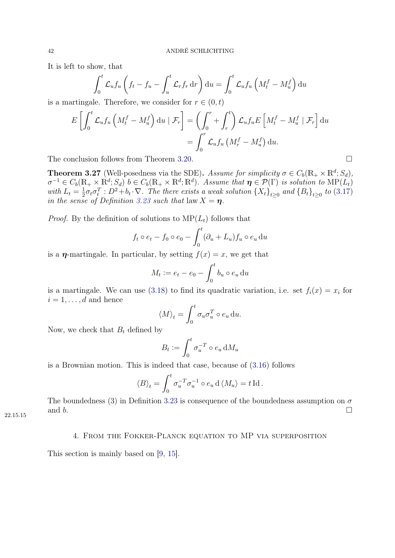It is left to show, that

$$
\int_0^t \mathcal{L}_u f_u \left( f_t - f_u - \int_u^t \mathcal{L}_r f_r \, dr \right) du = \int_0^t \mathcal{L}_u f_u \left( M_t^f - M_u^f \right) du
$$

is a martingale. Therefore, we consider for  $r \in (0, t)$ 

$$
E\left[\int_0^t \mathcal{L}_u f_u \left(M_t^f - M_u^f\right) \mathrm{d}u \mid \mathcal{F}_r\right] = \left(\int_0^r + \int_r^t \right) \mathcal{L}_u f_u E\left[M_t^f - M_u^f \mid \mathcal{F}_r\right] \mathrm{d}u
$$
  
= 
$$
\int_0^r \mathcal{L}_u f_u \left(M_r^f - M_u^f\right) \mathrm{d}u.
$$

The conclusion follows from Theorem [3.20.](#page-36-0)

**Theorem 3.27** (Well-posedness via the SDE). Assume for simplicity  $\sigma \in C_b(\mathbb{R}_+ \times \mathbb{R}^d; S_d)$ ,  $\sigma^{-1} \in C_b(\mathbb{R}_+ \times \mathbb{R}^d; S_d)$   $b \in C_b(\mathbb{R}_+ \times \mathbb{R}^d; \mathbb{R}^d)$ . Assume that  $\eta \in \mathcal{P}(\Gamma)$  is solution to  $\text{MP}(L_t)$ with  $L_t = \frac{1}{2}$  $\frac{1}{2}\sigma_t\sigma_t^T:D^2+b_t\cdot\nabla$ . The there exists a weak solution  $\{X_t\}_{t\geq 0}$  and  $\{B_t\}_{t\geq 0}$  to  $(3.17)$ in the sense of Definition [3.23](#page-39-3) such that  $\text{law } X = \eta$ .

*Proof.* By the definition of solutions to  $MP(L_t)$  follows that

$$
f_t \circ e_t - f_0 \circ e_0 - \int_0^t (\partial_u + L_u) f_u \circ e_u \, du
$$

is a  $\eta$ -martingale. In particular, by setting  $f(x) = x$ , we get that

$$
M_t := e_t - e_0 - \int_0^t b_u \circ e_u \, \mathrm{d}u
$$

is a martingale. We can use [\(3.18\)](#page-40-0) to find its quadratic variation, i.e. set  $f_i(x) = x_i$  for  $i = 1, \ldots, d$  and hence

$$
\langle M \rangle_t = \int_0^t \sigma_u \sigma_u^T \circ e_u \, \mathrm{d}u.
$$

Now, we check that  $B_t$  defined by

$$
B_t := \int_0^t \sigma_u^{-T} \circ e_u \, \mathrm{d}M_u
$$

is a Brownian motion. This is indeed that case, because of [\(3.16\)](#page-38-3) follows

$$
\langle B \rangle_t = \int_0^t \sigma_u^{-T} \sigma_u^{-1} \circ e_u \, d \langle M_u \rangle = t \, \mathrm{Id} \, .
$$

The boundedness (3) in Definition [3.23](#page-39-3) is consequence of the boundedness assumption on  $\sigma$ and b.

## <span id="page-41-0"></span>4. From the Fokker-Planck equation to MP via superposition

This section is mainly based on [\[9,](#page-67-7) [15\]](#page-67-8).

22.15.15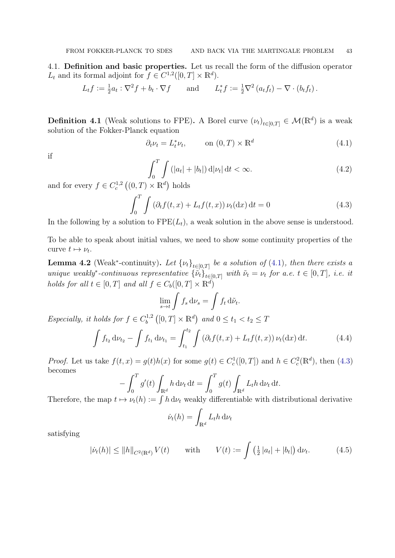<span id="page-42-0"></span>4.1. Definition and basic properties. Let us recall the form of the diffusion operator  $L_t$  and its formal adjoint for  $f \in C^{1,2}([0,T] \times \mathbb{R}^d)$ .

$$
L_t f := \frac{1}{2} a_t : \nabla^2 f + b_t \cdot \nabla f \quad \text{and} \quad L_t^* f := \frac{1}{2} \nabla^2 (a_t f_t) - \nabla \cdot (b_t f_t).
$$

**Definition 4.1** (Weak solutions to FPE). A Borel curve  $(\nu_t)_{t\in[0,T]} \in \mathcal{M}(\mathbb{R}^d)$  is a weak solution of the Fokker-Planck equation

$$
\partial_t \nu_t = L_t^* \nu_t, \qquad \text{on } (0, T) \times \mathbb{R}^d \tag{4.1}
$$

if

<span id="page-42-3"></span><span id="page-42-2"></span><span id="page-42-1"></span>
$$
\int_0^T \int \left( |a_t| + |b_t| \right) \mathrm{d} |\nu_t| \, \mathrm{d} t < \infty. \tag{4.2}
$$

and for every  $f \in C_c^{1,2}((0,T) \times \mathbb{R}^d)$  holds

$$
\int_0^T \int \left(\partial_t f(t, x) + L_t f(t, x)\right) \nu_t(\mathrm{d}x) \, \mathrm{d}t = 0 \tag{4.3}
$$

In the following by a solution to  $\text{FPE}(L_t)$ , a weak solution in the above sense is understood.

To be able to speak about initial values, we need to show some continuity properties of the curve  $t \mapsto \nu_t$ .

<span id="page-42-6"></span>**Lemma 4.2** (Weak<sup>\*</sup>-continuity). Let  $\{\nu_t\}_{t\in[0,T]}$  be a solution of [\(4.1\)](#page-42-1), then there exists a unique weakly<sup>\*</sup>-continuous representative  $\{\tilde{\nu}_t\}_{t\in[0,T]}$  with  $\tilde{\nu}_t = \nu_t$  for a.e.  $t \in [0,T]$ , i.e. it holds for all  $t \in [0, T]$  and all  $f \in C_b([0, T] \times \mathbb{R}^d)$ 

<span id="page-42-5"></span>
$$
\lim_{s \to t} \int f_s \, \mathrm{d}\nu_s = \int f_t \, \mathrm{d}\tilde{\nu}_t.
$$

Especially, it holds for  $f \in C_b^{1,2}$  $\int_{b}^{1,2} ([0,T] \times \mathbb{R}^{d})$  and  $0 \le t_{1} < t_{2} \le T$ 

$$
\int f_{t_2} \, \mathrm{d}\nu_{t_2} - \int f_{t_1} \, \mathrm{d}\nu_{t_1} = \int_{t_1}^{t_2} \int \left( \partial_t f(t, x) + L_t f(t, x) \right) \nu_t(\mathrm{d}x) \, \mathrm{d}t. \tag{4.4}
$$

*Proof.* Let us take  $f(t, x) = g(t)h(x)$  for some  $g(t) \in C_c^1([0, T])$  and  $h \in C_c^2(\mathbb{R}^d)$ , then [\(4.3\)](#page-42-2) becomes

$$
-\int_0^T g'(t) \int_{\mathbb{R}^d} h \, \mathrm{d}\nu_t \, \mathrm{d}t = \int_0^T g(t) \int_{\mathbb{R}^d} L_t h \, \mathrm{d}\nu_t \, \mathrm{d}t.
$$

Therefore, the map  $t \mapsto \nu_t(h) := \int h \, d\nu_t$  weakly differentiable with distributional derivative

<span id="page-42-4"></span>
$$
\dot{\nu}_t(h) = \int_{\mathbb{R}^d} L_t h \, \mathrm{d}\nu_t
$$

satisfying

$$
|\dot{\nu}_t(h)| \le ||h||_{C^2(\mathbb{R}^d)} V(t) \quad \text{with} \quad V(t) := \int \left(\frac{1}{2} |a_t| + |b_t|\right) d\nu_t. \tag{4.5}
$$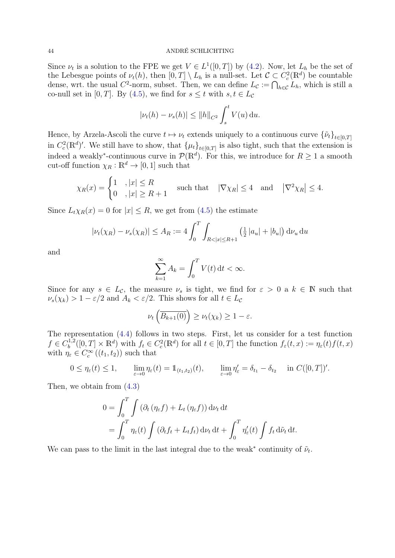Since  $\nu_t$  is a solution to the FPE we get  $V \in L^1([0,T])$  by [\(4.2\)](#page-42-3). Now, let  $L_h$  be the set of the Lebesgue points of  $\nu_t(h)$ , then  $[0,T] \setminus L_h$  is a null-set. Let  $\mathcal{C} \subset C_c^2(\mathbb{R}^d)$  be countable dense, wrt. the usual  $C^2$ -norm, subset. Then, we can define  $L_{\mathcal{C}} := \bigcap_{h \in \mathcal{C}} L_h$ , which is still a co-null set in [0, T]. By [\(4.5\)](#page-42-4), we find for  $s \leq t$  with  $s, t \in L_c$ 

$$
|\nu_t(h) - \nu_s(h)| \le ||h||_{C^2} \int_s^t V(u) \, \mathrm{d}u.
$$

Hence, by Arzela-Ascoli the curve  $t \mapsto \nu_t$  extends uniquely to a continuous curve  $\{\tilde{\nu}_t\}_{t\in[0,T]}$ in  $C_c^2(\mathbb{R}^d)'$ . We still have to show, that  $\{\mu_t\}_{t\in[0,T]}$  is also tight, such that the extension is indeed a weakly<sup>\*</sup>-continuous curve in  $\mathcal{P}(\mathbb{R}^d)$ . For this, we introduce for  $R \geq 1$  a smooth cut-off function  $\chi_R : \mathbb{R}^d \to [0,1]$  such that

$$
\chi_R(x) = \begin{cases} 1 & , |x| \le R \\ 0 & , |x| \ge R+1 \end{cases}
$$
 such that  $|\nabla \chi_R| \le 4$  and  $|\nabla^2 \chi_R| \le 4$ .

Since  $L_t \chi_R(x) = 0$  for  $|x| \leq R$ , we get from [\(4.5\)](#page-42-4) the estimate

$$
|\nu_t(\chi_R) - \nu_s(\chi_R)| \le A_R := 4 \int_0^T \int_{R < |x| \le R+1} \left(\frac{1}{2} |a_u| + |b_u|\right) \mathrm{d}\nu_u \,\mathrm{d}u
$$

and

$$
\sum_{k=1}^{\infty} A_k = \int_0^T V(t) \, \mathrm{d}t < \infty.
$$

Since for any  $s \in L_{\mathcal{C}}$ , the measure  $\nu_s$  is tight, we find for  $\varepsilon > 0$  a  $k \in \mathbb{N}$  such that  $\nu_s(\chi_k) > 1 - \varepsilon/2$  and  $A_k < \varepsilon/2$ . This shows for all  $t \in L_c$ 

$$
\nu_t\left(\overline{B_{k+1}(0)}\right) \ge \nu_t(\chi_k) \ge 1-\varepsilon.
$$

The representation [\(4.4\)](#page-42-5) follows in two steps. First, let us consider for a test function  $f \in C_h^{1,2}$  $b^{1,2}([0,T] \times \mathbb{R}^d)$  with  $f_t \in C_c^2(\mathbb{R}^d)$  for all  $t \in [0,T]$  the function  $f_{\varepsilon}(t,x) := \eta_{\varepsilon}(t) f(t,x)$ with  $\eta_{\varepsilon} \in C_c^{\infty}((t_1, t_2))$  such that

$$
0 \leq \eta_{\varepsilon}(t) \leq 1, \qquad \lim_{\varepsilon \to 0} \eta_{\varepsilon}(t) = \mathbb{1}_{(t_1, t_2)}(t), \qquad \lim_{\varepsilon \to 0} \eta_{\varepsilon}' = \delta_{t_1} - \delta_{t_2} \quad \text{in } C([0, T])'.
$$

Then, we obtain from [\(4.3\)](#page-42-2)

$$
0 = \int_0^T \int \left( \partial_t \left( \eta_{\varepsilon} f \right) + L_t \left( \eta_{\varepsilon} f \right) \right) d\nu_t dt
$$
  
= 
$$
\int_0^T \eta_{\varepsilon}(t) \int \left( \partial_t f_t + L_t f_t \right) d\nu_t dt + \int_0^T \eta'_{\varepsilon}(t) \int f_t d\tilde{\nu}_t dt.
$$

We can pass to the limit in the last integral due to the weak<sup>\*</sup> continuity of  $\tilde{\nu}_t$ .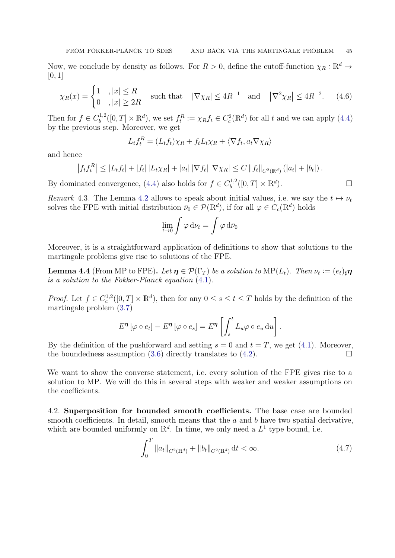Now, we conclude by density as follows. For  $R > 0$ , define the cutoff-function  $\chi_R : \mathbb{R}^d \to$  $[0, 1]$ 

$$
\chi_R(x) = \begin{cases} 1 & , |x| \le R \\ 0 & , |x| \ge 2R \end{cases}
$$
 such that  $|\nabla \chi_R| \le 4R^{-1}$  and  $|\nabla^2 \chi_R| \le 4R^{-2}$ . (4.6)

Then for  $f \in C_h^{1,2}$  $b^{1,2}([0,T] \times \mathbb{R}^d)$ , we set  $f_t^R := \chi_R f_t \in C_c^2(\mathbb{R}^d)$  for all t and we can apply  $(4.4)$ by the previous step. Moreover, we get

<span id="page-44-1"></span>
$$
L_t f_t^R = (L_t f_t) \chi_R + f_t L_t \chi_R + \langle \nabla f_t, a_t \nabla \chi_R \rangle
$$

and hence

$$
|f_t f_t^R| \leq |L_t f_t| + |f_t| |L_t \chi_R| + |a_t| |\nabla f_t| |\nabla \chi_R| \leq C ||f_t||_{C^2(\mathbb{R}^d)} (|a_t| + |b_t|).
$$

By dominated convergence, [\(4.4\)](#page-42-5) also holds for  $f \in C_b^{1,2}$  $b^{1,2}([0,T] \times \mathbb{R}^d)$  $\Box$ ).

Remark 4.3. The Lemma [4.2](#page-42-6) allows to speak about initial values, i.e. we say the  $t \mapsto \nu_t$ solves the FPE with initial distribution  $\bar{\nu}_0 \in \mathcal{P}(\mathbb{R}^d)$ , if for all  $\varphi \in C_c(\mathbb{R}^d)$  holds

$$
\lim_{t\to 0}\int\varphi\,\mathrm{d}\nu_t=\int\varphi\,\mathrm{d}\bar\nu_0
$$

Moreover, it is a straightforward application of definitions to show that solutions to the martingale problems give rise to solutions of the FPE.

<span id="page-44-3"></span>**Lemma 4.4** (From MP to FPE). Let  $\eta \in \mathcal{P}(\Gamma_T)$  be a solution to MP( $L_t$ ). Then  $\nu_t := (e_t)_{\sharp} \eta$ is a solution to the Fokker-Planck equation [\(4.1\)](#page-42-1).

*Proof.* Let  $f \in C_c^{1,2}([0,T] \times \mathbb{R}^d)$ , then for any  $0 \le s \le t \le T$  holds by the definition of the martingale problem [\(3.7\)](#page-30-2)

$$
E^{\eta}[\varphi \circ e_t] - E^{\eta}[\varphi \circ e_s] = E^{\eta} \left[ \int_s^t L_u \varphi \circ e_u du \right].
$$

By the definition of the pushforward and setting  $s = 0$  and  $t = T$ , we get [\(4.1\)](#page-42-1). Moreover, the boundedness assumption [\(3.6\)](#page-30-1) directly translates to [\(4.2\)](#page-42-3).

We want to show the converse statement, i.e. every solution of the FPE gives rise to a solution to MP. We will do this in several steps with weaker and weaker assumptions on the coefficients.

<span id="page-44-0"></span>4.2. Superposition for bounded smooth coefficients. The base case are bounded smooth coefficients. In detail, smooth means that the  $a$  and  $b$  have two spatial derivative, which are bounded uniformly on  $\mathbb{R}^d$ . In time, we only need a  $L^1$  type bound, i.e.

<span id="page-44-2"></span>
$$
\int_0^T \|a_t\|_{C^2(\mathbb{R}^d)} + \|b_t\|_{C^2(\mathbb{R}^d)} \, \mathrm{d}t < \infty. \tag{4.7}
$$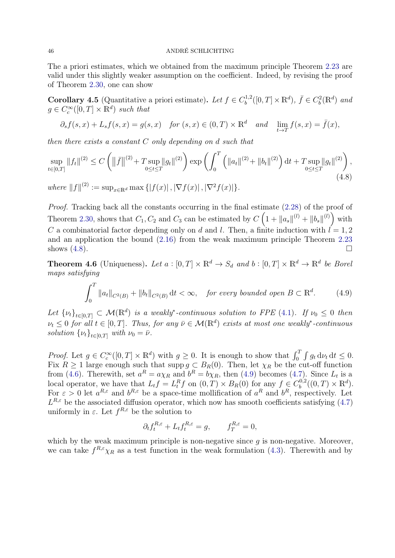The a priori estimates, which we obtained from the maximum principle Theorem [2.23](#page-17-7) are valid under this slightly weaker assumption on the coefficient. Indeed, by revising the proof of Theorem [2.30,](#page-23-1) one can show

**Corollary 4.5** (Quantitative a priori estimate). Let  $f \in C_h^{1,2}$  $b^{1,2}([0,T] \times \mathbb{R}^d)$ ,  $\bar{f} \in C_b^2(\mathbb{R}^d)$  and  $g \in C_c^{\infty}([0,T] \times \mathbb{R}^d)$  such that

$$
\partial_s f(s, x) + L_s f(s, x) = g(s, x) \quad \text{for } (s, x) \in (0, T) \times \mathbb{R}^d \quad \text{and} \quad \lim_{t \to T} f(s, x) = \bar{f}(x),
$$

then there exists a constant C only depending on d such that

$$
\sup_{t \in [0,T]} \|f_t\|^{(2)} \le C \left( \|\bar{f}\|^{(2)} + T \sup_{0 \le t \le T} \|g_t\|^{(2)} \right) \exp \left( \int_0^T \left( \|a_t\|^{(2)} + \|b_t\|^{(2)} \right) dt + T \sup_{0 \le t \le T} \|g_t\|^{(2)} \right),\tag{4.8}
$$

where  $||f||^{(2)} := \sup_{x \in \mathbb{R}^d} \max \{|f(x)|, |\nabla f(x)|, |\nabla^2 f(x)|\}.$ 

Proof. Tracking back all the constants occurring in the final estimate [\(2.28\)](#page-25-2) of the proof of Theorem [2.30,](#page-23-1) shows that  $C_1, C_2$  and  $C_3$  can be estimated by  $C\left(1 + ||a_s||^{(l)} + ||b_s||^{(l)}\right)$  with C a combinatorial factor depending only on d and l. Then, a finite induction with  $l = 1, 2$ and an application the bound [\(2.16\)](#page-17-5) from the weak maximum principle Theorem [2.23](#page-17-7) shows  $(4.8)$ .

<span id="page-45-2"></span>**Theorem 4.6** (Uniqueness). Let  $a : [0, T] \times \mathbb{R}^d \to S_d$  and  $b : [0, T] \times \mathbb{R}^d \to \mathbb{R}^d$  be Borel maps satisfying

<span id="page-45-0"></span>
$$
\int_0^T \|a_t\|_{C^2(B)} + \|b_t\|_{C^2(B)} \, \mathrm{d}t < \infty, \quad \text{for every bounded open } B \subset \mathbb{R}^d. \tag{4.9}
$$

Let  $\{\nu_t\}_{t\in[0,T]} \subset \mathcal{M}(\mathbb{R}^d)$  is a weakly\*-continuous solution to FPE [\(4.1\)](#page-42-1). If  $\nu_0 \leq 0$  then  $\nu_t \leq 0$  for all  $t \in [0,T]$ . Thus, for any  $\bar{\nu} \in \mathcal{M}(\mathbb{R}^d)$  exists at most one weakly\*-continuous solution  $\{\nu_t\}_{t\in[0,T]}$  with  $\nu_0 = \bar{\nu}$ .

*Proof.* Let  $g \in C_c^{\infty}([0,T] \times \mathbb{R}^d)$  with  $g \ge 0$ . It is enough to show that  $\int_0^T \int g_t d\nu_t dt \le 0$ . Fix  $R \ge 1$  large enough such that supp  $g \subset B_R(0)$ . Then, let  $\chi_R$  be the cut-off function from [\(4.6\)](#page-44-1). Therewith, set  $a^R = a\chi_R$  and  $b^R = b\chi_R$ , then [\(4.9\)](#page-45-1) becomes [\(4.7\)](#page-44-2). Since  $L_t$  is a local operator, we have that  $L_t f = L_t^R f$  on  $(0,T) \times B_R(0)$  for any  $f \in C_b^{0,2}$  $b^{0,2}((0,T)\times \mathbb{R}^d).$ For  $\varepsilon > 0$  let  $a^{R,\varepsilon}$  and  $b^{R,\varepsilon}$  be a space-time mollification of  $a^R$  and  $b^R$ , respectively. Let  $L^{R,\varepsilon}$  be the associated diffusion operator, which now has smooth coefficients satisfying [\(4.7\)](#page-44-2) uniformly in  $\varepsilon$ . Let  $f^{R,\varepsilon}$  be the solution to

<span id="page-45-1"></span>
$$
\partial_t f_t^{R,\varepsilon} + L_t f_t^{R,\varepsilon} = g, \qquad f_T^{R,\varepsilon} = 0,
$$

which by the weak maximum principle is non-negative since  $g$  is non-negative. Moreover, we can take  $f^{R,\varepsilon}\chi_R$  as a test function in the weak formulation [\(4.3\)](#page-42-2). Therewith and by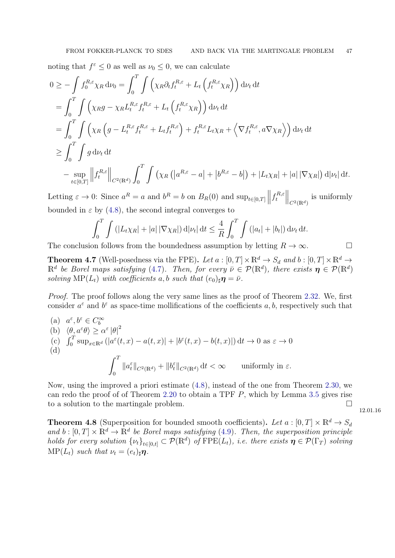noting that  $f^{\varepsilon} \leq 0$  as well as  $\nu_0 \leq 0$ , we can calculate

$$
0 \geq -\int f_0^{R,\varepsilon} \chi_R \, d\nu_0 = \int_0^T \int \left( \chi_R \partial_t f_t^{R,\varepsilon} + L_t \left( f_t^{R,\varepsilon} \chi_R \right) \right) d\nu_t \, dt
$$
  
\n
$$
= \int_0^T \int \left( \chi_R g - \chi_R L_t^{R,\varepsilon} f_t^{R,\varepsilon} + L_t \left( f_t^{R,\varepsilon} \chi_R \right) \right) d\nu_t \, dt
$$
  
\n
$$
= \int_0^T \int \left( \chi_R \left( g - L_t^{R,\varepsilon} f_t^{R,\varepsilon} + L_t f_t^{R,\varepsilon} \right) + f_t^{R,\varepsilon} L_t \chi_R + \left\langle \nabla f_t^{R,\varepsilon}, a \nabla \chi_R \right\rangle \right) d\nu_t \, dt
$$
  
\n
$$
\geq \int_0^T \int g \, d\nu_t \, dt
$$
  
\n
$$
- \sup_{t \in [0,T]} \left\| f_t^{R,\varepsilon} \right\|_{C^2(\mathbb{R}^d)} \int_0^T \int \left( \chi_R \left( \left| a^{R,\varepsilon} - a \right| + \left| b^{R,\varepsilon} - b \right| \right) + \left| L_t \chi_R \right| + \left| a \right| \left| \nabla \chi_R \right| \right) d\left| \nu_t \right| dt.
$$

Letting  $\varepsilon \to 0$ : Since  $a^R = a$  and  $b^R = b$  on  $B_R(0)$  and  $\sup_{t \in [0,T]} \left\| \int_t^{R,\varepsilon}$  $\left\| \frac{d}{dt} \right\|_{C^2(\mathbb{R}^d)}$  is uniformly bounded in  $\varepsilon$  by [\(4.8\)](#page-45-0), the second integral converges to

$$
\int_0^T \int \left( |L_t \chi_R| + |a| |\nabla \chi_R| \right) d|\nu_t| dt \leq \frac{4}{R} \int_0^T \int \left( |a_t| + |b_t| \right) d\nu_t dt.
$$

The conclusion follows from the boundedness assumption by letting  $R \to \infty$ .

<span id="page-46-0"></span>**Theorem 4.7** (Well-posedness via the FPE). Let  $a : [0, T] \times \mathbb{R}^d \to S_d$  and  $b : [0, T] \times \mathbb{R}^d \to$  $\mathbb{R}^d$  be Borel maps satisfying [\(4.7\)](#page-44-2). Then, for every  $\bar{\nu} \in \mathcal{P}(\mathbb{R}^d)$ , there exists  $\eta \in \mathcal{P}(\mathbb{R}^d)$ solving MP( $L_t$ ) with coefficients a, b such that  $(e_0)_\sharp \mathbf{\eta} = \bar{\nu}$ .

Proof. The proof follows along the very same lines as the proof of Theorem [2.32.](#page-26-3) We, first consider  $a^{\varepsilon}$  and  $b^{\varepsilon}$  as space-time mollifications of the coefficients a, b, respectively such that

(a) 
$$
a^{\varepsilon}, b^{\varepsilon} \in C_b^{\infty}
$$
  
\n(b)  $\langle \theta, a^{\varepsilon} \theta \rangle \ge \alpha^{\varepsilon} |\theta|^2$   
\n(c)  $\int_0^T \sup_{x \in \mathbb{R}^d} (|a^{\varepsilon}(t, x) - a(t, x)| + |b^{\varepsilon}(t, x) - b(t, x)|) dt \to 0 \text{ as } \varepsilon \to 0$   
\n(d) 
$$
\int_0^T ||a_t^{\varepsilon}||_{C^2(\mathbb{R}^d)} + ||b_t^{\varepsilon}||_{C^2(\mathbb{R}^d)} dt < \infty \quad \text{uniformly in } \varepsilon.
$$

Now, using the improved a priori estimate [\(4.8\)](#page-45-0), instead of the one from Theorem [2.30,](#page-23-1) we can redo the proof of of Theorem [2.20](#page-15-3) to obtain a TPF  $P$ , which by Lemma [3.5](#page-29-0) gives rise to a solution to the martingale problem.

12.01.16

<span id="page-46-1"></span>**Theorem 4.8** (Superposition for bounded smooth coefficients). Let  $a : [0, T] \times \mathbb{R}^d \to S_d$ and  $b: [0, T] \times \mathbb{R}^d \to \mathbb{R}^d$  be Borel maps satisfying [\(4.9\)](#page-45-1). Then, the superposition principle holds for every solution  $\{\nu_t\}_{t\in[0,t]} \subset \mathcal{P}(\mathbb{R}^d)$  of  $\text{FPE}(L_t)$ , i.e. there exists  $\eta \in \mathcal{P}(\Gamma_T)$  solving  $\text{MP}(L_t)$  such that  $\nu_t = (e_t)_\sharp \eta$ .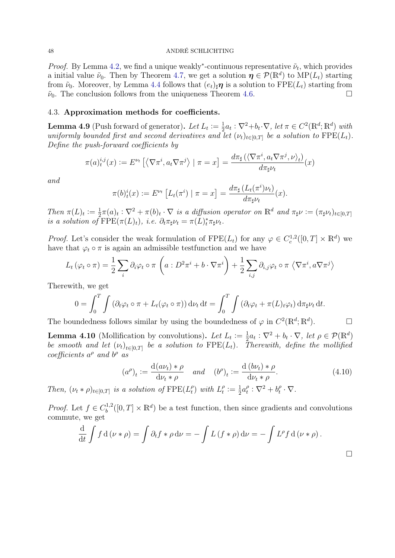*Proof.* By Lemma [4.2,](#page-42-6) we find a unique weakly<sup>\*</sup>-continuous representative  $\tilde{\nu}_t$ , which provides a initial value  $\tilde{\nu}_0$ . Then by Theorem [4.7,](#page-46-0) we get a solution  $\eta \in \mathcal{P}(\mathbb{R}^d)$  to  $\text{MP}(L_t)$  starting from  $\tilde{\nu}_0$ . Moreover, by Lemma [4.4](#page-44-3) follows that  $(e_t)_{\sharp} \eta$  is a solution to  $\text{FPE}(L_t)$  starting from  $\tilde{\nu}_0$ . The conclusion follows from the uniqueness Theorem [4.6.](#page-45-2)

# <span id="page-47-0"></span>4.3. Approximation methods for coefficients.

<span id="page-47-1"></span>**Lemma 4.9** (Push forward of generator). Let  $L_t := \frac{1}{2}$  $\frac{1}{2}a_t$ :  $\nabla^2 + b_t \cdot \nabla$ , let  $\pi \in C^2(\mathbb{R}^d; \mathbb{R}^d)$  with uniformly bounded first and second derivatives and let  $(\nu_t)_{t\in[0,T]}$  be a solution to  $\text{FPE}(L_t)$ . Define the push-forward coefficients by

$$
\pi(a)^{i,j}_t(x) := E^{\nu_t} \left[ \left\langle \nabla \pi^i, a_t \nabla \pi^j \right\rangle \mid \pi = x \right] = \frac{d \pi_\sharp \left( \left\langle \nabla \pi^i, a_t \nabla \pi^j, \nu \right\rangle_t \right)}{d \pi_\sharp \nu_t}(x)
$$

and

$$
\pi(b)_t^i(x) := E^{\nu_t} \left[ L_t(\pi^i) \mid \pi = x \right] = \frac{d\pi_\sharp \left( L_t(\pi^i) \nu_t \right)}{d\pi_\sharp \nu_t}(x).
$$

Then  $\pi(L)_t := \frac{1}{2}$  $\frac{1}{2}\pi(a)_t:\nabla^2 + \pi(b)_t \cdot \nabla$  is a diffusion operator on  $\mathbb{R}^d$  and  $\pi_{\sharp}\nu := (\pi_{\sharp}\nu_t)_{t\in[0,T]}$ is a solution of  $\text{FPE}(\pi(L)_t)$ , i.e.  $\partial_t \pi_\sharp \nu_t = \pi(L)_t^* \pi_\sharp \nu_t$ .

*Proof.* Let's consider the weak formulation of  $\text{FPE}(L_t)$  for any  $\varphi \in C_c^{1,2}([0,T] \times \mathbb{R}^d)$  we have that  $\varphi_t \circ \pi$  is again an admissible test function and we have

$$
L_t(\varphi_t \circ \pi) = \frac{1}{2} \sum_i \partial_i \varphi_t \circ \pi \left( a : D^2 \pi^i + b \cdot \nabla \pi^i \right) + \frac{1}{2} \sum_{i,j} \partial_{i,j} \varphi_t \circ \pi \left( \nabla \pi^i, a \nabla \pi^j \right)
$$

Therewith, we get

$$
0 = \int_0^T \int \left( \partial_t \varphi_t \circ \pi + L_t(\varphi_t \circ \pi) \right) d\nu_t dt = \int_0^T \int \left( \partial_t \varphi_t + \pi(L)_t \varphi_t \right) d\pi_{\sharp} \nu_t dt.
$$

The boundedness follows similar by using the boundedness of  $\varphi$  in  $C^2(\mathbb{R}^d; \mathbb{R}^d)$ .

<span id="page-47-3"></span>**Lemma 4.10** (Mollification by convolutions). Let  $L_t := \frac{1}{2} a_t : \nabla^2 + b_t \cdot \nabla$ , let  $\rho \in \mathcal{P}(\mathbb{R}^d)$ be smooth and let  $(\nu_t)_{t\in[0,T]}$  be a solution to  $\text{FPE}(L_t)$ . Therewith, define the mollified coefficients  $a^{\rho}$  and  $b^{\rho}$  as

<span id="page-47-2"></span>
$$
(a^{\rho})_t := \frac{\mathrm{d}(a\nu_t) * \rho}{\mathrm{d}\nu_t * \rho} \quad \text{and} \quad (b^{\rho})_t := \frac{\mathrm{d}(b\nu_t) * \rho}{\mathrm{d}\nu_t * \rho}.
$$
 (4.10)

Then,  $(\nu_t * \rho)_{t \in [0,T]}$  is a solution of  $\text{FPE}(L_t^{\rho})$  $\binom{p}{t}$  with  $L_t^{\rho}$  $t^{\rho} \coloneqq \frac{1}{2}$  $rac{1}{2}a_t^{\rho}$  $t^{\rho}: \nabla^2 + b_t^{\rho}$  $f_t^\rho\cdot\nabla.$ 

*Proof.* Let  $f \in C_h^{1,2}$  $b_b^{(1,2)}([0,T] \times \mathbb{R}^d)$  be a test function, then since gradients and convolutions commute, we get

$$
\frac{\mathrm{d}}{\mathrm{d}t} \int f \, \mathrm{d}(\nu * \rho) = \int \partial_t f * \rho \, \mathrm{d}\nu = - \int L (f * \rho) \, \mathrm{d}\nu = - \int L^{\rho} f \, \mathrm{d}(\nu * \rho) .
$$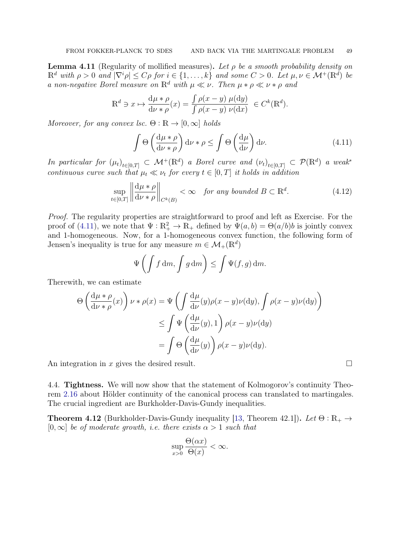<span id="page-48-3"></span>**Lemma 4.11** (Regularity of mollified measures). Let  $\rho$  be a smooth probability density on  $\mathbb{R}^d$  with  $\rho > 0$  and  $|\nabla^i \rho| \leq C\rho$  for  $i \in \{1, \ldots, k\}$  and some  $C > 0$ . Let  $\mu, \nu \in \mathcal{M}^+(\mathbb{R}^d)$  be a non-negative Borel measure on  $\mathbb{R}^d$  with  $\mu \ll \nu$ . Then  $\mu * \rho \ll \nu * \rho$  and

$$
\mathbb{R}^d \ni x \mapsto \frac{\mathrm{d}\mu * \rho}{\mathrm{d}\nu * \rho}(x) = \frac{\int \rho(x - y) \mu(\mathrm{d}y)}{\int \rho(x - y) \nu(\mathrm{d}x)} \in C^k(\mathbb{R}^d).
$$

Moreover, for any convex lsc.  $\Theta : \mathbb{R} \to [0, \infty]$  holds

<span id="page-48-1"></span>
$$
\int \Theta \left( \frac{d\mu * \rho}{d\nu * \rho} \right) d\nu * \rho \le \int \Theta \left( \frac{d\mu}{d\nu} \right) d\nu. \tag{4.11}
$$

In particular for  $(\mu_t)_{t \in [0,T]} \subset \mathcal{M}^+(\mathbb{R}^d)$  a Borel curve and  $(\nu_t)_{t \in [0,T]} \subset \mathcal{P}(\mathbb{R}^d)$  a weak<sup>\*</sup> continuous curve such that  $\mu_t \ll \nu_t$  for every  $t \in [0, T]$  it holds in addition

$$
\sup_{t \in [0,T]} \left\| \frac{d\mu * \rho}{d\nu * \rho} \right\|_{C^k(B)} < \infty \quad \text{for any bounded } B \subset \mathbb{R}^d. \tag{4.12}
$$

Proof. The regularity properties are straightforward to proof and left as Exercise. For the proof of [\(4.11\)](#page-48-1), we note that  $\Psi : \mathbb{R}^2_+ \to \mathbb{R}_+$  defined by  $\Psi(a, b) = \Theta(a/b)b$  is jointly convex and 1-homogeneous. Now, for a 1-homogeneous convex function, the following form of Jensen's inequality is true for any measure  $m \in \mathcal{M}_{+}(\mathbb{R}^d)$ 

$$
\Psi\left(\int f \, dm, \int g \, dm\right) \le \int \Psi(f, g) \, dm.
$$

Therewith, we can estimate

$$
\Theta\left(\frac{d\mu * \rho}{d\nu * \rho}(x)\right) \nu * \rho(x) = \Psi\left(\int \frac{d\mu}{d\nu}(y)\rho(x-y)\nu(dy), \int \rho(x-y)\nu(dy)\right)
$$

$$
\leq \int \Psi\left(\frac{d\mu}{d\nu}(y), 1\right) \rho(x-y)\nu(dy)
$$

$$
= \int \Theta\left(\frac{d\mu}{d\nu}(y)\right) \rho(x-y)\nu(dy).
$$

An integration in x gives the desired result.

<span id="page-48-0"></span>4.4. Tightness. We will now show that the statement of Kolmogorov's continuity Theorem [2.16](#page-13-4) about Hölder continuity of the canonical process can translated to martingales. The crucial ingredient are Burkholder-Davis-Gundy inequalities.

**Theorem 4.12** (Burkholder-Davis-Gundy inequality [\[13,](#page-67-9) Theorem 42.1]). Let  $\Theta : \mathbb{R}_+ \to$  $[0,\infty]$  be of moderate growth, i.e. there exists  $\alpha > 1$  such that

$$
\sup_{x>0} \frac{\Theta(\alpha x)}{\Theta(x)} < \infty.
$$

<span id="page-48-2"></span>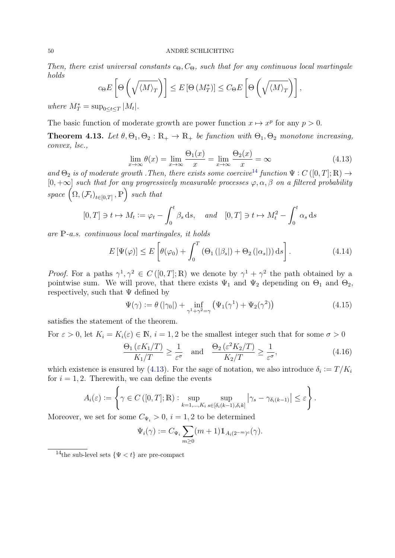Then, there exist universal constants  $c_{\Theta}$ ,  $C_{\Theta}$ , such that for any continuous local martingale holds

$$
c_{\Theta}E\left[\Theta\left(\sqrt{\langle M\rangle_T}\right)\right] \leq E\left[\Theta\left(M_T^*\right)\right] \leq C_{\Theta}E\left[\Theta\left(\sqrt{\langle M\rangle_T}\right)\right],
$$

where  $M_T^* = \sup_{0 \leq t \leq T} |M_t|$ .

The basic function of moderate growth are power function  $x \mapsto x^p$  for any  $p > 0$ .

<span id="page-49-4"></span>**Theorem 4.13.** Let  $\theta$ ,  $\Theta_1$ ,  $\Theta_2$ :  $\mathbb{R}_+$   $\to$   $\mathbb{R}_+$  be function with  $\Theta_1$ ,  $\Theta_2$  monotone increasing, convex, lsc.,

<span id="page-49-1"></span>
$$
\lim_{x \to \infty} \theta(x) = \lim_{x \to \infty} \frac{\Theta_1(x)}{x} = \lim_{x \to \infty} \frac{\Theta_2(x)}{x} = \infty
$$
\n(4.13)

and  $\Theta_2$  is of moderate growth . Then, there exists some coercive<sup>[14](#page-49-0)</sup> function  $\Psi: C([0,T];\mathbb{R}) \to$  $[0, +\infty]$  such that for any progressively measurable processes  $\varphi, \alpha, \beta$  on a filtered probability space  $(\Omega, (\mathcal{F}_t)_{t \in [0,T]}, \mathbb{P})$  such that

$$
[0,T] \ni t \mapsto M_t := \varphi_t - \int_0^t \beta_s \, \mathrm{d}s, \quad \text{and} \quad [0,T] \ni t \mapsto M_t^2 - \int_0^t \alpha_s \, \mathrm{d}s
$$

are P-a.s. continuous local martingales, it holds

$$
E\left[\Psi(\varphi)\right] \le E\left[\theta(\varphi_0) + \int_0^T \left(\Theta_1\left(|\beta_s|\right) + \Theta_2\left(|\alpha_s|\right)\right) \mathrm{d}s\right].\tag{4.14}
$$

*Proof.* For a paths  $\gamma^1, \gamma^2 \in C([0,T];\mathbb{R})$  we denote by  $\gamma^1 + \gamma^2$  the path obtained by a pointwise sum. We will prove, that there exists  $\Psi_1$  and  $\Psi_2$  depending on  $\Theta_1$  and  $\Theta_2$ , respectively, such that  $\Psi$  defined by

<span id="page-49-3"></span><span id="page-49-2"></span>
$$
\Psi(\gamma) := \theta\left(|\gamma_0|\right) + \inf_{\gamma^1 + \gamma^2 = \gamma} \left(\Psi_1(\gamma^1) + \Psi_2(\gamma^2)\right) \tag{4.15}
$$

satisfies the statement of the theorem.

For  $\varepsilon > 0$ , let  $K_i = K_i(\varepsilon) \in \mathbb{N}$ ,  $i = 1, 2$  be the smallest integer such that for some  $\sigma > 0$ 

<span id="page-49-5"></span>
$$
\frac{\Theta_1\left(\varepsilon K_1/T\right)}{K_1/T} \ge \frac{1}{\varepsilon^{\sigma}} \quad \text{and} \quad \frac{\Theta_2\left(\varepsilon^2 K_2/T\right)}{K_2/T} \ge \frac{1}{\varepsilon^{\sigma}},\tag{4.16}
$$

which existence is ensured by [\(4.13\)](#page-49-1). For the sage of notation, we also introduce  $\delta_i := T/K_i$ for  $i = 1, 2$ . Therewith, we can define the events

$$
A_i(\varepsilon) := \left\{ \gamma \in C\left( [0, T]; \mathbb{R} \right) : \sup_{k=1,\dots,K_i} \sup_{s \in [\delta_i(k-1),\delta_i k]} |\gamma_s - \gamma_{\delta_i(k-1)}| \leq \varepsilon \right\}.
$$

Moreover, we set for some  $C_{\Psi_i} > 0$ ,  $i = 1, 2$  to be determined

$$
\Psi_i(\gamma) := C_{\Psi_i} \sum_{m \geq 0} (m+1) \mathbb{1}_{A_i(2^{-m})^c}(\gamma).
$$

<span id="page-49-0"></span><sup>&</sup>lt;sup>14</sup>the sub-level sets  $\{\Psi < t\}$  are pre-compact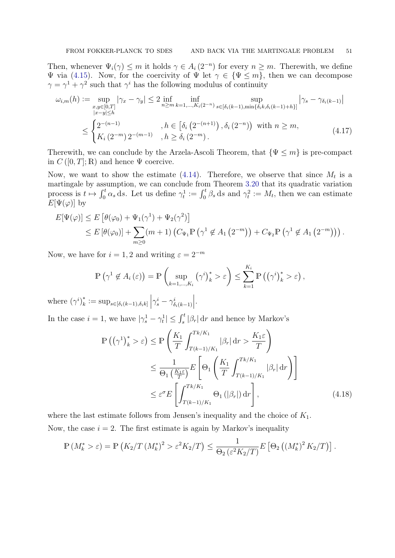Then, whenever  $\Psi_i(\gamma) \leq m$  it holds  $\gamma \in A_i(2^{-n})$  for every  $n \geq m$ . Therewith, we define  $\Psi$  via [\(4.15\)](#page-49-2). Now, for the coercivity of  $\Psi$  let  $\gamma \in {\Psi \leq m}$ , then we can decompose  $\gamma = \gamma^1 + \gamma^2$  such that  $\gamma^i$  has the following modulus of continuity

<span id="page-50-1"></span>
$$
\omega_{i,m}(h) := \sup_{\substack{x,y \in [0,T] \\ |x-y| \le h}} |\gamma_x - \gamma_y| \le 2 \inf_{n \ge m} \inf_{k=1,\dots,K_i(2^{-n})} \sup_{s \in [\delta_i(k-1),\min\{\delta_i k, \delta_i(k-1) + h\}]} |\gamma_s - \gamma_{\delta_i(k-1)}|
$$
  

$$
\le \begin{cases} 2^{-(n-1)} & , h \in [\delta_i(2^{-(n+1)}) , \delta_i(2^{-n}) \text{ with } n \ge m, \\ K_i(2^{-m}) 2^{-(m-1)} & , h \ge \delta_i(2^{-m}). \end{cases} (4.17)
$$

Therewith, we can conclude by the Arzela-Ascoli Theorem, that  $\{\Psi \leq m\}$  is pre-compact in  $C([0,T];\mathbb{R})$  and hence  $\Psi$  coercive.

Now, we want to show the estimate  $(4.14)$ . Therefore, we observe that since  $M_t$  is a martingale by assumption, we can conclude from Theorem [3.20](#page-36-0) that its quadratic variation process is  $t \mapsto \int_0^t \alpha_s \, ds$ . Let us define  $\gamma_t^1 := \int_0^t \beta_s \, ds$  and  $\gamma_t^2 := M_t$ , then we can estimate  $E[\Psi(\varphi)]$  by

$$
E[\Psi(\varphi)] \le E[\theta(\varphi_0) + \Psi_1(\gamma^1) + \Psi_2(\gamma^2)]
$$
  
\n
$$
\le E[\theta(\varphi_0)] + \sum_{m \ge 0} (m+1) (C_{\Psi_1} \mathbb{P}(\gamma^1 \notin A_1(2^{-m})) + C_{\Psi_2} \mathbb{P}(\gamma^1 \notin A_1(2^{-m}))).
$$

Now, we have for  $i = 1, 2$  and writing  $\varepsilon = 2^{-m}$ 

$$
\mathbb{P}\left(\gamma^1 \notin A_i\left(\varepsilon\right)\right) = \mathbb{P}\left(\sup_{k=1,\dots,K_i} \left(\gamma^i\right)_k^* > \varepsilon\right) \le \sum_{k=1}^{K_i} \mathbb{P}\left(\left(\gamma^i\right)_k^* > \varepsilon\right),
$$

where  $(\gamma^i)^*_k$  $\mathcal{L}_{k}^{*} := \sup_{s \in [\delta_{i}(k-1), \delta_{i}k]} \left| \gamma_{s}^{i} - \gamma_{\delta_{i}(k-1)}^{i} \right|$   .

In the case  $i = 1$ , we have  $|\gamma_s^1 - \gamma_t^1| \leq \int_s^t |\beta_r| dr$  and hence by Markov's

<span id="page-50-0"></span>
$$
\mathbb{P}\left(\left(\gamma^{1}\right)_{k}^{*} > \varepsilon\right) \leq \mathbb{P}\left(\frac{K_{1}}{T} \int_{T(k-1)/K_{1}}^{Tk/K_{1}} |\beta_{r}| \, \mathrm{d}r > \frac{K_{1}\varepsilon}{T}\right)
$$
\n
$$
\leq \frac{1}{\Theta_{1}\left(\frac{K_{1}\varepsilon}{T}\right)} E\left[\Theta_{1}\left(\frac{K_{1}}{T} \int_{T(k-1)/K_{1}}^{Tk/K_{1}} |\beta_{r}| \, \mathrm{d}r\right)\right]
$$
\n
$$
\leq \varepsilon^{\sigma} E\left[\int_{T(k-1)/K_{1}}^{Tk/K_{1}} \Theta_{1}\left(|\beta_{r}|\right) \mathrm{d}r\right],\tag{4.18}
$$

where the last estimate follows from Jensen's inequality and the choice of  $K_1$ . Now, the case  $i = 2$ . The first estimate is again by Markov's inequality

$$
\mathbb{P}\left(M_k^* > \varepsilon\right) = \mathbb{P}\left(K_2/T\left(M_k^*\right)^2 > \varepsilon^2 K_2/T\right) \le \frac{1}{\Theta_2\left(\varepsilon^2 K_2/T\right)} E\left[\Theta_2\left(\left(M_k^*\right)^2 K_2/T\right)\right].
$$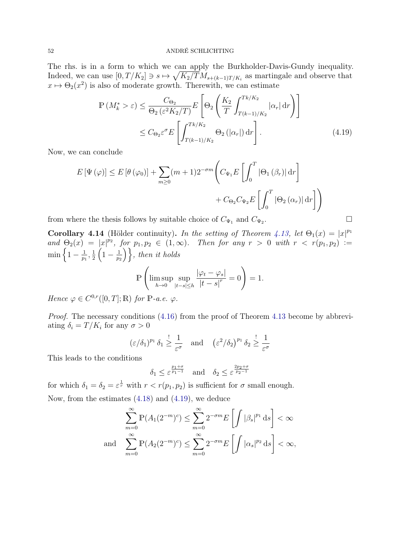The rhs. is in a form to which we can apply the Burkholder-Davis-Gundy inequality. Indeed, we can use  $[0, T/K_2] \ni s \mapsto \sqrt{K_2/T} M_{s+(k-1)T/K_i}$  as martingale and observe that  $x \mapsto \Theta_2(x^2)$  is also of moderate growth. Therewith, we can estimate

<span id="page-51-0"></span>
$$
\mathbb{P}\left(M_{k}^{*} > \varepsilon\right) \leq \frac{C_{\Theta_{2}}}{\Theta_{2}\left(\varepsilon^{2}K_{2}/T\right)} E\left[\Theta_{2}\left(\frac{K_{2}}{T} \int_{T(k-1)/K_{2}}^{Tk/K_{2}} |\alpha_{r}| \,dr\right)\right]
$$
\n
$$
\leq C_{\Theta_{2}} \varepsilon^{\sigma} E\left[\int_{T(k-1)/K_{2}}^{Tk/K_{2}} \Theta_{2}\left(|\alpha_{r}|\right) dr\right].\tag{4.19}
$$

Now, we can conclude

$$
E[\Psi(\varphi)] \le E[\theta(\varphi_0)] + \sum_{m \ge 0} (m+1)2^{-\sigma m} \Biggl( C_{\Psi_1} E\left[ \int_0^T |\Theta_1(\beta_r)| dr \right] + C_{\Theta_2} C_{\Psi_2} E\left[ \int_0^T |\Theta_2(\alpha_r)| dr \right] \Biggr)
$$
  
here the thesis follows by suitable choice of  $C_{\Psi_1}$  and  $C_{\Psi_2}$ .

from where the thesis follows by suitable choice of  $C_{\Psi_1}$  and  $C_{\Psi_2}$ .

**Corollary 4.14** (Hölder continuity). In the setting of Theorem [4.13,](#page-49-4) let  $\Theta_1(x) = |x|^{p_1}$ and  $\Theta_2(x) = |x|^{p_2}$ , for  $p_1, p_2 \in (1,\infty)$ . Then for any  $r > 0$  with  $r < r(p_1, p_2) :=$  $\min\left\{1-\frac{1}{n}\right\}$  $\frac{1}{p_1}, \frac{1}{2}$  $\frac{1}{2}\left(1-\frac{1}{p_2}\right)$  $\left(\frac{1}{p_2}\right)$ , then it holds

$$
\mathbb{P}\left(\limsup_{h\to 0} \sup_{|t-s|\leq h} \frac{|\varphi_t - \varphi_s|}{|t-s|^r} = 0\right) = 1.
$$

Hence  $\varphi \in C^{0,r}([0,T];\mathbb{R})$  for  $\mathbb{P}\text{-}a.e.$   $\varphi$ .

Proof. The necessary conditions [\(4.16\)](#page-49-5) from the proof of Theorem [4.13](#page-49-4) become by abbreviating  $\delta_i = T/K_i$  for any  $\sigma > 0$ 

$$
(\varepsilon/\delta_1)^{p_1} \delta_1 \ge \frac{1}{\varepsilon^{\sigma}}
$$
 and  $(\varepsilon^2/\delta_2)^{p_1} \delta_2 \ge \frac{1}{\varepsilon^{\sigma}}$ 

This leads to the conditions

$$
\delta_1 \leq \varepsilon^{\frac{p_1+\sigma}{p_1-1}} \quad \text{and} \quad \delta_2 \leq \varepsilon^{\frac{2p_2+\sigma}{p_2-1}}
$$

for which  $\delta_1 = \delta_2 = \varepsilon^{\frac{1}{r}}$  with  $r < r(p_1, p_2)$  is sufficient for  $\sigma$  small enough. Now, from the estimates [\(4.18\)](#page-50-0) and [\(4.19\)](#page-51-0), we deduce

$$
\sum_{m=0}^{\infty} \mathbb{P}(A_1(2^{-m})^c) \le \sum_{m=0}^{\infty} 2^{-\sigma m} E\left[\int |\beta_s|^{p_1} ds\right] < \infty
$$
  
and 
$$
\sum_{m=0}^{\infty} \mathbb{P}(A_2(2^{-m})^c) \le \sum_{m=0}^{\infty} 2^{-\sigma m} E\left[\int |\alpha_s|^{p_2} ds\right] < \infty,
$$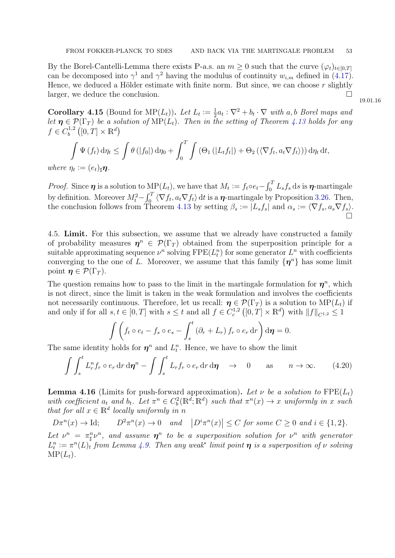By the Borel-Cantelli-Lemma there exists P-a.s. an  $m \geq 0$  such that the curve  $(\varphi_t)_{t \in [0,T]}$ can be decomposed into  $\gamma^1$  and  $\gamma^2$  having the modulus of continuity  $w_{i,m}$  defined in [\(4.17\)](#page-50-1). Hence, we deduced a Hölder estimate with finite norm. But since, we can choose  $r$  slightly larger, we deduce the conclusion.

<span id="page-52-3"></span>**Corollary 4.15** (Bound for MP $(L_t)$ ). Let  $L_t := \frac{1}{2}$  $\frac{1}{2}a_t:\nabla^2+b_t\cdot\nabla$  with a, b Borel maps and let  $\eta \in \mathcal{P}(\Gamma_T)$  be a solution of  $\text{MP}(L_t)$ . Then in the setting of Theorem [4.13](#page-49-4) holds for any  $f \in C_h^{1,2}$  $\mathcal{L}_b^{1,2}\left([0,T]\times\mathbb{R}^d\right)$ 

$$
\int \Psi(f_t) d\eta_t \leq \int \theta(|f_0|) d\eta_0 + \int_0^T \int (\Theta_1(|L_t f_t|) + \Theta_2(\langle \nabla f_t, a_t \nabla f_t \rangle)) d\eta_t dt,
$$
  
\n
$$
\eta_t := (e_t)_* \eta.
$$

where  $\eta_t$  $(e_t)$ |η

*Proof.* Since  $\eta$  is a solution to  $\text{MP}(L_t)$ , we have that  $M_t := f_t \circ e_t - \int_0^T L_s f_s ds$  is  $\eta$ -martingale by definition. Moreover  $M_t^2 - \int_0^T \langle \nabla f_t, a_t \nabla f_t \rangle dt$  is a  $\eta$ -martingale by Proposition [3.26.](#page-40-1) Then, the conclusion follows from Theorem [4.13](#page-49-4) by setting  $\beta_s := |L_s f_s|$  and  $\alpha_s := \langle \nabla f_s, a_s \nabla f_s \rangle$ . Ó

<span id="page-52-0"></span>4.5. Limit. For this subsection, we assume that we already have constructed a family of probability measures  $\eta^n \in \mathcal{P}(\Gamma_T)$  obtained from the superposition principle for a suitable approximating sequence  $\nu^n$  solving  $\text{FPE}(L_t^n)$  for some generator  $L^n$  with coefficients converging to the one of L. Moreover, we assume that this family  $\{\eta^n\}$  has some limit point  $\eta \in \mathcal{P}(\Gamma_T)$ .

The question remains how to pass to the limit in the martingale formulation for  $\eta^n$ , which is not direct, since the limit is taken in the weak formulation and involves the coefficients not necessarily continuous. Therefore, let us recall:  $\eta \in \mathcal{P}(\Gamma_T)$  is a solution to  $\text{MP}(L_t)$  if and only if for all  $s, t \in [0, T]$  with  $s \leq t$  and all  $f \in C_c^{1,2}([0, T] \times \mathbb{R}^d)$  with  $||f||_{C^{1,2}} \leq 1$ 

<span id="page-52-1"></span>
$$
\int \left( f_t \circ e_t - f_s \circ e_s - \int_s^t \left( \partial_r + L_r \right) f_r \circ e_r \, dr \right) d\eta = 0.
$$

The same identity holds for  $\eta^n$  and  $L_t^n$ . Hence, we have to show the limit

$$
\int \int_{s}^{t} L_{r}^{n} f_{r} \circ e_{r} dr d\eta^{n} - \int \int_{s}^{t} L_{r} f_{r} \circ e_{r} dr d\eta \longrightarrow 0 \quad \text{as} \quad n \to \infty. \tag{4.20}
$$

<span id="page-52-2"></span>**Lemma 4.16** (Limits for push-forward approximation). Let  $\nu$  be a solution to  $\text{FPE}(L_t)$ with coefficient  $a_t$  and  $b_t$ . Let  $\pi^n \in C_b^2(\mathbb{R}^d; \mathbb{R}^d)$  such that  $\pi^n(x) \to x$  uniformly in x such that for all  $x \in \mathbb{R}^d$  locally uniformly in n

 $D\pi^n(x) \to \text{Id}; \qquad D$  ${}^{2}\pi^{n}(x) \rightarrow 0$  and  $|D^{i}\pi^{n}(x)| \leq C$  for some  $C \geq 0$  and  $i \in \{1,2\}.$ 

Let  $\nu^n = \pi^n_\sharp \nu^n$ , and assume  $\eta^n$  to be a superposition solution for  $\nu^n$  with generator  $L_t^n := \pi^n(L)_t$  from Lemma [4.9.](#page-47-1) Then any weak<sup>\*</sup> limit point  $\eta$  is a superposition of  $\nu$  solving  $\text{MP}(L_t)$ .

19.01.16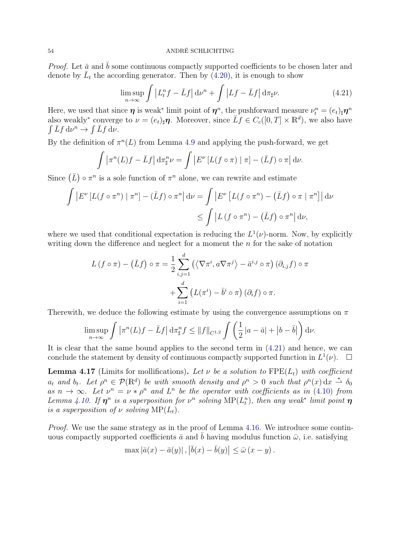*Proof.* Let  $\bar{a}$  and  $\bar{b}$  some continuous compactly supported coefficients to be chosen later and denote by  $\bar{L}_t$  the according generator. Then by  $(4.20)$ , it is enough to show

<span id="page-53-0"></span>
$$
\limsup_{n \to \infty} \int \left| L_t^n f - \bar{L} f \right| d\nu^n + \int \left| Lf - \bar{L} f \right| d\pi_{\sharp} \nu. \tag{4.21}
$$

Here, we used that since  $\eta$  is weak<sup>\*</sup> limit point of  $\eta^n$ , the pushforward measure  $\nu_t^n = (e_t)_\sharp \eta^n$ also weakly<sup>\*</sup> converge to  $\nu = (e_t)_\sharp \eta$ . Moreover, since  $\overline{L}f \in C_c([0,T] \times \mathbb{R}^d)$ , we also have  $\int \bar{L} f \, \mathrm{d} \nu^n \to \int \bar{L} f \, \mathrm{d} \nu.$ 

By the definition of  $\pi^{n}(L)$  from Lemma [4.9](#page-47-1) and applying the push-forward, we get

$$
\int \left| \pi^n(L)f - \bar{L}f \right| d\pi^n_{\sharp} \nu = \int \left| E^{\nu} \left[ L(f \circ \pi) \mid \pi \right] - (\bar{L}f) \circ \pi \right| d\nu.
$$

Since  $(\bar{L}) \circ \pi^n$  is a sole function of  $\pi^n$  alone, we can rewrite and estimate

$$
\int \left| E^{\nu} \left[ L(f \circ \pi^n) \mid \pi^n \right] - (\bar{L}f) \circ \pi^n \right| d\nu = \int \left| E^{\nu} \left[ L(f \circ \pi^n) - (\bar{L}f) \circ \pi \mid \pi^n \right] \right| d\nu
$$
  

$$
\leq \int \left| L(f \circ \pi^n) - (\bar{L}f) \circ \pi^n \right| d\nu,
$$

where we used that conditional expectation is reducing the  $L^1(\nu)$ -norm. Now, by explicitly writing down the difference and neglect for a moment the  $n$  for the sake of notation

$$
L(f \circ \pi) - (\bar{L}f) \circ \pi = \frac{1}{2} \sum_{i,j=1}^{d} (\langle \nabla \pi^i, a \nabla \pi^j \rangle - \bar{a}^{i,j} \circ \pi) (\partial_{i,j} f) \circ \pi
$$

$$
+ \sum_{i=1}^{d} (L(\pi^i) - \bar{b}^i \circ \pi) (\partial_i f) \circ \pi.
$$

Therewith, we deduce the following estimate by using the convergence assumptions on  $\pi$ 

$$
\limsup_{n\to\infty}\int\left|\pi^n(L)f-\bar Lf\right|\mathrm{d}\pi^n_\sharp f\leq\|f\|_{C^{1,2}}\int\left(\frac{1}{2}\left|a-\bar a\right|+\left|b-\bar b\right|\right)\mathrm{d}\nu.
$$

It is clear that the same bound applies to the second term in [\(4.21\)](#page-53-0) and hence, we can conclude the statement by density of continuous compactly supported function in  $L^1(\nu)$ .  $\Box$ 

<span id="page-53-1"></span>**Lemma 4.17** (Limits for mollifications). Let  $\nu$  be a solution to FPE( $L_t$ ) with coefficient  $a_t$  and  $b_t$ . Let  $\rho^n \in \mathcal{P}(\mathbb{R}^d)$  be with smooth density and  $\rho^n > 0$  such that  $\rho^n(x) dx \stackrel{*}{\rightharpoonup} \delta_0$ as  $n \to \infty$ . Let  $\nu^n = \nu * \rho^n$  and  $L^n$  be the operator with coefficients as in [\(4.10\)](#page-47-2) from Lemma [4.10.](#page-47-3) If  $\eta^n$  is a superposition for  $\nu^n$  solving  $\text{MP}(L_t^n)$ , then any weak\* limit point  $\eta$ is a superposition of  $\nu$  solving  $\text{MP}(L_t)$ .

*Proof.* We use the same strategy as in the proof of Lemma [4.16.](#page-52-2) We introduce some continuous compactly supported coefficients  $\bar{a}$  and b having modulus function  $\bar{\omega}$ , i.e. satisfying

$$
\max |\bar{a}(x) - \bar{a}(y)|, |\bar{b}(x) - \bar{b}(y)| \le \bar{\omega} (x - y).
$$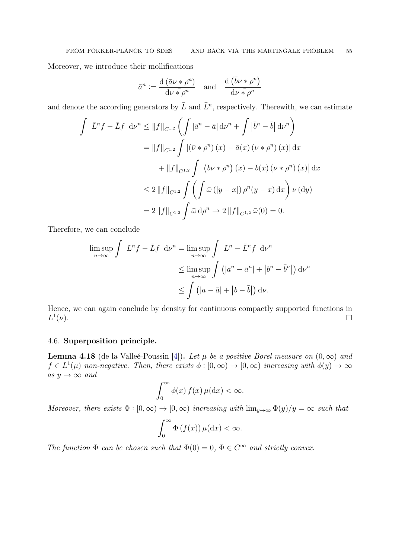Moreover, we introduce their mollifications

$$
\bar{a}^n := \frac{\mathrm{d}\left(\bar{a}\nu * \rho^n\right)}{\mathrm{d}\nu * \rho^n} \quad \text{and} \quad \frac{\mathrm{d}\left(\bar{b}\nu * \rho^n\right)}{\mathrm{d}\nu * \rho^n}
$$

and denote the according generators by  $\bar{L}$  and  $\bar{L}^n$ , respectively. Therewith, we can estimate

$$
\int \left| \bar{L}^n f - \bar{L} f \right| d\nu^n \le \|f\|_{C^{1,2}} \left( \int \left| \bar{a}^n - \bar{a} \right| d\nu^n + \int \left| \bar{b}^n - \bar{b} \right| d\nu^n \right)
$$
  
\n
$$
= \|f\|_{C^{1,2}} \int \left| (\bar{\nu} * \rho^n) (x) - \bar{a}(x) (\nu * \rho^n) (x) \right| d\nu
$$
  
\n
$$
+ \|f\|_{C^{1,2}} \int \left| (\bar{b}\nu * \rho^n) (x) - \bar{b}(x) (\nu * \rho^n) (x) \right| d\nu
$$
  
\n
$$
\le 2 \|f\|_{C^{1,2}} \int \left( \int \bar{\omega} (|y - x|) \rho^n (y - x) d\nu \right) \nu (dy)
$$
  
\n
$$
= 2 \|f\|_{C^{1,2}} \int \bar{\omega} d\rho^n \to 2 \|f\|_{C^{1,2}} \bar{\omega}(0) = 0.
$$

Therefore, we can conclude

$$
\limsup_{n \to \infty} \int |L^n f - \bar{L}f| d\nu^n = \limsup_{n \to \infty} \int |L^n - \bar{L}^n f| d\nu^n
$$
  
\n
$$
\leq \limsup_{n \to \infty} \int (|a^n - \bar{a}^n| + |b^n - \bar{b}^n|) d\nu^n
$$
  
\n
$$
\leq \int (|a - \bar{a}| + |b - \bar{b}|) d\nu.
$$

Hence, we can again conclude by density for continuous compactly supported functions in  $L^1$  $(v).$ 

# <span id="page-54-0"></span>4.6. Superposition principle.

<span id="page-54-1"></span>**Lemma 4.18** (de la Valleé-Poussin [\[4\]](#page-67-10)). Let  $\mu$  be a positive Borel measure on  $(0, \infty)$  and  $f \in L^1(\mu)$  non-negative. Then, there exists  $\phi : [0, \infty) \to [0, \infty)$  increasing with  $\phi(y) \to \infty$ as  $y \rightarrow \infty$  and

$$
\int_0^\infty \phi(x) f(x) \,\mu(\mathrm{d}x) < \infty.
$$

Moreover, there exists  $\Phi : [0, \infty) \to [0, \infty)$  increasing with  $\lim_{y \to \infty} \Phi(y)/y = \infty$  such that

$$
\int_0^\infty \Phi\left(f(x)\right)\mu(\mathrm{d}x) < \infty.
$$

The function  $\Phi$  can be chosen such that  $\Phi(0) = 0$ ,  $\Phi \in C^{\infty}$  and strictly convex.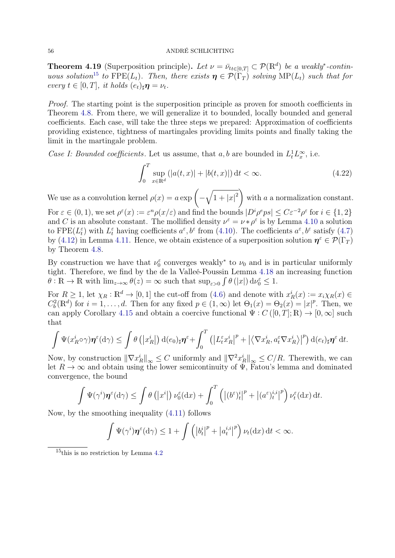**Theorem 4.19** (Superposition principle). Let  $\nu = \bar{\nu}_{tt \in [0,T]} \subset \mathcal{P}(\mathbb{R}^d)$  be a weakly<sup>\*</sup>-contin-uous solution<sup>[15](#page-55-0)</sup> to FPE( $L_t$ ). Then, there exists  $\eta \in \mathcal{P}(\Gamma_T)$  solving MP( $L_t$ ) such that for every  $t \in [0, T]$ , it holds  $(e_t)_{\sharp} \eta = \nu_t$ .

Proof. The starting point is the superposition principle as proven for smooth coefficients in Theorem [4.8.](#page-46-1) From there, we will generalize it to bounded, locally bounded and general coefficients. Each case, will take the three steps we prepared: Approximation of coefficients providing existence, tightness of martingales providing limits points and finally taking the limit in the martingale problem.

Case I: Bounded coefficients. Let us assume, that a, b are bounded in  $L_t^1 L_x^{\infty}$ , i.e.

<span id="page-55-1"></span>
$$
\int_{0}^{T} \sup_{x \in \mathbb{R}^{d}} (|a(t,x)| + |b(t,x)|) dt < \infty.
$$
 (4.22)

We use as a convolution kernel  $\rho(x) = a \exp \left(-\sqrt{1+|x|^2}\right)$ with a a normalization constant. For  $\varepsilon \in (0,1)$ , we set  $\rho^{\varepsilon}(x) := \varepsilon^n \rho(x/\varepsilon)$  and find the bounds  $|D^i \rho^e p s| \leq C \varepsilon^{-2} \rho^{\varepsilon}$  for  $i \in \{1,2\}$ and C is an absolute constant. The mollified density  $\nu^{\varepsilon} = \nu * \rho^{\varepsilon}$  is by Lemma [4.10](#page-47-3) a solution to FPE( $L_t^{\varepsilon}$ ) with  $L_t^{\varepsilon}$  having coefficients  $a^{\varepsilon}, b^{\varepsilon}$  from [\(4.10\)](#page-47-2). The coefficients  $a^{\varepsilon}, b^{\varepsilon}$  satisfy [\(4.7\)](#page-44-2) by [\(4.12\)](#page-48-2) in Lemma [4.11.](#page-48-3) Hence, we obtain existence of a superposition solution  $\eta^{\varepsilon} \in \mathcal{P}(\Gamma_T)$ by Theorem [4.8.](#page-46-1)

By construction we have that  $\nu_0^{\varepsilon}$  converges weakly<sup>\*</sup> to  $\nu_0$  and is in particular uniformly tight. Therefore, we find by the de la Valleé-Poussin Lemma [4.18](#page-54-1) an increasing function  $\theta$ :  $\mathbb{R} \to \mathbb{R}$  with  $\lim_{z \to \infty} \theta(z) = \infty$  such that  $\sup_{\varepsilon > 0} \int \theta(|x|) d\nu_0^{\varepsilon} \leq 1$ .

For  $R \ge 1$ , let  $\chi_R : \mathbb{R}^d \to [0,1]$  the cut-off from [\(4.6\)](#page-44-1) and denote with  $x_R^i(x) := x_i \chi_R(x) \in$  $C_b^2(\mathbb{R}^d)$  for  $i = 1, \ldots, d$ . Then for any fixed  $p \in (1, \infty)$  let  $\Theta_1(x) = \Theta_2(x) = |x|^p$ . Then, we can apply Corollary [4.15](#page-52-3) and obtain a coercive functional  $\Psi : C([0,T];\mathbb{R}) \to [0,\infty]$  such that

$$
\int \Psi(x_R^i \circ \gamma) \eta^{\varepsilon}(\mathrm{d}\gamma) \leq \int \theta\left(|x_R^i|\right) \mathrm{d}(e_0)_\sharp \eta^{\varepsilon} + \int_0^T \left(\left|L_t^{\varepsilon} x_R^i\right|^p + \left|\left\langle \nabla x_R^i, a_t^{\varepsilon} \nabla x_R^i \right\rangle\right|^p\right) \mathrm{d}(e_t)_\sharp \eta^{\varepsilon} \mathrm{d}t.
$$

Now, by construction  $\|\nabla x_R^i\|_{\infty} \leq C$  uniformly and  $\|\nabla^2 x_R^i\|_{\infty} \leq C/R$ . Therewith, we can let  $R \to \infty$  and obtain using the lower semicontinuity of  $\Psi$ , Fatou's lemma and dominated convergence, the bound

$$
\int \Psi(\gamma^i) \pmb{\eta}^{\varepsilon}(\mathrm{d}\gamma) \le \int \theta\left(\left|x^i\right|\right) \nu_0^{\varepsilon}(\mathrm{d}x) + \int_0^T \left(\left|\left(b^{\varepsilon}\right)_t^i\right|^p + \left|(a^{\varepsilon}\right)_t^{i,i}\right|^p\right) \nu_t^{\varepsilon}(\mathrm{d}x) \,\mathrm{d}t.
$$

Now, by the smoothing inequality [\(4.11\)](#page-48-1) follows

$$
\int \Psi(\gamma^i)\boldsymbol{\eta}^{\varepsilon}(\mathrm{d}\gamma) \leq 1 + \int \left( \left| b_t^i \right|^p + \left| a_t^{i,i} \right|^p \right) \nu_t(\mathrm{d}x) \, \mathrm{d}t < \infty.
$$

<span id="page-55-0"></span> $15$ this is no restriction by Lemma [4.2](#page-42-6)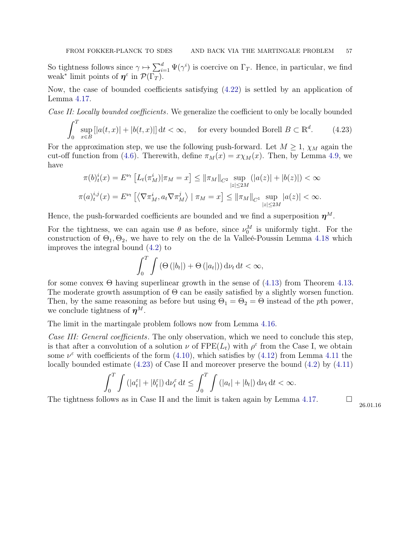So tightness follows since  $\gamma \mapsto \sum_{i=1}^d \Psi(\gamma^i)$  is coercive on  $\Gamma_T$ . Hence, in particular, we find weak<sup>\*</sup> limit points of  $\eta^{\varepsilon}$  in  $\mathcal{P}(\Gamma_T)$ .

Now, the case of bounded coefficients satisfying [\(4.22\)](#page-55-1) is settled by an application of Lemma [4.17.](#page-53-1)

Case II: Locally bounded coefficients. We generalize the coefficient to only be locally bounded

 $\int_0^T$ 0 sup x∈B  $[|a(t,x)| + |b(t,x)|] dt < \infty$ , for every bounded Borell  $B \subset \mathbb{R}^d$  $(4.23)$ 

For the approximation step, we use the following push-forward. Let  $M \geq 1$ ,  $\chi_M$  again the cut-off function from [\(4.6\)](#page-44-1). Therewith, define  $\pi_M(x) = x \chi_M(x)$ . Then, by Lemma [4.9,](#page-47-1) we have

$$
\pi(b)_t^i(x) = E^{\nu_t} \left[ L_t(\pi_M^i) | \pi_M = x \right] \le ||\pi_M||_{C^2} \sup_{|z| \le 2M} (|a(z)| + |b(z)|) < \infty
$$
  

$$
\pi(a)_t^{i,j}(x) = E^{\nu_t} \left[ \left\langle \nabla \pi_M^i, a_t \nabla \pi_M^j \right\rangle | \pi_M = x \right] \le ||\pi_M||_{C^1} \sup_{|z| \le 2M} |a(z)| < \infty.
$$

Hence, the push-forwarded coefficients are bounded and we find a superposition  $\eta^M$ .

For the tightness, we can again use  $\theta$  as before, since  $\nu_0^M$  is uniformly tight. For the construction of  $\Theta_1$ ,  $\Theta_2$ , we have to rely on the de la Valleé-Poussin Lemma [4.18](#page-54-1) which improves the integral bound [\(4.2\)](#page-42-3) to

<span id="page-56-0"></span>
$$
\int_0^T \int \left(\Theta\left(|b_t|\right) + \Theta\left(|a_t|\right)\right) \mathrm{d}\nu_t \, \mathrm{d}t < \infty,
$$

for some convex  $\Theta$  having superlinear growth in the sense of [\(4.13\)](#page-49-1) from Theorem [4.13.](#page-49-4) The moderate growth assumption of  $\Theta$  can be easily satisfied by a slightly worsen function. Then, by the same reasoning as before but using  $\Theta_1 = \Theta_2 = \Theta$  instead of the pth power, we conclude tightness of  $\eta^M$ .

The limit in the martingale problem follows now from Lemma [4.16.](#page-52-2)

Case III: General coefficients. The only observation, which we need to conclude this step, is that after a convolution of a solution  $\nu$  of  $\text{FPE}(L_t)$  with  $\rho^{\varepsilon}$  from the Case I, we obtain some  $\nu^{\varepsilon}$  with coefficients of the form [\(4.10\)](#page-47-2), which satisfies by [\(4.12\)](#page-48-2) from Lemma [4.11](#page-48-3) the locally bounded estimate [\(4.23\)](#page-56-0) of Case II and moreover preserve the bound [\(4.2\)](#page-42-3) by [\(4.11\)](#page-48-1)

$$
\int_0^T \int \left( |a_t^{\varepsilon}| + |b_t^{\varepsilon}| \right) \mathrm{d} \nu_t^{\varepsilon} \, \mathrm{d} t \le \int_0^T \int \left( |a_t| + |b_t| \right) \mathrm{d} \nu_t \, \mathrm{d} t < \infty.
$$

The tightness follows as in Case II and the limit is taken again by Lemma [4.17.](#page-53-1)  $\Box$ 

26.01.16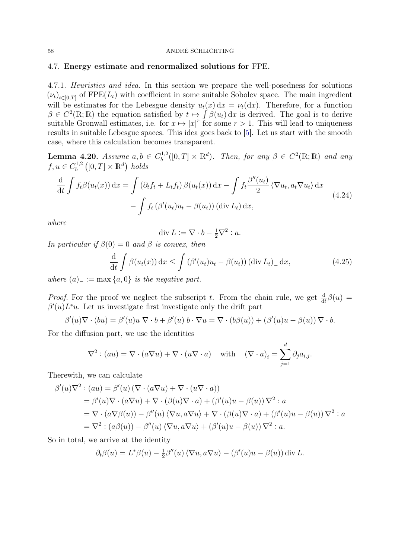## <span id="page-57-0"></span>4.7. Energy estimate and renormalized solutions for FPE.

4.7.1. Heuristics and idea. In this section we prepare the well-posedness for solutions  $(\nu_t)_{t\in[0,T]}$  of FPE( $L_t$ ) with coefficient in some suitable Sobolev space. The main ingredient will be estimates for the Lebesgue density  $u_t(x) dx = \nu_t(dx)$ . Therefore, for a function  $\beta \in C^2(\mathbb{R};\mathbb{R})$  the equation satisfied by  $t \mapsto \int \beta(u_t) dx$  is derived. The goal is to derive suitable Gronwall estimates, i.e. for  $x \mapsto |x|^r$  for some  $r > 1$ . This will lead to uniqueness results in suitable Lebesgue spaces. This idea goes back to [\[5\]](#page-67-11). Let us start with the smooth case, where this calculation becomes transparent.

<span id="page-57-2"></span>**Lemma 4.20.** Assume  $a, b \in C_b^{1,2}$  $b^{1,2}([0,T] \times \mathbb{R}^d)$ . Then, for any  $\beta \in C^2(\mathbb{R}; \mathbb{R})$  and any  $f, u \in C_h^{1,2}$  $b^{1,2}([0,T]\times\mathbb{R}^d)$  holds

$$
\frac{\mathrm{d}}{\mathrm{d}t} \int f_t \beta(u_t(x)) \, \mathrm{d}x = \int \left( \partial_t f_t + L_t f_t \right) \beta(u_t(x)) \, \mathrm{d}x - \int f_t \frac{\beta''(u_t)}{2} \left\langle \nabla u_t, a_t \nabla u_t \right\rangle \mathrm{d}x \n- \int f_t \left( \beta'(u_t) u_t - \beta(u_t) \right) (\mathrm{div} \, L_t) \, \mathrm{d}x,
$$
\n(4.24)

where

<span id="page-57-3"></span><span id="page-57-1"></span>
$$
\operatorname{div} L := \nabla \cdot b - \frac{1}{2} \nabla^2 : a.
$$

In particular if  $\beta(0) = 0$  and  $\beta$  is convex, then

$$
\frac{\mathrm{d}}{\mathrm{d}t} \int \beta(u_t(x)) \, \mathrm{d}x \le \int \left( \beta'(u_t) u_t - \beta(u_t) \right) (\mathrm{div} \, L_t)_{-} \, \mathrm{d}x,\tag{4.25}
$$

where  $(a)$ <sub>-</sub> := max  $\{a, 0\}$  is the negative part.

*Proof.* For the proof we neglect the subscript t. From the chain rule, we get  $\frac{d}{dt}\beta(u)$  $\beta'(u)L^*u$ . Let us investigate first investigate only the drift part

$$
\beta'(u)\nabla \cdot (bu) = \beta'(u)u \nabla \cdot b + \beta'(u) b \cdot \nabla u = \nabla \cdot (b\beta(u)) + (\beta'(u)u - \beta(u)) \nabla \cdot b.
$$

For the diffusion part, we use the identities

$$
\nabla^2 : (au) = \nabla \cdot (a\nabla u) + \nabla \cdot (u\nabla \cdot a) \quad \text{with} \quad (\nabla \cdot a)_i = \sum_{j=1}^d \partial_j a_{i,j}.
$$

Therewith, we can calculate

$$
\beta'(u)\nabla^2 : (au) = \beta'(u) (\nabla \cdot (a\nabla u) + \nabla \cdot (u\nabla \cdot a))
$$
  
\n
$$
= \beta'(u)\nabla \cdot (a\nabla u) + \nabla \cdot (\beta(u)\nabla \cdot a) + (\beta'(u)u - \beta(u))\nabla^2 : a
$$
  
\n
$$
= \nabla \cdot (a\nabla \beta(u)) - \beta''(u) \langle \nabla u, a\nabla u \rangle + \nabla \cdot (\beta(u)\nabla \cdot a) + (\beta'(u)u - \beta(u))\nabla^2 : a
$$
  
\n
$$
= \nabla^2 : (a\beta(u)) - \beta''(u) \langle \nabla u, a\nabla u \rangle + (\beta'(u)u - \beta(u))\nabla^2 : a.
$$

So in total, we arrive at the identity

$$
\partial_t \beta(u) = L^* \beta(u) - \frac{1}{2} \beta''(u) \langle \nabla u, a \nabla u \rangle - (\beta'(u)u - \beta(u)) \operatorname{div} L.
$$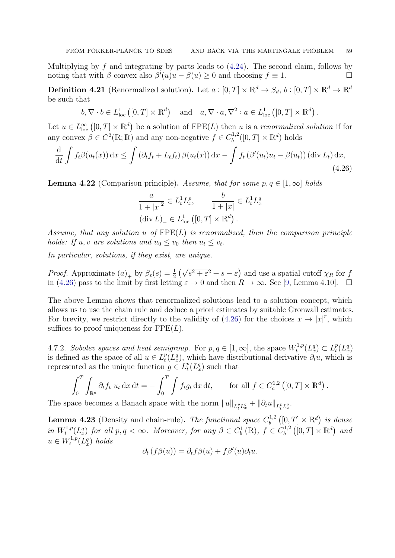Multiplying by f and integrating by parts leads to  $(4.24)$ . The second claim, follows by noting that with  $\beta$  convex also  $\beta'(u)u - \beta(u) \ge 0$  and choosing  $f \equiv 1$ .

**Definition 4.21** (Renormalized solution). Let  $a:[0,T] \times \mathbb{R}^d \to S_d$ ,  $b:[0,T] \times \mathbb{R}^d \to \mathbb{R}^d$ be such that

 $b, \nabla \cdot b \in L^1_{loc}([0,T] \times \mathbb{R}^d)$  and  $a, \nabla \cdot a, \nabla^2 : a \in L^1_{loc}([0,T] \times \mathbb{R}^d)$ .

Let  $u \in L^{\infty}_{loc}([0,T] \times \mathbb{R}^d)$  be a solution of  $\text{FPE}(L)$  then u is a renormalized solution if for any convex  $\beta \in C^2(\mathbb{R}; \mathbb{R})$  and any non-negative  $f \in C^{1,2}_b$  $b^{1,2}([0,T] \times \mathbb{R}^d)$  holds

$$
\frac{\mathrm{d}}{\mathrm{d}t} \int f_t \beta(u_t(x)) \, \mathrm{d}x \le \int \left( \partial_t f_t + L_t f_t \right) \beta(u_t(x)) \, \mathrm{d}x - \int f_t \left( \beta'(u_t) u_t - \beta(u_t) \right) \left( \mathrm{div} \, L_t \right) \mathrm{d}x,\tag{4.26}
$$

**Lemma 4.22** (Comparison principle). Assume, that for some  $p, q \in [1, \infty]$  holds

<span id="page-58-0"></span>
$$
\frac{a}{1+|x|^2} \in L_t^1 L_x^p, \qquad \frac{b}{1+|x|} \in L_t^1 L_x^q
$$

$$
(\text{div } L)_{-} \in L_{\text{loc}}^1 ([0, T] \times \mathbb{R}^d).
$$

Assume, that any solution u of  $\text{FPE}(L)$  is renormalized, then the comparison principle holds: If  $u, v$  are solutions and  $u_0 \leq v_0$  then  $u_t \leq v_t$ .

In particular, solutions, if they exist, are unique.

*Proof.* Approximate  $(a)_+$  by  $\beta_{\varepsilon}(s) = \frac{1}{2} (\sqrt{s^2 + \varepsilon^2} + s - \varepsilon)$  and use a spatial cutoff  $\chi_R$  for f in [\(4.26\)](#page-58-0) pass to the limit by first letting  $\varepsilon \to 0$  and then  $R \to \infty$ . See [\[9,](#page-67-7) Lemma 4.10].

The above Lemma shows that renormalized solutions lead to a solution concept, which allows us to use the chain rule and deduce a priori estimates by suitable Gronwall estimates. For brevity, we restrict directly to the validity of [\(4.26\)](#page-58-0) for the choices  $x \mapsto |x|^r$ , which suffices to proof uniqueness for  $\text{FPE}(L)$ .

4.7.2. Sobolev spaces and heat semigroup. For  $p, q \in [1, \infty]$ , the space  $W_t^{1,p}$  $L_t^{1,p}(L_x^q) \subset L_t^p$  $_{t}^{p}(L_{x}^{q})$ is defined as the space of all  $u \in L_t^p$  $_{t}^{p}(L_{x}^{q})$ , which have distributional derivative  $\partial_{t}u$ , which is represented as the unique function  $g \in L_t^p$  $_{t}^{p}(L_{x}^{q})$  such that

$$
\int_0^T \int_{\mathbb{R}^d} \partial_t f_t u_t \, \mathrm{d}x \, \mathrm{d}t = - \int_0^T \int f_t g_t \, \mathrm{d}x \, \mathrm{d}t, \qquad \text{for all } f \in C_c^{1,2} \left( [0, T] \times \mathbb{R}^d \right).
$$

The space becomes a Banach space with the norm  $||u||_{L_t^p L_x^q} + ||\partial_t u||_{L_t^p L_x^q}$ .

<span id="page-58-1"></span>**Lemma 4.23** (Density and chain-rule). The functional space  $C_b^{1,2}$  $\mathcal{L}_b^{1,2}([0,T]\times\mathbb{R}^d)$  is dense in  $W_t^{1,p}$ <sup>1,p</sup>( $L_x^q$ ) for all  $p, q < \infty$ . Moreover, for any  $\beta \in C_b^1(\mathbb{R})$ ,  $f \in C_b^{1,2}$  $\mathcal{U}_b^{1,2}([0,T]\times\mathbb{R}^d)$  and  $u \in W_t^{1,p}$  $t^{1,p}(L_x^q)$  holds

$$
\partial_t (f\beta(u)) = \partial_t f\beta(u) + f\beta'(u)\partial_t u.
$$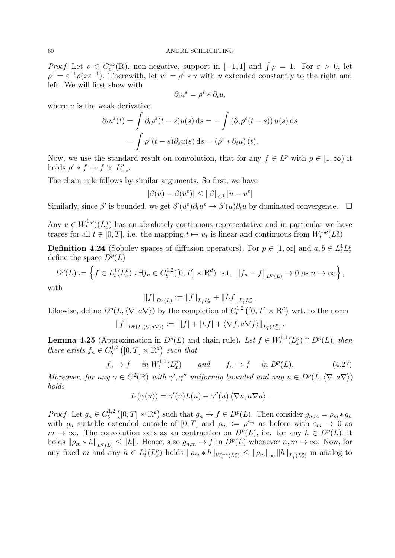Proof. Let  $\rho \in C_c^{\infty}(\mathbb{R})$ , non-negative, support in [-1,1] and  $\int \rho = 1$ . For  $\varepsilon > 0$ , let  $\rho^{\varepsilon} = \varepsilon^{-1} \rho(x \varepsilon^{-1})$ . Therewith, let  $u^{\varepsilon} = \rho^{\varepsilon} * u$  with u extended constantly to the right and left. We will first show with

$$
\partial_t u^\varepsilon = \rho^\varepsilon * \partial_t u,
$$

where  $u$  is the weak derivative.

$$
\partial_t u^{\varepsilon}(t) = \int \partial_t \rho^{\varepsilon}(t-s)u(s) ds = -\int (\partial_s \rho^{\varepsilon}(t-s)) u(s) ds
$$

$$
= \int \rho^{\varepsilon}(t-s) \partial_s u(s) ds = (\rho^{\varepsilon} * \partial_t u)(t).
$$

Now, we use the standard result on convolution, that for any  $f \in L^p$  with  $p \in [1,\infty)$  it holds  $\rho^{\varepsilon} * f \to f$  in  $L_{\text{loc}}^p$ .

The chain rule follows by similar arguments. So first, we have

$$
|\beta(u)-\beta(u^\varepsilon)|\leq \|\beta\|_{C^1}\,|u-u^\varepsilon|
$$

Similarly, since  $\beta'$  is bounded, we get  $\beta'(u^{\varepsilon})\partial_t u^{\varepsilon} \to \beta'(u)\partial_t u$  by dominated convergence.  $\square$ 

Any  $u \in W_t^{1,p}$  $(t_t^{(1,p)}(L_x^q))$  has an absolutely continuous representative and in particular we have traces for all  $t \in [0, T]$ , i.e. the mapping  $t \mapsto u_t$  is linear and continuous from  $W_t^{1,p}$  $t^{1,p}(L_x^q).$ 

**Definition 4.24** (Sobolev spaces of diffusion operators). For  $p \in [1, \infty]$  and  $a, b \in L_t^1 L_x^p$ define the space  $D^p(L)$ 

$$
D^{p}(L) := \left\{ f \in L_{t}^{1}(L_{x}^{p}) : \exists f_{n} \in C_{b}^{1,2}([0, T] \times \mathbb{R}^{d}) \text{ s.t. } ||f_{n} - f||_{D^{p}(L)} \to 0 \text{ as } n \to \infty \right\},\
$$

with

<span id="page-59-0"></span>
$$
||f||_{D^p(L)} := ||f||_{L_t^1 L_x^p} + ||Lf||_{L_t^1 L_x^p}.
$$

Likewise, define  $D^p(L, \langle \nabla, a\nabla \rangle)$  by the completion of  $C_b^{1,2}$  $b^{1,2}([0,T] \times \mathbb{R}^d)$  wrt. to the norm  $||f||_{D^p(L,\langle \nabla,a\nabla \rangle)} := |||f| + |Lf| + \langle \nabla f,a\nabla f \rangle||_{L_t^1(L_x^p)}.$ 

<span id="page-59-1"></span>**Lemma 4.25** (Approximation in  $D^p(L)$  and chain rule). Let  $f \in W_t^{1,1}$  $L_t^{1,1}(L_x^p) \cap D^p(L)$ , then there exists  $f_n \in C_b^{1,2}$  $b^{1,2}([0,T] \times \mathbb{R}^d)$  such that

$$
f_n \to f \quad in \ W_t^{1,1}(L_x^p) \qquad and \qquad f_n \to f \quad in \ D^p(L). \tag{4.27}
$$

Moreover, for any  $\gamma \in C^2(\mathbb{R})$  with  $\gamma', \gamma''$  uniformly bounded and any  $u \in D^p(L, \langle \nabla, a\nabla \rangle)$ holds

$$
L(\gamma(u)) = \gamma'(u)L(u) + \gamma''(u) \langle \nabla u, a\nabla u \rangle.
$$

*Proof.* Let  $g_n \in C_b^{1,2}$  $b^{1,2}([0,T] \times \mathbb{R}^d)$  such that  $g_n \to f \in D^p(L)$ . Then consider  $g_{n,m} = \rho_m * g_m$ with  $g_n$  suitable extended outside of  $[0,T]$  and  $\rho_m := \rho^{\varepsilon_m}$  as before with  $\varepsilon_m \to 0$  as  $m \to \infty$ . The convolution acts as an contraction on  $D^p(L)$ , i.e. for any  $h \in D^p(L)$ , it holds  $\|\rho_m * h\|_{D^p(L)} \leq \|h\|$ . Hence, also  $g_{n,m} \to f$  in  $D^p(L)$  whenever  $n, m \to \infty$ . Now, for any fixed m and any  $h \in L_t^1(L_x^p)$  holds  $\|\rho_m * h\|_{W_t^{1,1}(L_x^p)} \le \|\rho_m\|_{\infty} \|h\|_{L_t^1(L_x^p)}$  in analog to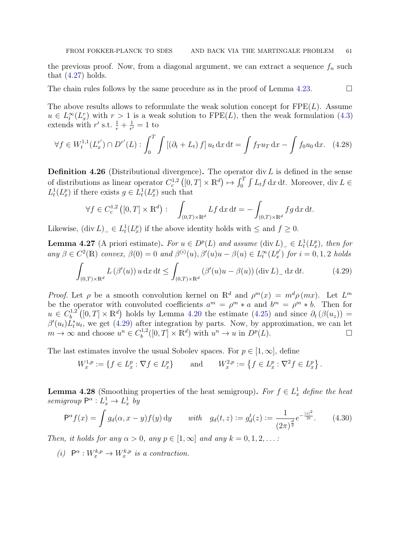the previous proof. Now, from a diagonal argument, we can extract a sequence  $f_n$  such that  $(4.27)$  holds.

The chain rules follows by the same procedure as in the proof of Lemma [4.23.](#page-58-1)

The above results allows to reformulate the weak solution concept for  $\text{FPE}(L)$ . Assume  $u \in L_t^{\infty}(L_x^r)$  with  $r > 1$  is a weak solution to FPE(L), then the weak formulation [\(4.3\)](#page-42-2) extends with r' s.t.  $\frac{1}{r} + \frac{1}{r'}$  $\frac{1}{r'}=1$  to

$$
\forall f \in W_t^{1,1}(L_x^{r'}) \cap D^{r'}(L) : \int_0^T \int \left[ (\partial_t + L_t) f \right] u_t \, \mathrm{d}x \, \mathrm{d}t = \int f_T u_T \, \mathrm{d}x - \int f_0 u_0 \, \mathrm{d}x. \tag{4.28}
$$

**Definition 4.26** (Distributional divergence). The operator div L is defined in the sense of distributions as linear operator  $C_c^{1,2}([0,T] \times \mathbb{R}^d) \mapsto \int_0^T \int L_t f dx dt$ . Moreover, div  $L \in$  $L_t^1(L_x^p)$  if there exists  $g \in L_t^1(L_x^p)$  such that

<span id="page-60-2"></span><span id="page-60-0"></span>
$$
\forall f \in C_c^{1,2}([0,T] \times \mathbb{R}^d) : \quad \int_{(0,T) \times \mathbb{R}^d} Lf \,dx \,dt = -\int_{(0,T) \times \mathbb{R}^d} fg \,dx \,dt.
$$

Likewise,  $(\text{div } L)$ <sub>-</sub> ∈  $L_t^1(L_x^p)$  if the above identity holds with  $\leq$  and  $f \geq 0$ .

<span id="page-60-3"></span>**Lemma 4.27** (A priori estimate). For  $u \in D^p(L)$  and assume  $(\text{div } L)$ <sub>-</sub>  $\in L^1_t(L^p_x)$ , then for any  $\beta \in C^2(\mathbb{R})$  convex,  $\beta(0) = 0$  and  $\beta^{(i)}(u), \beta'(u)u - \beta(u) \in L_t^{\infty}(L_x^{p'})$  $y'_{x}$ ) for  $i = 0, 1, 2$  holds

$$
\int_{(0,T)\times\mathbb{R}^d} L(\beta'(u)) u \, \mathrm{d}x \, \mathrm{d}t \le \int_{(0,T)\times\mathbb{R}^d} (\beta'(u)u - \beta(u)) (\operatorname{div} L)_{-} \, \mathrm{d}x \, \mathrm{d}t. \tag{4.29}
$$

Proof. Let  $\rho$  be a smooth convolution kernel on  $\mathbb{R}^d$  and  $\rho^m(x) = m^d \rho(mx)$ . Let  $L^m$ be the operator with convoluted coefficients  $a^m = \rho^m * a$  and  $b^m = \rho^m * b$ . Then for  $u \in C_h^{1,2}$  $b_b^{(1,2)}([0,T] \times \mathbb{R}^d)$  holds by Lemma [4.20](#page-57-2) the estimate [\(4.25\)](#page-57-3) and since  $\partial_t (\beta(u_z)) =$  $\beta'(u_t)L_t^*u_t$ , we get [\(4.29\)](#page-60-0) after integration by parts. Now, by approximation, we can let  $m \to \infty$  and choose  $u^n \in C_h^{1,2}$  $u^{1,2}([0,T] \times \mathbb{R}^d)$  with  $u^n \to u$  in  $D^p(L)$ .

The last estimates involve the usual Sobolev spaces. For  $p \in [1,\infty]$ , define

<span id="page-60-4"></span>
$$
W_x^{1,p} := \{ f \in L_x^p : \nabla f \in L_x^p \} \quad \text{and} \quad W_x^{2,p} := \{ f \in L_x^p : \nabla^2 f \in L_x^p \}.
$$

<span id="page-60-1"></span>**Lemma 4.28** (Smoothing properties of the heat semigroup). For  $f \in L_x^1$  define the heat semigroup  $\mathsf{P}^{\alpha}: L_x^1 \to L_x^1$  by

$$
P^{\alpha} f(x) = \int g_d(\alpha, x - y) f(y) dy \quad \text{with} \quad g_d(t, z) := g_d^t(z) := \frac{1}{(2\pi)^{\frac{d}{2}}} e^{-\frac{|z|^2}{2t}}. \tag{4.30}
$$

Then, it holds for any  $\alpha > 0$ , any  $p \in [1, \infty]$  and any  $k = 0, 1, 2, \ldots$ :

(i)  $\mathsf{P}^{\alpha}: W_x^{k,p} \to W_x^{k,p}$  is a contraction.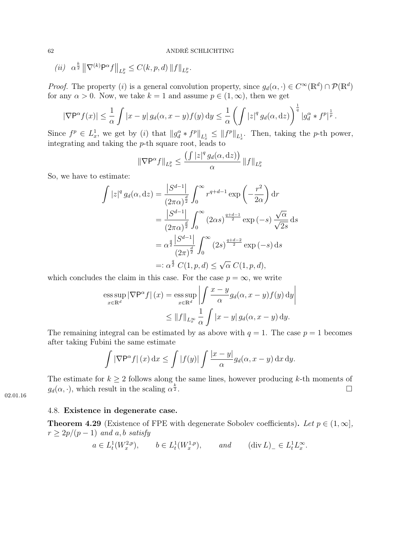(*ii*) 
$$
\alpha^{\frac{k}{2}} \| \nabla^{(k)} \mathsf{P}^{\alpha} f \|_{L_x^p} \leq C(k, p, d) \| f \|_{L_x^p}.
$$

*Proof.* The property (*i*) is a general convolution property, since  $g_d(\alpha, \cdot) \in C^{\infty}(\mathbb{R}^d) \cap \mathcal{P}(\mathbb{R}^d)$ for any  $\alpha > 0$ . Now, we take  $k = 1$  and assume  $p \in (1, \infty)$ , then we get

$$
|\nabla P^{\alpha} f(x)| \leq \frac{1}{\alpha} \int |x - y| g_d(\alpha, x - y) f(y) dy \leq \frac{1}{\alpha} \left( \int |z|^q g_d(\alpha, dz) \right)^{\frac{1}{q}} |g_d^{\alpha} * f^p|^{\frac{1}{p}}.
$$

Since  $f^p \in L_x^1$ , we get by (i) that  $||g_d^{\alpha} * f^p||_{L_x^1} \leq ||f^p||_{L_x^1}$ . Then, taking the p-th power, integrating and taking the p-th square root, leads to

$$
\|\nabla \mathsf{P}^{\alpha} f\|_{L_x^p} \le \frac{\left(\int |z|^q g_d(\alpha, \mathrm{d}z)\right)}{\alpha} \|f\|_{L_x^p}
$$

So, we have to estimate:

$$
\int |z|^q g_d(\alpha, dz) = \frac{|S^{d-1}|}{(2\pi \alpha)^{\frac{d}{2}}} \int_0^\infty r^{q+d-1} \exp\left(-\frac{r^2}{2\alpha}\right) dr
$$
  
\n
$$
= \frac{|S^{d-1}|}{(2\pi \alpha)^{\frac{d}{2}}} \int_0^\infty (2\alpha s)^{\frac{q+d-1}{2}} \exp(-s) \frac{\sqrt{\alpha}}{\sqrt{2s}} ds
$$
  
\n
$$
= \alpha^{\frac{q}{2}} \frac{|S^{d-1}|}{(2\pi)^{\frac{d}{2}}} \int_0^\infty (2s)^{\frac{q+d-2}{2}} \exp(-s) ds
$$
  
\n
$$
=:\alpha^{\frac{q}{2}} C(1, p, d) \le \sqrt{\alpha} C(1, p, d),
$$

which concludes the claim in this case. For the case  $p = \infty$ , we write

$$
\underset{x \in \mathbb{R}^d}{\operatorname{ess \, sup}} |\nabla \mathsf{P}^{\alpha} f| (x) = \underset{x \in \mathbb{R}^d}{\operatorname{ess \, sup}} \left| \int \frac{x - y}{\alpha} g_d(\alpha, x - y) f(y) \, \mathrm{d}y \right|
$$
  

$$
\leq ||f||_{L_x^{\infty}} \frac{1}{\alpha} \int |x - y| g_d(\alpha, x - y) \, \mathrm{d}y.
$$

The remaining integral can be estimated by as above with  $q = 1$ . The case  $p = 1$  becomes after taking Fubini the same estimate

$$
\int |\nabla \mathsf{P}^{\alpha} f| (x) dx \le \int |f(y)| \int \frac{|x-y|}{\alpha} g_d(\alpha, x-y) dx dy.
$$

The estimate for  $k \geq 2$  follows along the same lines, however producing k-th moments of  $g_d(\alpha, \cdot)$ , which result in the scaling  $\alpha^{\frac{k}{2}}$  $\frac{k}{2}$ .

02.01.16

## <span id="page-61-0"></span>4.8. Existence in degenerate case.

<span id="page-61-1"></span>**Theorem 4.29** (Existence of FPE with degenerate Sobolev coefficients). Let  $p \in (1,\infty]$ ,  $r \geq 2p/(p-1)$  and a, b satisfy

$$
a \in L_t^1(W_x^{2,p}),
$$
  $b \in L_t^1(W_x^{1,p}),$  and  $(\operatorname{div} L)_{-} \in L_t^1 L_x^{\infty}.$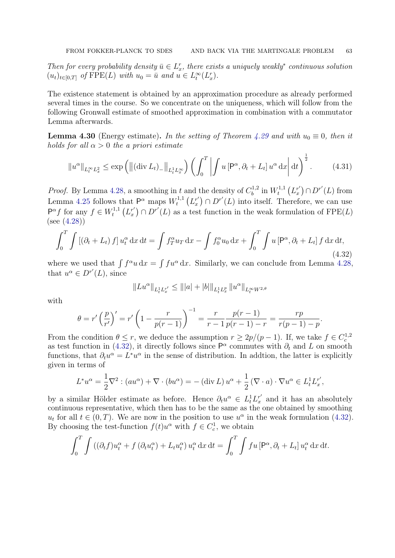Then for every probability density  $\bar{u} \in L_x^r$ , there exists a uniquely weakly<sup>\*</sup> continuous solution  $(u_t)_{t \in [0,T]}$  of  $\text{FPE}(L)$  with  $u_0 = \bar{u}$  and  $u \in L_t^{\infty}(L_x)$ .

The existence statement is obtained by an approximation procedure as already performed several times in the course. So we concentrate on the uniqueness, which will follow from the following Gronwall estimate of smoothed approximation in combination with a commutator Lemma afterwards.

<span id="page-62-2"></span>**Lemma 4.30** (Energy estimate). In the setting of Theorem [4.29](#page-61-1) and with  $u_0 \equiv 0$ , then it holds for all  $\alpha > 0$  the a priori estimate

$$
\|u^{\alpha}\|_{L_t^{\infty}L_x^2} \le \exp\left(\left\|(\text{div}\,L_t)_{-}\right\|_{L_t^1L_x^{\infty}}\right)\left(\int_0^T \left| \int u\left[\mathsf{P}^{\alpha},\partial_t + L_t\right]u^{\alpha}\,\mathrm{d}x\right| \mathrm{d}t\right)^{\frac{1}{2}}.\tag{4.31}
$$

*Proof.* By Lemma [4.28,](#page-60-1) a smoothing in t and the density of  $C_b^{1,2}$  $\binom{1,2}{b}$  in  $W_t^{1,1}$  $t^{1,1}\left(L_x^{r'}\right)$  $\binom{r'}{x} \cap D^{r'}(L)$  from Lemma [4.25](#page-59-1) follows that  $\mathsf{P}^{\alpha}$  maps  $W_t^{1,1}$  $t^{1,1}\left( L_x^{r^{\prime}}\right)$  $x'(x) \cap D^{r'}(L)$  into itself. Therefore, we can use  $\mathsf{P}^{\alpha} f$  for any  $f \in W_t^{1,1}$  $t^{1,1}$   $\left( L_x^{r^{\prime}}\right)$  $(x') \cap D^{r'}(L)$  as a test function in the weak formulation of  $\text{FPE}(L)$ (see [\(4.28\)](#page-60-2))

$$
\int_0^T \int \left[ \left( \partial_t + L_t \right) f \right] u_t^\alpha \, \mathrm{d}x \, \mathrm{d}t = \int f_T^\alpha u_T \, \mathrm{d}x - \int f_0^\alpha u_0 \, \mathrm{d}x + \int_0^T \int u \left[ \mathsf{P}^\alpha, \partial_t + L_t \right] f \, \mathrm{d}x \, \mathrm{d}t,\tag{4.32}
$$

where we used that  $\int f^{\alpha}u \,dx = \int fu^{\alpha} \,dx$ . Similarly, we can conclude from Lemma [4.28,](#page-60-1) that  $u^{\alpha} \in D^{r'}(L)$ , since

<span id="page-62-1"></span><span id="page-62-0"></span>
$$
||Lu^{\alpha}||_{L_t^1 L_x^{r'}} \le |||a| + |b||_{L_t^1 L_x^p} ||u^{\alpha}||_{L_t^{\infty} W^{2,\theta}}
$$

with

$$
\theta = r' \left(\frac{p}{r'}\right)' = r' \left(1 - \frac{r}{p(r-1)}\right)^{-1} = \frac{r}{r-1} \frac{p(r-1)}{p(r-1) - r} = \frac{rp}{r(p-1) - p}.
$$

From the condition  $\theta \leq r$ , we deduce the assumption  $r \geq 2p/(p-1)$ . If, we take  $f \in C_c^{1,2}$ as test function in [\(4.32\)](#page-62-0), it directly follows since  $\mathsf{P}^{\alpha}$  commutes with  $\partial_t$  and L on smooth functions, that  $\partial_t u^\alpha = L^* u^\alpha$  in the sense of distribution. In addtion, the latter is explicitly given in terms of

$$
L^*u^{\alpha} = \frac{1}{2}\nabla^2 : (au^{\alpha}) + \nabla \cdot (bu^{\alpha}) = -(\text{div } L) u^{\alpha} + \frac{1}{2} (\nabla \cdot a) \cdot \nabla u^{\alpha} \in L_t^1 L_x^{r'},
$$

by a similar Hölder estimate as before. Hence  $\partial_t u^{\alpha} \in L_t^1 L_x^{r'}$  $x'$  and it has an absolutely continuous representative, which then has to be the same as the one obtained by smoothing  $u_t$  for all  $t \in (0, T)$ . We are now in the position to use  $u^{\alpha}$  in the weak formulation [\(4.32\)](#page-62-0). By choosing the test-function  $f(t)u^{\alpha}$  with  $f \in C_c^1$ , we obtain

$$
\int_0^T \int \left( (\partial_t f) u_t^{\alpha} + f \left( \partial_t u_t^{\alpha} \right) + L_t u_t^{\alpha} \right) u_t^{\alpha} dx dt = \int_0^T \int f u \left[ \mathsf{P}^{\alpha}, \partial_t + L_t \right] u_t^{\alpha} dx dt.
$$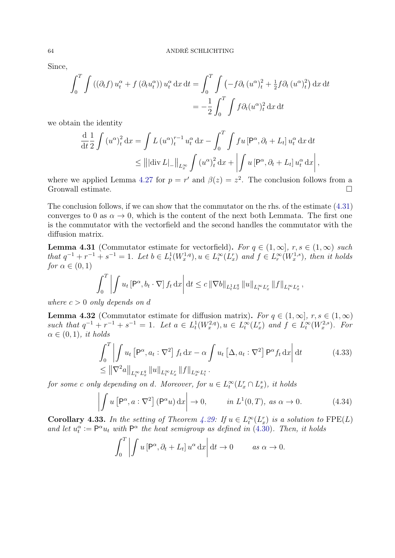Since,

$$
\int_0^T \int \left( (\partial_t f) u_t^{\alpha} + f (\partial_t u_t^{\alpha}) \right) u_t^{\alpha} dx dt = \int_0^T \int \left( -f \partial_t \left( u^{\alpha} \right)_t^2 + \frac{1}{2} f \partial_t \left( u^{\alpha} \right)_t^2 \right) dx dt
$$
  
= 
$$
- \frac{1}{2} \int_0^T \int f \partial_t (u^{\alpha})_t^2 dx dt
$$

we obtain the identity

$$
\frac{d}{dt} \frac{1}{2} \int (u^{\alpha})_t^2 dx = \int L (u^{\alpha})_t^{r-1} u_t^{\alpha} dx - \int_0^T \int fu \left[ P^{\alpha}, \partial_t + L_t \right] u_t^{\alpha} dx dt
$$
  
\n
$$
\leq |||\text{div } L|_-||_{L_x^{\infty}} \int (u^{\alpha})_t^2 dx + \left| \int u \left[ P^{\alpha}, \partial_t + L_t \right] u_t^{\alpha} dx \right|
$$

<span id="page-63-4"></span>,

where we applied Lemma [4.27](#page-60-3) for  $p = r'$  and  $\beta(z) = z^2$ . The conclusion follows from a Gronwall estimate.

The conclusion follows, if we can show that the commutator on the rhs. of the estimate [\(4.31\)](#page-62-1) converges to 0 as  $\alpha \to 0$ , which is the content of the next both Lemmata. The first one is the commutator with the vectorfield and the second handles the commutator with the diffusion matrix.

<span id="page-63-0"></span>**Lemma 4.31** (Commutator estimate for vectorfield). For  $q \in (1,\infty]$ ,  $r, s \in (1,\infty)$  such that  $q^{-1} + r^{-1} + s^{-1} = 1$ . Let  $b \in L_t^1(W_x^{1,q}), u \in L_t^{\infty}(L_x^r)$  and  $f \in L_r^{\infty}(W_x^{1,s})$ , then it holds for  $\alpha \in (0,1)$ 

$$
\int_0^T \left| \int u_t \left[ P^{\alpha}, b_t \cdot \nabla \right] f_t \, dx \right| dt \leq c \left\| \nabla b \right\|_{L^1_t L^q_x} \left\| u \right\|_{L^\infty_t L^r_x} \left\| f \right\|_{L^\infty_t L^s_x},
$$

where  $c > 0$  only depends on d

<span id="page-63-1"></span>**Lemma 4.32** (Commutator estimate for diffusion matrix). For  $q \in (1,\infty], r, s \in (1,\infty)$ such that  $q^{-1} + r^{-1} + s^{-1} = 1$ . Let  $a \in L^1_t(W^{2,q}_x)$ ,  $u \in L^\infty_t(L^r_x)$  and  $f \in L^\infty_t(W^{2,s}_x)$ . For  $\alpha \in (0,1)$ , it holds

$$
\int_0^T \left| \int u_t \left[ P^{\alpha}, a_t : \nabla^2 \right] f_t \, dx - \alpha \int u_t \left[ \Delta, a_t : \nabla^2 \right] P^{\alpha} f_t \, dx \right| dt \tag{4.33}
$$
\n
$$
\leq \left\| \nabla^2 a \right\|_{L_t^{\infty} L_x^q} \|u\|_{L_t^{\infty} L_x^r} \|f\|_{L_x^{\infty} L_t^s}.
$$

for some c only depending on d. Moreover, for  $u \in L_t^{\infty}(L_x^r \cap L_x^s)$ , it holds

$$
\left| \int u \left[ \mathsf{P}^{\alpha}, a : \nabla^2 \right] (\mathsf{P}^{\alpha} u) \, \mathrm{d}x \right| \to 0, \qquad \text{in } L^1(0, T), \text{ as } \alpha \to 0. \tag{4.34}
$$

<span id="page-63-3"></span>**Corollary 4.33.** In the setting of Theorem [4.29:](#page-61-1) If  $u \in L_t^{\infty}(L_x^r)$  is a solution to  $\text{FPE}(L)$ and let  $u_t^{\alpha} := \mathsf{P}^{\alpha} u_t$  with  $\mathsf{P}^{\alpha}$  the heat semigroup as defined in [\(4.30\)](#page-60-4). Then, it holds

<span id="page-63-2"></span>
$$
\int_0^T \left| \int u \left[ \mathsf{P}^\alpha, \partial_t + L_t \right] u^\alpha \, \mathrm{d}x \right| \mathrm{d}t \to 0 \qquad \text{as } \alpha \to 0.
$$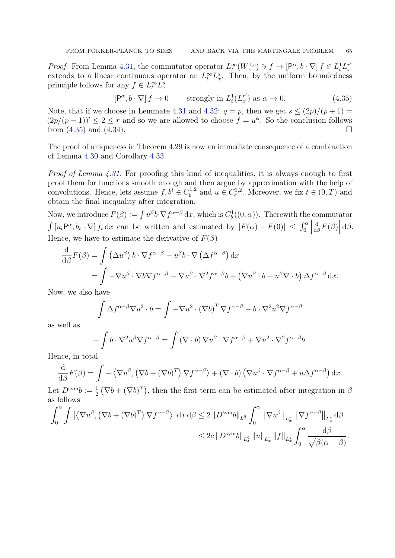*Proof.* From Lemma [4.31,](#page-63-0) the commutator operator  $L_t^{\infty}(W_x^{1,s}) \ni f \mapsto [\mathsf{P}^{\alpha}, b \cdot \nabla] f \in L_t^1 L_x^{r'}$ x extends to a linear continuous operator on  $L_t^{\infty} L_x^s$ . Then, by the uniform boundedness principle follows for any  $f \in L_t^{\infty} L_x^s$ 

<span id="page-64-0"></span>
$$
[\mathsf{P}^{\alpha}, b \cdot \nabla] f \to 0 \qquad \text{strongly in } L_t^1(L_x^{r'}) \text{ as } \alpha \to 0. \tag{4.35}
$$

Note, that if we choose in Lemmate [4.31](#page-63-0) and [4.32:](#page-63-1)  $q = p$ , then we get  $s \leq (2p)/(p+1) =$  $(2p/(p-1))' \leq 2 \leq r$  and so we are allowed to choose  $f = u^{\alpha}$ . So the conclusion follows from  $(4.35)$  and  $(4.34)$ .

The proof of uniqueness in Theorem [4.29](#page-61-1) is now an immediate consequence of a combination of Lemma [4.30](#page-62-2) and Corollary [4.33.](#page-63-3)

*Proof of Lemma [4.31.](#page-63-0)* For proofing this kind of inequalities, it is always enough to first proof them for functions smooth enough and then argue by approximation with the help of convolutions. Hence, lets assume  $f, b^i \in C_b^{1,2}$  $b^{1,2}$  and  $u \in C_c^{1,2}$ . Moreover, we fix  $t \in (0, T)$  and obtain the final inequality after integration.

Now, we introduce  $F(\beta) := \int u^{\beta}b\cdot\nabla f^{\alpha-\beta} dx$ , which is  $C_b^1((0,\alpha))$ . Therewith the commutator  $\int [u_t P^{\alpha}, b_t \cdot \nabla] f_t dx$  can be written and estimated by  $|F(\alpha) - F(0)| \leq \int_0^{\alpha}$  $\begin{array}{c} \n\end{array}$ d  $\frac{\mathrm{d}}{\mathrm{d}\beta}F(\beta)\Big|$  $d\beta$ . Hence, we have to estimate the derivative of  $F(\beta)$ 

$$
\frac{\mathrm{d}}{\mathrm{d}\beta}F(\beta) = \int (\Delta u^{\beta}) b \cdot \nabla f^{\alpha-\beta} - u^{\beta} b \cdot \nabla (\Delta f^{\alpha-\beta}) dx \n= \int -\nabla u^{\beta} \cdot \nabla b \nabla f^{\alpha-\beta} - \nabla u^{\beta} \cdot \nabla^2 f^{\alpha-\beta} b + (\nabla u^{\beta} \cdot b + u^{\beta} \nabla \cdot b) \Delta f^{\alpha-\beta} dx.
$$

Now, we also have

$$
\int \Delta f^{\alpha-\beta} \nabla u^2 \cdot b = \int -\nabla u^2 \cdot (\nabla b)^T \nabla f^{\alpha-\beta} - b \cdot \nabla^2 u^2 \nabla f^{\alpha-\beta}
$$

as well as

$$
-\int b \cdot \nabla^2 u^{\beta} \nabla f^{\alpha-\beta} = \int (\nabla \cdot b) \nabla u^{\beta} \cdot \nabla f^{\alpha-\beta} + \nabla u^2 \cdot \nabla^2 f^{\alpha-\beta} b.
$$

Hence, in total

$$
\frac{\mathrm{d}}{\mathrm{d}\beta}F(\beta) = \int -\left\langle \nabla u^{\beta}, \left(\nabla b + (\nabla b)^{T}\right) \nabla f^{\alpha-\beta}\right\rangle + \left(\nabla \cdot b\right) \left(\nabla u^{\beta} \cdot \nabla f^{\alpha-\beta} + u\Delta f^{\alpha-\beta}\right) \mathrm{d}x.
$$

Let  $D^{\text{sym}}b := \frac{1}{2}$  $\frac{1}{2}(\nabla b + (\nabla b)^T)$ , then the first term can be estimated after integration in  $\beta$ as follows

$$
\int_0^{\alpha} \int \left| \left\langle \nabla u^{\beta}, \left( \nabla b + (\nabla b)^T \right) \nabla f^{\alpha - \beta} \right\rangle \right| dx \, d\beta \le 2 \left\| D^{\text{sym}} b \right\|_{L_x^q} \int_0^{\alpha} \left\| \nabla u^{\beta} \right\|_{L_x^r} \left\| \nabla f^{\alpha - \beta} \right\|_{L_x^s} d\beta
$$
  

$$
\le 2c \left\| D^{\text{sym}} b \right\|_{L_x^q} \left\| u \right\|_{L_x^r} \left\| f \right\|_{L_x^s} \int_0^{\alpha} \frac{d\beta}{\sqrt{\beta(\alpha - \beta)}}.
$$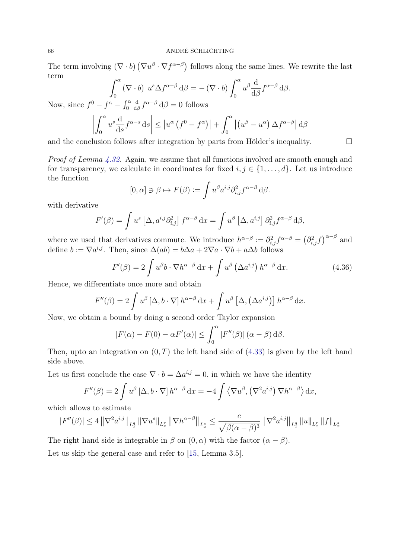The term involving  $(\nabla \cdot b) (\nabla u^{\beta} \cdot \nabla f^{\alpha-\beta})$  follows along the same lines. We rewrite the last term

$$
\int_0^\alpha (\nabla \cdot b) \ u^s \Delta f^{\alpha-\beta} d\beta = -(\nabla \cdot b) \int_0^\alpha u^\beta \frac{d}{d\beta} f^{\alpha-\beta} d\beta.
$$

Now, since  $f^0 - f^{\alpha} - \int_0^{\alpha}$ d  $\frac{d}{d\beta} f^{\alpha-\beta} d\beta = 0$  follows

$$
\left| \int_0^{\alpha} u^s \frac{d}{ds} f^{\alpha-s} ds \right| \leq \left| u^{\alpha} \left( f^0 - f^{\alpha} \right) \right| + \int_0^{\alpha} \left| \left( u^{\beta} - u^{\alpha} \right) \Delta f^{\alpha-\beta} \right| d\beta
$$

and the conclusion follows after integration by parts from Hölder's inequality.  $\Box$ 

Proof of Lemma [4.32.](#page-63-1) Again, we assume that all functions involved are smooth enough and for transparency, we calculate in coordinates for fixed  $i, j \in \{1, \ldots, d\}$ . Let us introduce the function

<span id="page-65-0"></span>
$$
[0, \alpha] \ni \beta \mapsto F(\beta) := \int u^{\beta} a^{i,j} \partial_{i,j}^{2} f^{\alpha - \beta} d\beta.
$$

with derivative

$$
F'(\beta) = \int u^s \left[ \Delta, a^{i,j} \partial_{i,j}^2 \right] f^{\alpha-\beta} dx = \int u^{\beta} \left[ \Delta, a^{i,j} \right] \partial_{i,j}^2 f^{\alpha-\beta} d\beta,
$$

where we used that derivatives commute. We introduce  $h^{\alpha-\beta} := \partial_{i,j}^2 f^{\alpha-\beta} = (\partial_{i,j}^2 f)^{\alpha-\beta}$  and define  $b := \nabla a^{i,j}$ . Then, since  $\Delta(ab) = b\Delta a + 2\nabla a \cdot \nabla b + a\Delta b$  follows

$$
F'(\beta) = 2 \int u^{\beta} b \cdot \nabla h^{\alpha-\beta} \,dx + \int u^{\beta} \left(\Delta a^{i,j}\right) h^{\alpha-\beta} \,dx. \tag{4.36}
$$

Hence, we differentiate once more and obtain

$$
F''(\beta) = 2 \int u^{\beta} \left[\Delta, b \cdot \nabla\right] h^{\alpha-\beta} \, \mathrm{d}x + \int u^{\beta} \left[\Delta, \left(\Delta a^{i,j}\right)\right] h^{\alpha-\beta} \, \mathrm{d}x.
$$

Now, we obtain a bound by doing a second order Taylor expansion

$$
|F(\alpha) - F(0) - \alpha F'(\alpha)| \le \int_0^\alpha |F''(\beta)| (\alpha - \beta) d\beta.
$$

Then, upto an integration on  $(0, T)$  the left hand side of  $(4.33)$  is given by the left hand side above.

Let us first conclude the case  $\nabla \cdot b = \Delta a^{i,j} = 0$ , in which we have the identity

$$
F''(\beta) = 2 \int u^{\beta} \left[ \Delta, b \cdot \nabla \right] h^{\alpha-\beta} dx = -4 \int \left\langle \nabla u^{\beta}, \left( \nabla^2 a^{i,j} \right) \nabla h^{\alpha-\beta} \right\rangle dx,
$$

which allows to estimate

$$
|F''(\beta)| \le 4 \left\| \nabla^2 a^{i,j} \right\|_{L^q_x} \left\| \nabla u^s \right\|_{L^r_x} \left\| \nabla h^{\alpha-\beta} \right\|_{L^s_x} \le \frac{c}{\sqrt{\beta(\alpha-\beta)^3}} \left\| \nabla^2 a^{i,j} \right\|_{L^q_x} \left\| u \right\|_{L^r_x} \left\| f \right\|_{L^s_x}
$$

The right hand side is integrable in  $\beta$  on  $(0, \alpha)$  with the factor  $(\alpha - \beta)$ .

Let us skip the general case and refer to [\[15,](#page-67-8) Lemma 3.5].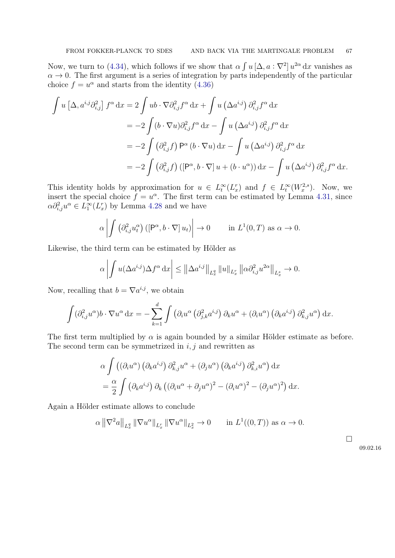Now, we turn to [\(4.34\)](#page-63-2), which follows if we show that  $\alpha \int u [\Delta, a : \nabla^2] u^{2\alpha} dx$  vanishes as  $\alpha \rightarrow 0$ . The first argument is a series of integration by parts independently of the particular choice  $f = u^{\alpha}$  and starts from the identity [\(4.36\)](#page-65-0)

$$
\int u \left[\Delta, a^{i,j} \partial_{i,j}^2\right] f^{\alpha} dx = 2 \int u b \cdot \nabla \partial_{i,j}^2 f^{\alpha} dx + \int u \left(\Delta a^{i,j}\right) \partial_{i,j}^2 f^{\alpha} dx
$$
  
=  $-2 \int (b \cdot \nabla u) \partial_{i,j}^2 f^{\alpha} dx - \int u \left(\Delta a^{i,j}\right) \partial_{i,j}^2 f^{\alpha} dx$   
=  $-2 \int (\partial_{i,j}^2 f) P^{\alpha} (b \cdot \nabla u) dx - \int u \left(\Delta a^{i,j}\right) \partial_{i,j}^2 f^{\alpha} dx$   
=  $-2 \int (\partial_{i,j}^2 f) \left([P^{\alpha}, b \cdot \nabla] u + (b \cdot u^{\alpha})\right) dx - \int u \left(\Delta a^{i,j}\right) \partial_{i,j}^2 f^{\alpha} dx.$ 

This identity holds by approximation for  $u \in L_t^{\infty}(L_x^r)$  and  $f \in L_t^{\infty}(W_x^{2,s})$ . Now, we insert the special choice  $f = u^{\alpha}$ . The first term can be estimated by Lemma [4.31,](#page-63-0) since  $\alpha \partial_{i,j}^2 u^\alpha \in L_1^{\infty}(L_x^r)$  by Lemma [4.28](#page-60-1) and we have

$$
\alpha \left| \int \left( \partial_{i,j}^2 u_t^{\alpha} \right) \left( \left[ \mathsf{P}^{\alpha}, b \cdot \nabla \right] u_t \right) \right| \to 0 \quad \text{in } L^1(0,T) \text{ as } \alpha \to 0.
$$

Likewise, the third term can be estimated by Hölder as

$$
\alpha \left| \int u(\Delta a^{i,j}) \Delta f^{\alpha} dx \right| \leq \left\| \Delta a^{i,j} \right\|_{L_x^q} \left\| u \right\|_{L_x^r} \left\| \alpha \partial_{i,j}^2 u^{2\alpha} \right\|_{L_x^s} \to 0.
$$

Now, recalling that  $b = \nabla a^{i,j}$ , we obtain

$$
\int (\partial_{i,j}^2 u^{\alpha}) b \cdot \nabla u^{\alpha} dx = - \sum_{k=1}^d \int (\partial_i u^{\alpha} (\partial_{j,k}^2 a^{i,j}) \partial_k u^{\alpha} + (\partial_i u^{\alpha}) (\partial_k a^{i,j}) \partial_{k,j}^2 u^{\alpha}) dx.
$$

The first term multiplied by  $\alpha$  is again bounded by a similar Hölder estimate as before. The second term can be symmetrized in  $i, j$  and rewritten as

$$
\alpha \int ((\partial_i u^{\alpha}) (\partial_k a^{i,j}) \partial_{k,j}^2 u^{\alpha} + (\partial_j u^{\alpha}) (\partial_k a^{i,j}) \partial_{k,i}^2 u^{\alpha}) dx
$$
  
= 
$$
\frac{\alpha}{2} \int (\partial_k a^{i,j}) \partial_k ((\partial_i u^{\alpha} + \partial_j u^{\alpha})^2 - (\partial_i u^{\alpha})^2 - (\partial_j u^{\alpha})^2) dx.
$$

Again a Hölder estimate allows to conclude

$$
\alpha \left\| \nabla^2 a \right\|_{L^q_x} \left\| \nabla u^{\alpha} \right\|_{L^r_x} \left\| \nabla u^{\alpha} \right\|_{L^2_x} \to 0 \quad \text{in } L^1((0,T)) \text{ as } \alpha \to 0.
$$

 $\Box$ 

### 09.02.16